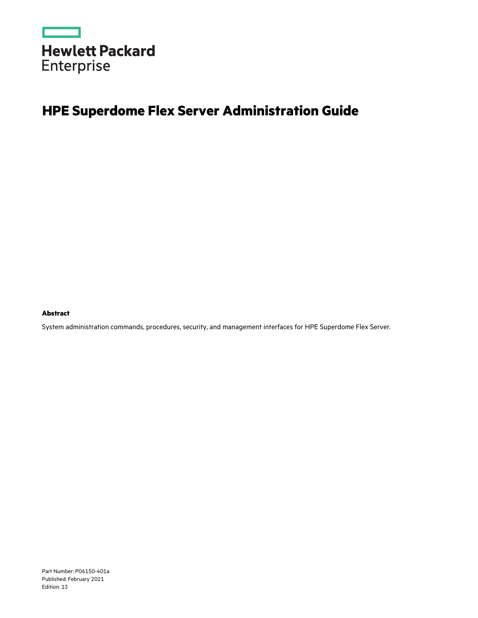

# **HPE Superdome Flex Server Administration Guide**

**Abstract**

System administration commands, procedures, security, and management interfaces for HPE Superdome Flex Server.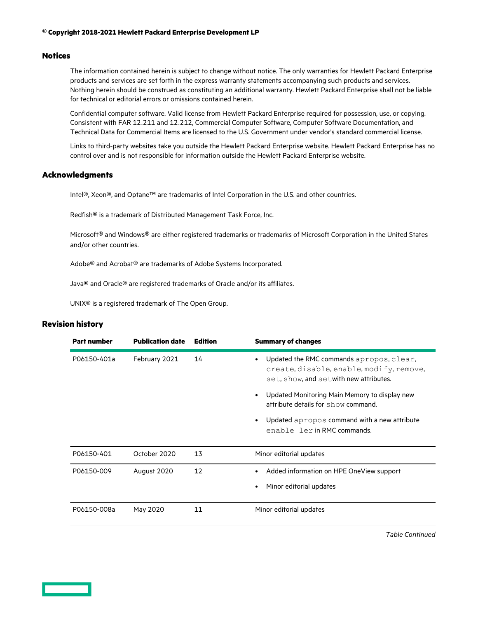## **© Copyright 2018-2021 Hewlett Packard Enterprise Development LP**

## **Notices**

The information contained herein is subject to change without notice. The only warranties for Hewlett Packard Enterprise products and services are set forth in the express warranty statements accompanying such products and services. Nothing herein should be construed as constituting an additional warranty. Hewlett Packard Enterprise shall not be liable for technical or editorial errors or omissions contained herein.

Confidential computer software. Valid license from Hewlett Packard Enterprise required for possession, use, or copying. Consistent with FAR 12.211 and 12.212, Commercial Computer Software, Computer Software Documentation, and Technical Data for Commercial Items are licensed to the U.S. Government under vendor's standard commercial license.

Links to third-party websites take you outside the Hewlett Packard Enterprise website. Hewlett Packard Enterprise has no control over and is not responsible for information outside the Hewlett Packard Enterprise website.

## **Acknowledgments**

Intel®, Xeon®, and Optane™ are trademarks of Intel Corporation in the U.S. and other countries.

Redfish® is a trademark of Distributed Management Task Force, Inc.

Microsoft® and Windows® are either registered trademarks or trademarks of Microsoft Corporation in the United States and/or other countries.

Adobe® and Acrobat® are trademarks of Adobe Systems Incorporated.

Java® and Oracle® are registered trademarks of Oracle and/or its affiliates.

UNIX® is a registered trademark of The Open Group.

## **Revision history**

| <b>Part number</b> | <b>Publication date</b> | <b>Edition</b> | <b>Summary of changes</b>                                                                                                      |
|--------------------|-------------------------|----------------|--------------------------------------------------------------------------------------------------------------------------------|
| P06150-401a        | February 2021           | 14             | Updated the RMC commands apropos, clear,<br>create, disable, enable, modify, remove,<br>set, show, and setwith new attributes. |
|                    |                         |                | Updated Monitoring Main Memory to display new<br>attribute details for show command.                                           |
|                    |                         |                | Updated apropos command with a new attribute<br>enable ler in RMC commands.                                                    |
| P06150-401         | October 2020            | 13             | Minor editorial updates                                                                                                        |
| P06150-009         | August 2020             | 12             | Added information on HPE OneView support<br>Minor editorial updates                                                            |
| P06150-008a        | May 2020                | 11             | Minor editorial updates                                                                                                        |

*Table Continued*

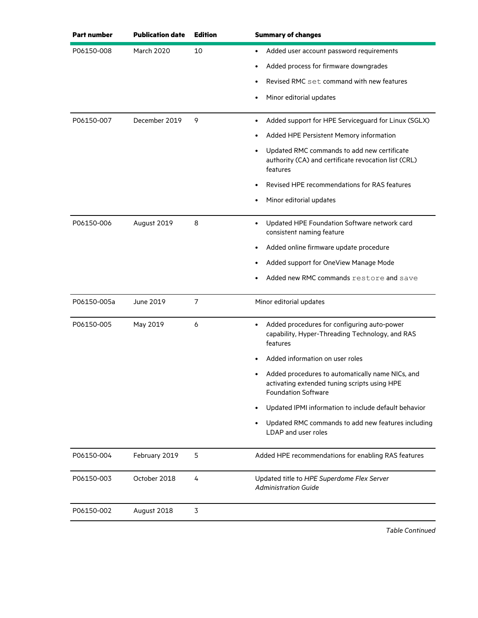| <b>Part number</b> | <b>Publication date</b> | <b>Edition</b> | <b>Summary of changes</b>                                                                                                      |
|--------------------|-------------------------|----------------|--------------------------------------------------------------------------------------------------------------------------------|
| P06150-008         | <b>March 2020</b>       | 10             | Added user account password requirements<br>$\bullet$                                                                          |
|                    |                         |                | Added process for firmware downgrades                                                                                          |
|                    |                         |                | Revised RMC set command with new features                                                                                      |
|                    |                         |                | Minor editorial updates                                                                                                        |
| P06150-007         | December 2019           | 9              | Added support for HPE Serviceguard for Linux (SGLX)                                                                            |
|                    |                         |                | Added HPE Persistent Memory information                                                                                        |
|                    |                         |                | Updated RMC commands to add new certificate<br>authority (CA) and certificate revocation list (CRL)<br>features                |
|                    |                         |                | Revised HPE recommendations for RAS features                                                                                   |
|                    |                         |                | Minor editorial updates                                                                                                        |
| P06150-006         | August 2019             | 8              | Updated HPE Foundation Software network card<br>consistent naming feature                                                      |
|                    |                         |                | Added online firmware update procedure                                                                                         |
|                    |                         |                | Added support for OneView Manage Mode                                                                                          |
|                    |                         |                | Added new RMC commands restore and save                                                                                        |
| P06150-005a        | June 2019               | $\overline{7}$ | Minor editorial updates                                                                                                        |
| P06150-005         | May 2019                | 6              | Added procedures for configuring auto-power<br>capability, Hyper-Threading Technology, and RAS<br>features                     |
|                    |                         |                | Added information on user roles                                                                                                |
|                    |                         |                | Added procedures to automatically name NICs, and<br>activating extended tuning scripts using HPE<br><b>Foundation Software</b> |
|                    |                         |                | Updated IPMI information to include default behavior                                                                           |
|                    |                         |                | Updated RMC commands to add new features including<br>LDAP and user roles                                                      |
| P06150-004         | February 2019           | 5              | Added HPE recommendations for enabling RAS features                                                                            |
| P06150-003         | October 2018            | 4              | Updated title to HPE Superdome Flex Server<br><b>Administration Guide</b>                                                      |
| P06150-002         | August 2018             | 3              |                                                                                                                                |
|                    |                         |                |                                                                                                                                |

*Table Continued*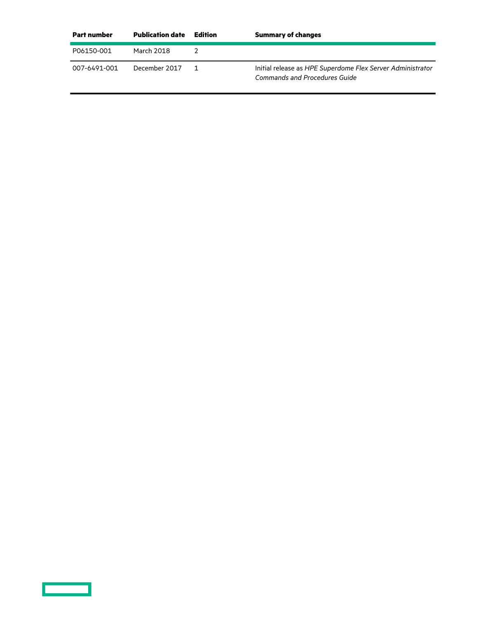| Part number  | <b>Publication date</b> | Edition | <b>Summary of changes</b>                                                                   |
|--------------|-------------------------|---------|---------------------------------------------------------------------------------------------|
| P06150-001   | March 2018              |         |                                                                                             |
| 007-6491-001 | December 2017           |         | Initial release as HPE Superdome Flex Server Administrator<br>Commands and Procedures Guide |

<u>a sa san</u>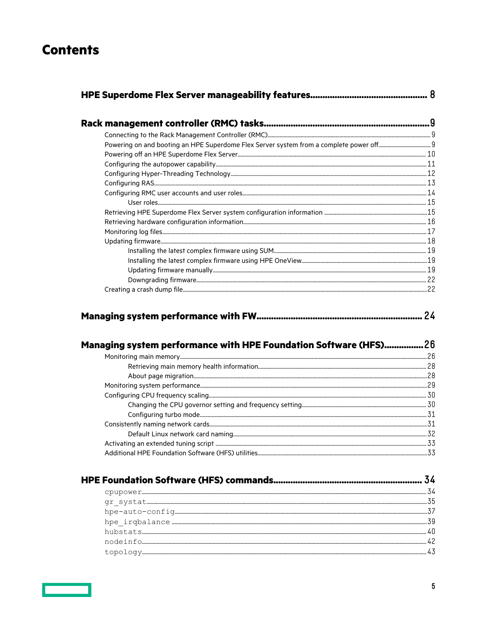# **Contents**

|--|--|

|--|--|

| Managing system performance with HPE Foundation Software (HFS)26 |  |
|------------------------------------------------------------------|--|
|                                                                  |  |
|                                                                  |  |
|                                                                  |  |
|                                                                  |  |
|                                                                  |  |
|                                                                  |  |
|                                                                  |  |
|                                                                  |  |
|                                                                  |  |
|                                                                  |  |
|                                                                  |  |
|                                                                  |  |

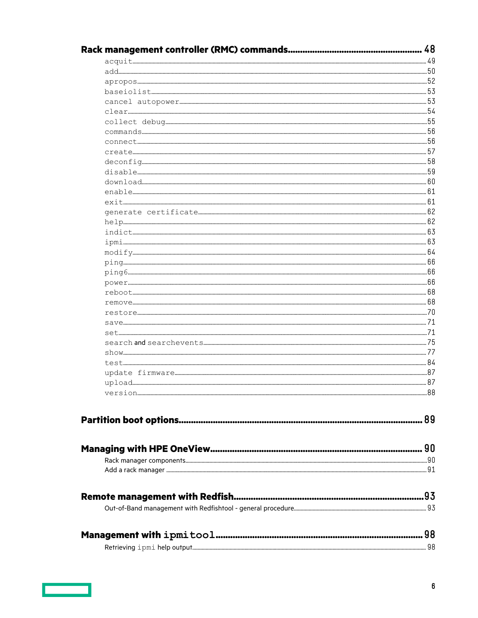| $upload \hspace{-0.04cm} \textbf{upload} \hspace{-0.04cm} \textbf{a} \hspace{-0.04cm} \textbf{a} \hspace{-0.04cm} \textbf{a} \hspace{-0.04cm} \textbf{b}$ |    |
|-----------------------------------------------------------------------------------------------------------------------------------------------------------|----|
|                                                                                                                                                           | 88 |
|                                                                                                                                                           |    |
|                                                                                                                                                           |    |
|                                                                                                                                                           |    |
|                                                                                                                                                           |    |
|                                                                                                                                                           |    |
|                                                                                                                                                           |    |
|                                                                                                                                                           |    |
|                                                                                                                                                           |    |
|                                                                                                                                                           |    |
|                                                                                                                                                           |    |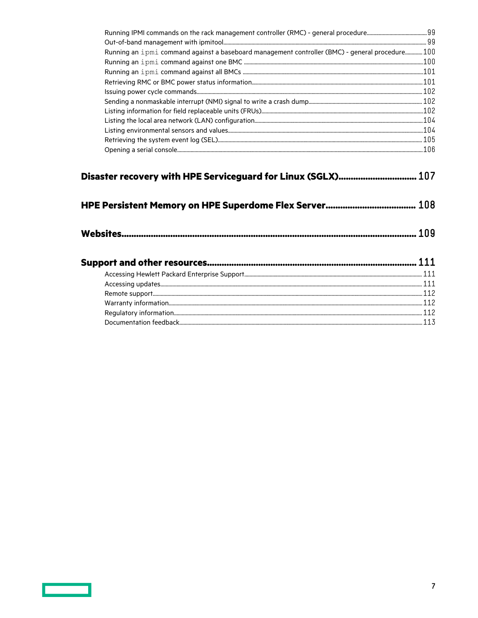| Running an ipmi command against a baseboard management controller (BMC) - general procedure 100 |  |
|-------------------------------------------------------------------------------------------------|--|
|                                                                                                 |  |
|                                                                                                 |  |
|                                                                                                 |  |
|                                                                                                 |  |
|                                                                                                 |  |
|                                                                                                 |  |
|                                                                                                 |  |
|                                                                                                 |  |
|                                                                                                 |  |
|                                                                                                 |  |
| Disaster recovery with HPE Serviceguard for Linux (SGLX) 107                                    |  |
|                                                                                                 |  |
|                                                                                                 |  |
|                                                                                                 |  |
|                                                                                                 |  |
|                                                                                                 |  |
|                                                                                                 |  |
|                                                                                                 |  |
|                                                                                                 |  |

<u>ransa</u>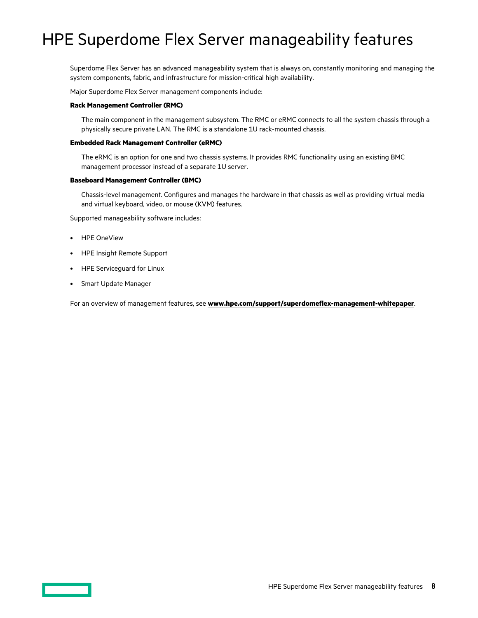# <span id="page-7-0"></span>HPE Superdome Flex Server manageability features

Superdome Flex Server has an advanced manageability system that is always on, constantly monitoring and managing the system components, fabric, and infrastructure for mission-critical high availability.

Major Superdome Flex Server management components include:

### **Rack Management Controller (RMC)**

The main component in the management subsystem. The RMC or eRMC connects to all the system chassis through a physically secure private LAN. The RMC is a standalone 1U rack-mounted chassis.

## **Embedded Rack Management Controller (eRMC)**

The eRMC is an option for one and two chassis systems. It provides RMC functionality using an existing BMC management processor instead of a separate 1U server.

#### **Baseboard Management Controller (BMC)**

Chassis-level management. Configures and manages the hardware in that chassis as well as providing virtual media and virtual keyboard, video, or mouse (KVM) features.

Supported manageability software includes:

- HPE OneView
- HPE Insight Remote Support
- HPE Serviceguard for Linux
- Smart Update Manager

For an overview of management features, see **[www.hpe.com/support/superdomeflex-management-whitepaper](https://www.hpe.com/support/superdomeflex-management-whitepaper)**.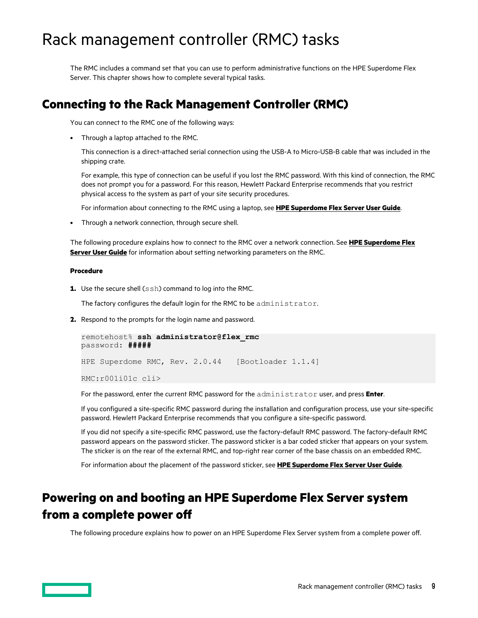# <span id="page-8-0"></span>Rack management controller (RMC) tasks

The RMC includes a command set that you can use to perform administrative functions on the HPE Superdome Flex Server. This chapter shows how to complete several typical tasks.

# **Connecting to the Rack Management Controller (RMC)**

You can connect to the RMC one of the following ways:

• Through a laptop attached to the RMC.

This connection is a direct-attached serial connection using the USB-A to Micro-USB-B cable that was included in the shipping crate.

For example, this type of connection can be useful if you lost the RMC password. With this kind of connection, the RMC does not prompt you for a password. For this reason, Hewlett Packard Enterprise recommends that you restrict physical access to the system as part of your site security procedures.

For information about connecting to the RMC using a laptop, see **HPE [Superdome Flex Server](https://www.hpe.com/support/superdome-flex-user) User Guide**.

• Through a network connection, through secure shell.

The following procedure explains how to connect to the RMC over a network connection. See **HPE [Superdome Flex](https://www.hpe.com/support/superdome-flex-user) Server [User Guide](https://www.hpe.com/support/superdome-flex-user)** for information about setting networking parameters on the RMC.

## **Procedure**

**1.** Use the secure shell (ssh) command to log into the RMC.

The factory configures the default login for the RMC to be administrator.

**2.** Respond to the prompts for the login name and password.

```
remotehost% ssh administrator@flex_rmc
password: #####
HPE Superdome RMC, Rev. 2.0.44 [Bootloader 1.1.4]
RMC:r001i01c cli>
```
For the password, enter the current RMC password for the administrator user, and press **Enter**.

If you configured a site-specific RMC password during the installation and configuration process, use your site-specific password. Hewlett Packard Enterprise recommends that you configure a site-specific password.

If you did not specify a site-specific RMC password, use the factory-default RMC password. The factory-default RMC password appears on the password sticker. The password sticker is a bar coded sticker that appears on your system. The sticker is on the rear of the external RMC, and top-right rear corner of the base chassis on an embedded RMC.

For information about the placement of the password sticker, see **HPE [Superdome Flex Server](https://www.hpe.com/support/superdome-flex-user) User Guide**.

# **Powering on and booting an HPE Superdome Flex Server system from a complete power o**

The following procedure explains how to power on an HPE Superdome Flex Server system from a complete power off.

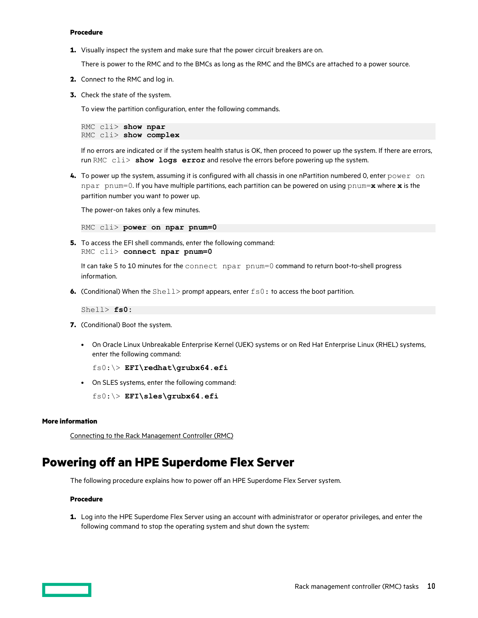### <span id="page-9-0"></span>**Procedure**

**1.** Visually inspect the system and make sure that the power circuit breakers are on.

There is power to the RMC and to the BMCs as long as the RMC and the BMCs are attached to a power source.

- **2.** Connect to the RMC and log in.
- **3.** Check the state of the system.

To view the partition configuration, enter the following commands.

RMC cli> **show npar** RMC cli> **show complex**

If no errors are indicated or if the system health status is OK, then proceed to power up the system. If there are errors, run RMC cli> **show logs error** and resolve the errors before powering up the system.

**4.** To power up the system, assuming it is configured with all chassis in one nPartition numbered 0, enter power on npar pnum=0. If you have multiple partitions, each partition can be powered on using pnum=**x** where **x** is the partition number you want to power up.

The power-on takes only a few minutes.

RMC cli> **power on npar pnum=0**

**5.** To access the EFI shell commands, enter the following command: RMC cli> **connect npar pnum=0**

It can take 5 to 10 minutes for the connect npar pnum=0 command to return boot-to-shell progress information.

**6.** (Conditional) When the Shell> prompt appears, enter  $f \circ 0$ : to access the boot partition.

Shell> **fs0:**

- **7.** (Conditional) Boot the system.
	- On Oracle Linux Unbreakable Enterprise Kernel (UEK) systems or on Red Hat Enterprise Linux (RHEL) systems, enter the following command:

fs0:\> **EFI\redhat\grubx64.efi**

• On SLES systems, enter the following command:

fs0:\> **EFI\sles\grubx64.efi**

## **More information**

[Connecting to the Rack Management Controller \(RMC\)](#page-8-0)

## **Powering off an HPE Superdome Flex Server**

The following procedure explains how to power off an HPE Superdome Flex Server system.

## **Procedure**

**1.** Log into the HPE Superdome Flex Server using an account with administrator or operator privileges, and enter the following command to stop the operating system and shut down the system:

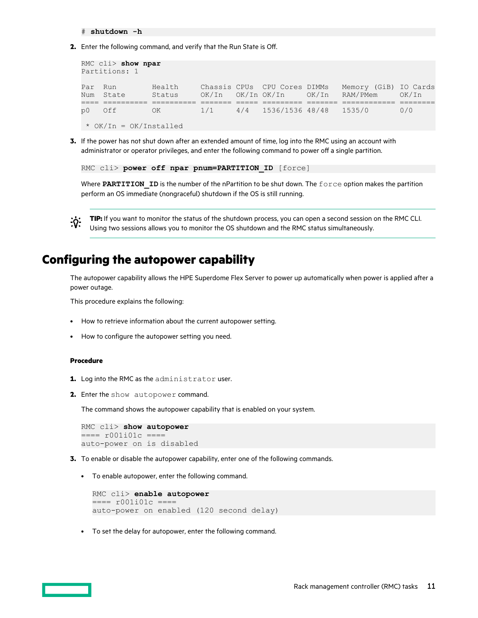# **shutdown -h**

<span id="page-10-0"></span>**2.** Enter the following command, and verify that the Run State is Off.

```
RMC cli> show npar
Partitions: 1
Par Run Health Chassis CPUs CPU Cores DIMMs Memory (GiB) IO Cards
Num State Status OK/In OK/In OK/In OK/In RAM/PMem OK/In 
==== ========== ========== ======= ===== ========= ======= ============ ========
p0 Off OK 1/1 4/4 1536/1536 48/48 1535/0 0/0 
 * OK/In = OK/Installed
```
**3.** If the power has not shut down after an extended amount of time, log into the RMC using an account with administrator or operator privileges, and enter the following command to power off a single partition.

```
RMC cli> power off npar pnum=PARTITION ID [force]
```
Where PARTITION ID is the number of the nPartition to be shut down. The force option makes the partition perform an OS immediate (nongraceful) shutdown if the OS is still running.



**TIP:** If you want to monitor the status of the shutdown process, you can open a second session on the RMC CLI. Using two sessions allows you to monitor the OS shutdown and the RMC status simultaneously.

# **Configuring the autopower capability**

The autopower capability allows the HPE Superdome Flex Server to power up automatically when power is applied after a power outage.

This procedure explains the following:

- How to retrieve information about the current autopower setting.
- How to configure the autopower setting you need.

## **Procedure**

- **1.** Log into the RMC as the administrator user.
- **2.** Enter the show autopower command.

The command shows the autopower capability that is enabled on your system.

```
RMC cli> show autopower
==== r001i01c ====
auto-power on is disabled
```
- **3.** To enable or disable the autopower capability, enter one of the following commands.
	- To enable autopower, enter the following command.

```
RMC cli> enable autopower
==== r001i01c ====
auto-power on enabled (120 second delay)
```
• To set the delay for autopower, enter the following command.

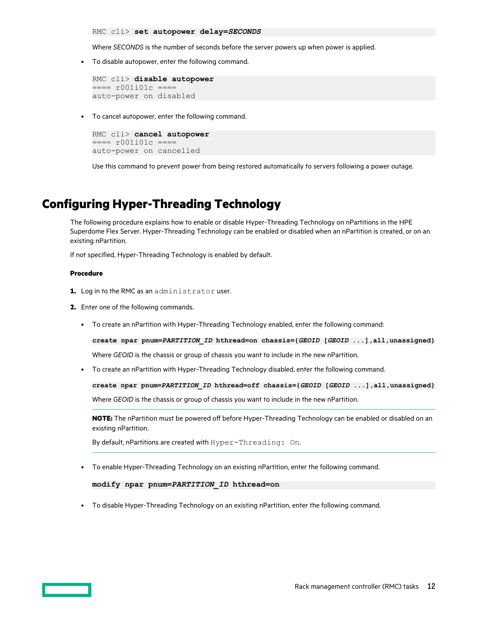<span id="page-11-0"></span>RMC cli> **set autopower delay=***SECONDS*

Where *SECONDS* is the number of seconds before the server powers up when power is applied.

• To disable autopower, enter the following command.

```
RMC cli> disable autopower
==== r001i01c ==auto-power on disabled
```
• To cancel autopower, enter the following command.

```
RMC cli> cancel autopower
==== r001i01c ====
auto-power on cancelled
```
Use this command to prevent power from being restored automatically to servers following a power outage.

# **Configuring Hyper-Threading Technology**

The following procedure explains how to enable or disable Hyper-Threading Technology on nPartitions in the HPE Superdome Flex Server. Hyper-Threading Technology can be enabled or disabled when an nPartition is created, or on an existing nPartition.

If not specified, Hyper-Threading Technology is enabled by default.

## **Procedure**

- **1.** Log in to the RMC as an administrator user.
- **2.** Enter one of the following commands.
	- To create an nPartition with Hyper-Threading Technology enabled, enter the following command:

**create npar pnum=***PARTITION\_ID* **hthread=on chassis={***GEOID* **[***GEOID* **...],all,unassigned}**

Where *GEOID* is the chassis or group of chassis you want to include in the new nPartition.

• To create an nPartition with Hyper-Threading Technology disabled, enter the following command.

**create npar pnum=***PARTITION\_ID* **hthread=off chassis={***GEOID* **[***GEOID* **...],all,unassigned}** Where *GEOID* is the chassis or group of chassis you want to include in the new nPartition.

**NOTE:** The nPartition must be powered off before Hyper-Threading Technology can be enabled or disabled on an existing nPartition.

By default, nPartitions are created with Hyper-Threading: On.

• To enable Hyper-Threading Technology on an existing nPartition, enter the following command.

```
modify npar pnum=PARTITION_ID hthread=on
```
• To disable Hyper-Threading Technology on an existing nPartition, enter the following command.

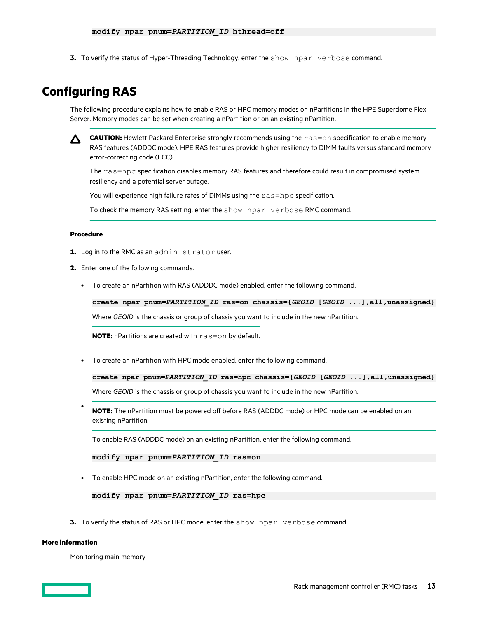<span id="page-12-0"></span>**3.** To verify the status of Hyper-Threading Technology, enter the show npar verbose command.

# **Configuring RAS**

The following procedure explains how to enable RAS or HPC memory modes on nPartitions in the HPE Superdome Flex Server. Memory modes can be set when creating a nPartition or on an existing nPartition.



**CAUTION:** Hewlett Packard Enterprise strongly recommends using the ras=on specification to enable memory RAS features (ADDDC mode). HPE RAS features provide higher resiliency to DIMM faults versus standard memory error-correcting code (ECC).

The ras=hpc specification disables memory RAS features and therefore could result in compromised system resiliency and a potential server outage.

You will experience high failure rates of DIMMs using the ras=hpc specification.

To check the memory RAS setting, enter the show npar verbose RMC command.

## **Procedure**

- **1.** Log in to the RMC as an administrator user.
- **2.** Enter one of the following commands.
	- To create an nPartition with RAS (ADDDC mode) enabled, enter the following command.

**create npar pnum=***PARTITION\_ID* **ras=on chassis={***GEOID* **[***GEOID* **...],all,unassigned}**

Where *GEOID* is the chassis or group of chassis you want to include in the new nPartition.

**NOTE:** nPartitions are created with ras=on by default.

• To create an nPartition with HPC mode enabled, enter the following command.

**create npar pnum=***PARTITION\_ID* **ras=hpc chassis={***GEOID* **[***GEOID* **...],all,unassigned}**

Where *GEOID* is the chassis or group of chassis you want to include in the new nPartition.

• NOTE: The nPartition must be powered off before RAS (ADDDC mode) or HPC mode can be enabled on an existing nPartition.

To enable RAS (ADDDC mode) on an existing nPartition, enter the following command.

```
modify npar pnum=PARTITION_ID ras=on
```
• To enable HPC mode on an existing nPartition, enter the following command.

**modify npar pnum=***PARTITION\_ID* **ras=hpc**

**3.** To verify the status of RAS or HPC mode, enter the show npar verbose command.

## **More information**

[Monitoring main memory](#page-25-0)

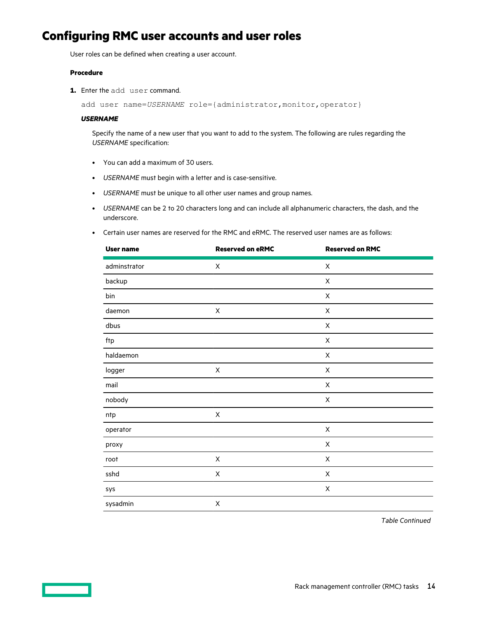# <span id="page-13-0"></span>**Configuring RMC user accounts and user roles**

User roles can be defined when creating a user account.

## **Procedure**

**1.** Enter the add user command.

add user name=*USERNAME* role={administrator, monitor, operator}

### *USERNAME*

Specify the name of a new user that you want to add to the system. The following are rules regarding the *USERNAME* specification:

- You can add a maximum of 30 users.
- *USERNAME* must begin with a letter and is case-sensitive.
- *USERNAME* must be unique to all other user names and group names.
- *USERNAME* can be 2 to 20 characters long and can include all alphanumeric characters, the dash, and the underscore.
- Certain user names are reserved for the RMC and eRMC. The reserved user names are as follows:

| <b>User name</b> | <b>Reserved on eRMC</b> | <b>Reserved on RMC</b> |
|------------------|-------------------------|------------------------|
| adminstrator     | X                       | X                      |
| backup           |                         | X                      |
| bin              |                         | $\mathsf X$            |
| daemon           | $\sf X$                 | $\mathsf X$            |
| dbus             |                         | $\mathsf X$            |
| ftp              |                         | $\mathsf X$            |
| haldaemon        |                         | $\mathsf X$            |
| logger           | $\mathsf X$             | $\mathsf X$            |
| mail             |                         | $\mathsf X$            |
| nobody           |                         | $\mathsf X$            |
| ntp              | Χ                       |                        |
| operator         |                         | $\sf X$                |
| proxy            |                         | Χ                      |
| root             | $\sf X$                 | Χ                      |
| sshd             | $\sf X$                 | Χ                      |
| sys              |                         | Χ                      |
| sysadmin         | $\mathsf X$             |                        |

*Table Continued*

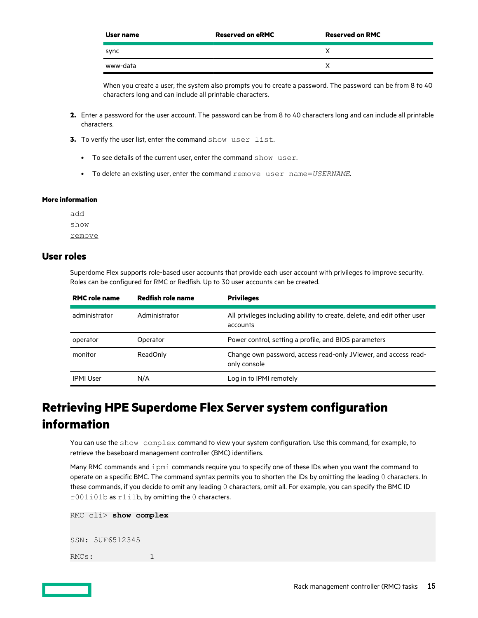<span id="page-14-0"></span>

| User name | <b>Reserved on eRMC</b> | <b>Reserved on RMC</b> |
|-----------|-------------------------|------------------------|
| sync      |                         |                        |
| www-data  |                         |                        |

When you create a user, the system also prompts you to create a password. The password can be from 8 to 40 characters long and can include all printable characters.

- **2.** Enter a password for the user account. The password can be from 8 to 40 characters long and can include all printable characters.
- **3.** To verify the user list, enter the command show user list.
	- To see details of the current user, enter the command show user.
	- To delete an existing user, enter the command remove user name=*USERNAME*.

## **More information**

[add](#page-49-0) [show](#page-76-0) [remove](#page-67-0)

## **User roles**

Superdome Flex supports role-based user accounts that provide each user account with privileges to improve security. Roles can be configured for RMC or Redfish. Up to 30 user accounts can be created.

| <b>RMC role name</b> | Redfish role name | <b>Privileges</b>                                                                   |
|----------------------|-------------------|-------------------------------------------------------------------------------------|
| administrator        | Administrator     | All privileges including ability to create, delete, and edit other user<br>accounts |
| operator             | Operator          | Power control, setting a profile, and BIOS parameters                               |
| monitor              | ReadOnly          | Change own password, access read-only JViewer, and access read-<br>only console     |
| <b>IPMI User</b>     | N/A               | Log in to IPMI remotely                                                             |

# **Retrieving HPE Superdome Flex Server system configuration information**

You can use the show complex command to view your system configuration. Use this command, for example, to retrieve the baseboard management controller (BMC) identifiers.

Many RMC commands and ipmi commands require you to specify one of these IDs when you want the command to operate on a specific BMC. The command syntax permits you to shorten the IDs by omitting the leading 0 characters. In these commands, if you decide to omit any leading 0 characters, omit all. For example, you can specify the BMC ID r001i01b as r1i1b, by omitting the 0 characters.

```
RMC cli> show complex
SSN: 5UF6512345
RMCs: 1
```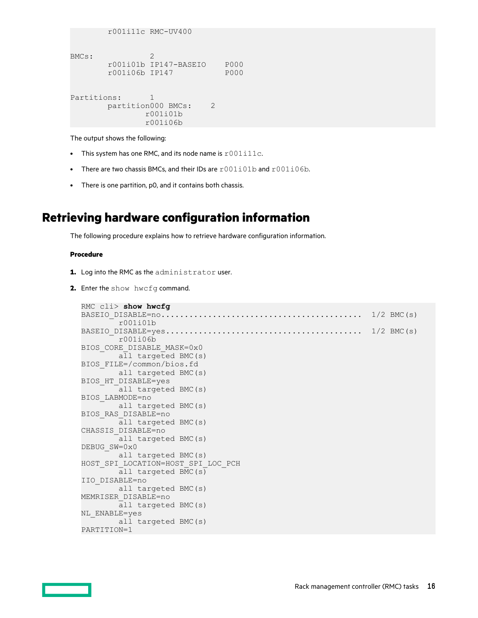```
 r001i11c RMC-UV400
BMCs: 2
      r001i01b IP147-BASEIO P000
      r001i06b IP147
Partitions: 1
     partition000 BMCs: 2
             r001i01b
              r001i06b
```
The output shows the following:

- This system has one RMC, and its node name is  $r001i11c$ .
- There are two chassis BMCs, and their IDs are  $r001i01b$  and  $r001i06b$ .
- There is one partition, p0, and it contains both chassis.

# **Retrieving hardware configuration information**

The following procedure explains how to retrieve hardware configuration information.

## **Procedure**

- **1.** Log into the RMC as the administrator user.
- 2. Enter the show hwcfg command.

```
RMC cli> show hwcfg
BASEIO_DISABLE=no........................................... 1/2 BMC(s)
        r001i01b
BASEIO_DISABLE=yes.......................................... 1/2 BMC(s)
        r001i06b
BIOS_CORE_DISABLE_MASK=0x0
       all targeted BMC(s)
BIOS_FILE=/common/bios.fd
        all targeted BMC(s)
BIOS_HT_DISABLE=yes
       all targeted BMC(s)
BIOS_LABMODE=no
        all targeted BMC(s)
BIOS_RAS_DISABLE=no
        all targeted BMC(s)
CHASSIS_DISABLE=no
        all targeted BMC(s)
DEBUG_SW=0x0
        all targeted BMC(s)
HOST_SPI_LOCATION=HOST_SPI_LOC_PCH
        all targeted BMC(s)
IIO_DISABLE=no
        all targeted BMC(s)
MEMRISER_DISABLE=no
        all targeted BMC(s)
NL_ENABLE=yes
        all targeted BMC(s)
PARTITION=1
```
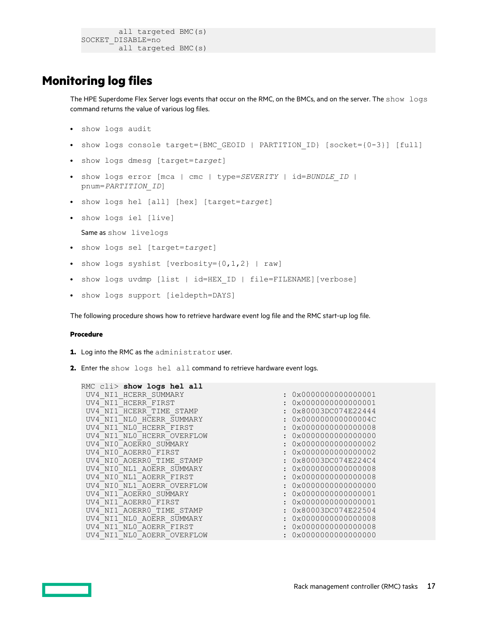```
 all targeted BMC(s)
SOCKET_DISABLE=no
      all targeted BMC(s)
```
# <span id="page-16-0"></span>**Monitoring log files**

The HPE Superdome Flex Server logs events that occur on the RMC, on the BMCs, and on the server. The show logs command returns the value of various log files.

- show logs audit
- show logs console target={BMC\_GEOID | PARTITION\_ID} [socket={0-3}] [full]
- show logs dmesg [target=*target*]
- show logs error [mca | cmc | type=*SEVERITY* | id=*BUNDLE\_ID* | pnum=*PARTITION\_ID*]
- show logs hel [all] [hex] [target=*target*]
- show logs iel [live] Same as show livelogs
- show logs sel [target=*target*]
- show logs syshist [verbosity= $\{0, 1, 2\}$  | raw]
- show logs uvdmp [list | id=HEX\_ID | file=FILENAME][verbose]
- show logs support [ieldepth=DAYS]

The following procedure shows how to retrieve hardware event log file and the RMC start-up log file.

## **Procedure**

- **1.** Log into the RMC as the administrator user.
- **2.** Enter the show logs hel all command to retrieve hardware event logs.

| RMC cli> show logs hel all |                              |
|----------------------------|------------------------------|
| UV4 NI1 HCERR SUMMARY      | 0x0000000000000001           |
| UV4 NI1 HCERR FIRST        | 0x0000000000000001           |
| UV4 NI1 HCERR TIME STAMP   | 0x80003DC074E22444           |
| UV4 NI1 NL0 HCERR SUMMARY  | 0x000000000000004C           |
| UV4 NI1 NL0 HCERR FIRST    | 0x0000000000000008           |
| UV4 NI1 NL0 HCERR OVERFLOW | $0 \times 00000000000000000$ |
| UV4 NIO AOERRO SUMMARY     | 0x0000000000000002           |
| UV4 NIO AOERRO FIRST       | 0x0000000000000002           |
| UV4 NIO AOERRO TIME STAMP  | 0x80003DC074E224C4           |
| UV4 NI0 NL1 AOERR SUMMARY  | 0x0000000000000008           |
| UV4 NI0 NL1 AOERR FIRST    | 0x0000000000000008           |
| UV4 NI0 NL1 AOERR OVERFLOW | 0x0000000000000000           |
| UV4 NI1 AOERRO SUMMARY     | 0x0000000000000001           |
| UV4 NI1 AOERRO FIRST       | 0x0000000000000001           |
| UV4 NI1 AOERRO TIME STAMP  | 0x80003DC074E22504           |
| UV4 NI1 NL0 AOERR SUMMARY  | 0x0000000000000008           |
| UV4 NI1 NL0 AOERR FIRST    | 0x0000000000000008           |
| UV4 NI1 NLO AOERR OVERFLOW | 0x0000000000000000           |
|                            |                              |

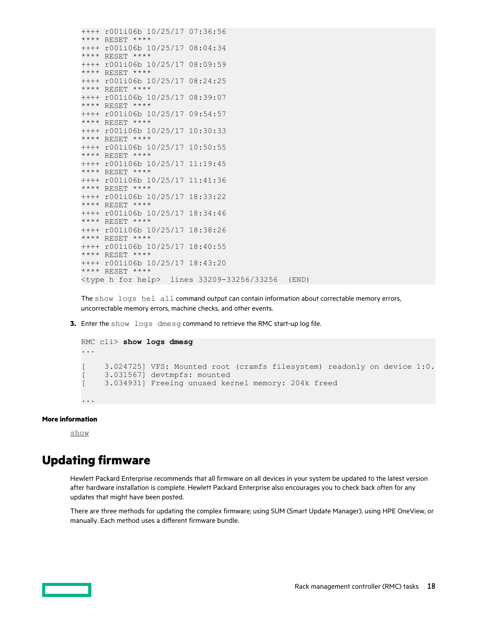<span id="page-17-0"></span>++++ r001i06b 10/25/17 07:36:56 \*\*\*\* RESET \*\*\*\* ++++ r001i06b 10/25/17 08:04:34 \*\*\*\* RESET \*\*\*\* ++++ r001i06b 10/25/17 08:09:59 \*\*\*\* RESET \*\*\*\* ++++ r001i06b 10/25/17 08:24:25 \*\*\*\* RESET \*\*\*\* ++++ r001i06b 10/25/17 08:39:07 \*\*\*\* RESET \*\*\*\* ++++ r001i06b 10/25/17 09:54:57 \*\*\*\* RESET \*\*\*\* ++++ r001i06b 10/25/17 10:30:33 \*\*\*\* RESET \*\*\*\* ++++ r001i06b 10/25/17 10:50:55 \*\*\*\* RESET \*\*\*\* ++++ r001i06b 10/25/17 11:19:45 \*\*\*\* RESET \*\*\*\* ++++ r001i06b 10/25/17 11:41:36 \*\*\*\* RESET \*\*\*\* ++++ r001i06b 10/25/17 18:33:22 \*\*\*\* RESET \*\*\*\* ++++ r001i06b 10/25/17 18:34:46 \*\*\*\* RESET \*\*\*\* ++++ r001i06b 10/25/17 18:38:26 \*\*\*\* RESET \*\*\*\* ++++ r001i06b 10/25/17 18:40:55 \*\*\*\* RESET \*\*\*\* ++++ r001i06b 10/25/17 18:43:20 \*\*\*\* RESET \*\*\*\* <type h for help> lines 33209-33256/33256 (END)

The show logs hel all command output can contain information about correctable memory errors, uncorrectable memory errors, machine checks, and other events.

**3.** Enter the show logs dmesg command to retrieve the RMC start-up log file.

```
RMC cli> show logs dmesg
...
[ 3.024725] VFS: Mounted root (cramfs filesystem) readonly on device 1:0.
[ 3.031567] devtmpfs: mounted
[ 3.034931] Freeing unused kernel memory: 204k freed
...
```
## **More information**

[show](#page-76-0)

# **Updating firmware**

Hewlett Packard Enterprise recommends that all firmware on all devices in your system be updated to the latest version after hardware installation is complete. Hewlett Packard Enterprise also encourages you to check back often for any updates that might have been posted.

There are three methods for updating the complex firmware; using SUM (Smart Update Manager), using HPE OneView, or manually. Each method uses a different firmware bundle.

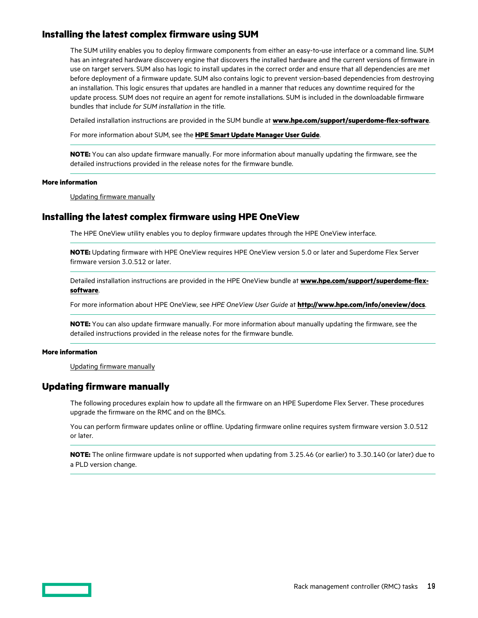## <span id="page-18-0"></span>**Installing the latest complex firmware using SUM**

The SUM utility enables you to deploy firmware components from either an easy-to-use interface or a command line. SUM has an integrated hardware discovery engine that discovers the installed hardware and the current versions of firmware in use on target servers. SUM also has logic to install updates in the correct order and ensure that all dependencies are met before deployment of a firmware update. SUM also contains logic to prevent version-based dependencies from destroying an installation. This logic ensures that updates are handled in a manner that reduces any downtime required for the update process. SUM does not require an agent for remote installations. SUM is included in the downloadable firmware bundles that include *for SUM installation* in the title.

Detailed installation instructions are provided in the SUM bundle at **[www.hpe.com/support/superdome-flex-software](https://www.hpe.com/support/superdome-flex-software)**.

For more information about SUM, see the **[HPE Smart Update Manager User Guide](http://www.hpe.com/support/SUM-UG-en)**.

**NOTE:** You can also update firmware manually. For more information about manually updating the firmware, see the detailed instructions provided in the release notes for the firmware bundle.

#### **More information**

Updating firmware manually

## **Installing the latest complex firmware using HPE OneView**

The HPE OneView utility enables you to deploy firmware updates through the HPE OneView interface.

**NOTE:** Updating firmware with HPE OneView requires HPE OneView version 5.0 or later and Superdome Flex Server firmware version 3.0.512 or later.

Detailed installation instructions are provided in the HPE OneView bundle at **[www.hpe.com/support/superdome-flex](https://www.hpe.com/support/superdome-flex-software)[software](https://www.hpe.com/support/superdome-flex-software)**.

For more information about HPE OneView, see *HPE OneView User Guide* at **<http://www.hpe.com/info/oneview/docs>**.

**NOTE:** You can also update firmware manually. For more information about manually updating the firmware, see the detailed instructions provided in the release notes for the firmware bundle.

## **More information**

Updating firmware manually

## **Updating firmware manually**

The following procedures explain how to update all the firmware on an HPE Superdome Flex Server. These procedures upgrade the firmware on the RMC and on the BMCs.

You can perform firmware updates online or offline. Updating firmware online requires system firmware version 3.0.512 or later.

**NOTE:** The online firmware update is not supported when updating from 3.25.46 (or earlier) to 3.30.140 (or later) due to a PLD version change.

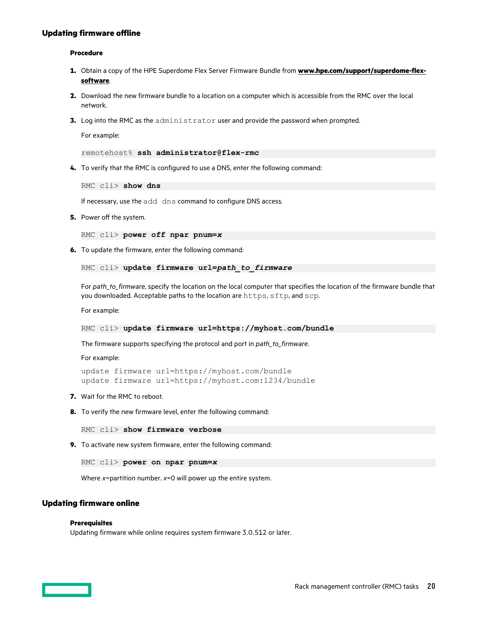## <span id="page-19-0"></span>**Updating firmware offline**

## **Procedure**

- **1.** Obtain a copy of the HPE Superdome Flex Server Firmware Bundle from **[www.hpe.com/support/superdome-flex](https://www.hpe.com/support/superdome-flex-software)[software](https://www.hpe.com/support/superdome-flex-software)**.
- **2.** Download the new firmware bundle to a location on a computer which is accessible from the RMC over the local network.
- **3.** Log into the RMC as the administrator user and provide the password when prompted.

For example:

remotehost% **ssh administrator@flex-rmc**

**4.** To verify that the RMC is configured to use a DNS, enter the following command:

RMC cli> **show dns**

If necessary, use the add dns command to configure DNS access.

**5.** Power off the system.

RMC cli> **power off npar pnum=***x*

**6.** To update the firmware, enter the following command:

```
RMC cli> update firmware url=path_to_firmware
```
For *path\_to\_firmware*, specify the location on the local computer that specifies the location of the firmware bundle that you downloaded. Acceptable paths to the location are https, sftp, and scp.

For example:

RMC cli> **update firmware url=https://myhost.com/bundle**

The firmware supports specifying the protocol and port in *path\_to\_firmware*.

For example:

```
update firmware url=https://myhost.com/bundle
update firmware url=https://myhost.com:1234/bundle
```
- **7.** Wait for the RMC to reboot.
- **8.** To verify the new firmware level, enter the following command:

RMC cli> **show firmware verbose**

**9.** To activate new system firmware, enter the following command:

RMC cli> **power on npar pnum=***x*

Where *x*=partition number. *x*=0 will power up the entire system.

## **Updating firmware online**

## **Prerequisites**

Updating firmware while online requires system firmware 3.0.512 or later.

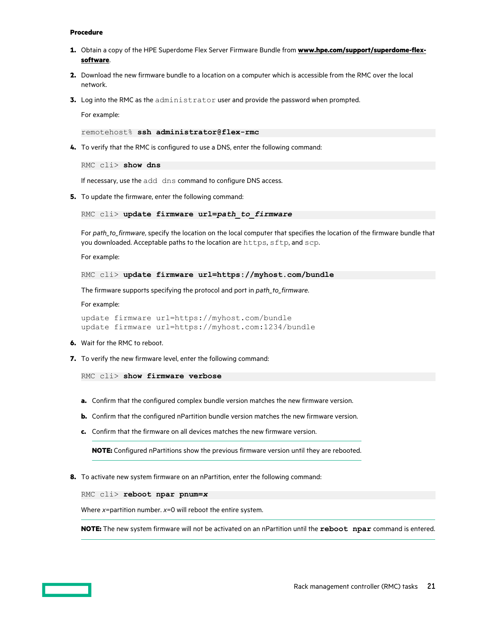#### **Procedure**

- **1.** Obtain a copy of the HPE Superdome Flex Server Firmware Bundle from **[www.hpe.com/support/superdome-flex](https://www.hpe.com/support/superdome-flex-software)[software](https://www.hpe.com/support/superdome-flex-software)**.
- **2.** Download the new firmware bundle to a location on a computer which is accessible from the RMC over the local network.
- **3.** Log into the RMC as the administrator user and provide the password when prompted.

For example:

remotehost% **ssh administrator@flex-rmc**

**4.** To verify that the RMC is configured to use a DNS, enter the following command:

RMC cli> **show dns**

If necessary, use the add dns command to configure DNS access.

**5.** To update the firmware, enter the following command:

RMC cli> **update firmware url=***path\_to\_firmware*

For *path to firmware*, specify the location on the local computer that specifies the location of the firmware bundle that you downloaded. Acceptable paths to the location are https, sftp, and scp.

For example:

```
RMC cli> update firmware url=https://myhost.com/bundle
```
The firmware supports specifying the protocol and port in *path\_to\_firmware*.

For example:

update firmware url=https://myhost.com/bundle update firmware url=https://myhost.com:1234/bundle

- **6.** Wait for the RMC to reboot.
- **7.** To verify the new firmware level, enter the following command:

RMC cli> **show firmware verbose**

- **a.** Confirm that the configured complex bundle version matches the new firmware version.
- **b.** Confirm that the configured nPartition bundle version matches the new firmware version.
- **c.** Confirm that the firmware on all devices matches the new firmware version.

**NOTE:** Configured nPartitions show the previous firmware version until they are rebooted.

**8.** To activate new system firmware on an nPartition, enter the following command:

RMC cli> **reboot npar pnum=***x*

Where *x*=partition number. *x*=0 will reboot the entire system.

**NOTE:** The new system firmware will not be activated on an nPartition until the **reboot npar** command is entered.

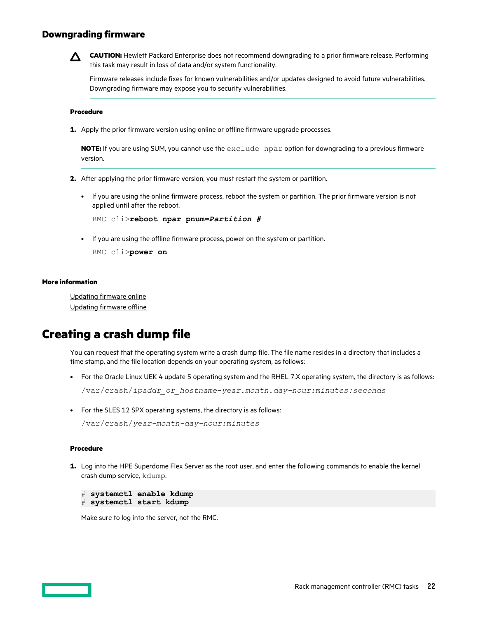## <span id="page-21-0"></span>**Downgrading firmware**



**CAUTION:** Hewlett Packard Enterprise does not recommend downgrading to a prior firmware release. Performing this task may result in loss of data and/or system functionality.

Firmware releases include fixes for known vulnerabilities and/or updates designed to avoid future vulnerabilities. Downgrading firmware may expose you to security vulnerabilities.

## **Procedure**

**1.** Apply the prior firmware version using online or offline firmware upgrade processes.

**NOTE:** If you are using SUM, you cannot use the exclude npar option for downgrading to a previous firmware version.

- **2.** After applying the prior firmware version, you must restart the system or partition.
	- If you are using the online firmware process, reboot the system or partition. The prior firmware version is not applied until after the reboot.

```
RMC cli>reboot npar pnum=Partition #
```
• If you are using the offline firmware process, power on the system or partition.

RMC cli>**power on**

#### **More information**

[Updating firmware online](#page-19-0) Updating firmware offline

# **Creating a crash dump file**

You can request that the operating system write a crash dump file. The file name resides in a directory that includes a time stamp, and the file location depends on your operating system, as follows:

• For the Oracle Linux UEK 4 update 5 operating system and the RHEL 7.X operating system, the directory is as follows:

```
/var/crash/ipaddr_or_hostname-year.month.day-hour:minutes:seconds
```
• For the SLES 12 SPX operating systems, the directory is as follows:

```
/var/crash/year-month-day-hour:minutes
```
## **Procedure**

**1.** Log into the HPE Superdome Flex Server as the root user, and enter the following commands to enable the kernel crash dump service, kdump.

```
# systemctl enable kdump
# systemctl start kdump
```
Make sure to log into the server, not the RMC.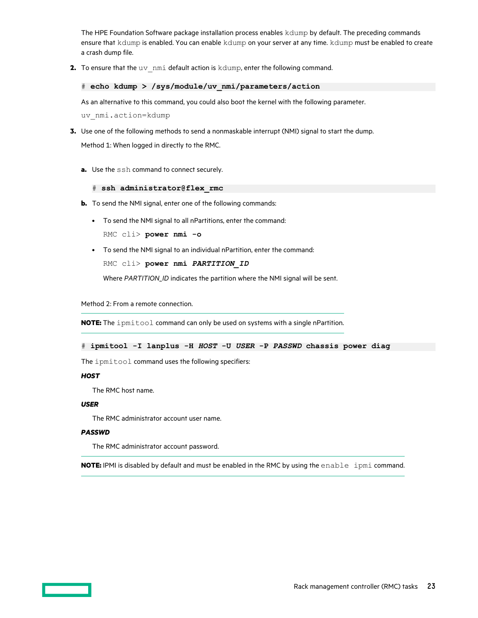The HPE Foundation Software package installation process enables kdump by default. The preceding commands ensure that kdump is enabled. You can enable kdump on your server at any time. kdump must be enabled to create a crash dump file.

**2.** To ensure that the uv nmi default action is kdump, enter the following command.

## # **echo kdump > /sys/module/uv\_nmi/parameters/action**

As an alternative to this command, you could also boot the kernel with the following parameter.

uv\_nmi.action=kdump

**3.** Use one of the following methods to send a nonmaskable interrupt (NMI) signal to start the dump.

Method 1: When logged in directly to the RMC.

**a.** Use the ssh command to connect securely.

## # **ssh administrator@flex\_rmc**

- **b.** To send the NMI signal, enter one of the following commands:
	- To send the NMI signal to all nPartitions, enter the command: RMC cli> **power nmi -o**
	- To send the NMI signal to an individual nPartition, enter the command: RMC cli> **power nmi** *PARTITION\_ID*

Where *PARTITION\_ID* indicates the partition where the NMI signal will be sent.

Method 2: From a remote connection.

**NOTE:** The ipmitool command can only be used on systems with a single nPartition.

# **ipmitool -I lanplus -H** *HOST* **-U** *USER* **-P** *PASSWD* **chassis power diag**

The ipmitool command uses the following specifiers:

## *HOST*

The RMC host name.

## *USER*

The RMC administrator account user name.

## *PASSWD*

The RMC administrator account password.

**NOTE:** IPMI is disabled by default and must be enabled in the RMC by using the enable ipmi command.

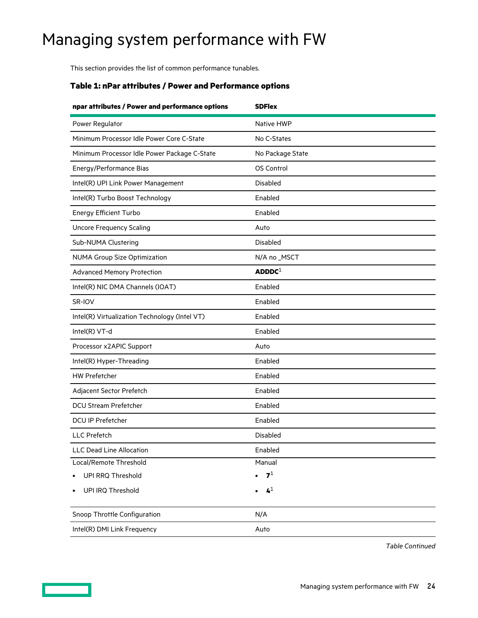# <span id="page-23-0"></span>Managing system performance with FW

This section provides the list of common performance tunables.

## **Table 1: nPar attributes / Power and Performance options**

| npar attributes / Power and performance options | <b>SDFlex</b>      |  |  |  |  |  |
|-------------------------------------------------|--------------------|--|--|--|--|--|
| Power Regulator                                 | Native HWP         |  |  |  |  |  |
| Minimum Processor Idle Power Core C-State       | No C-States        |  |  |  |  |  |
| Minimum Processor Idle Power Package C-State    | No Package State   |  |  |  |  |  |
| Energy/Performance Bias                         | OS Control         |  |  |  |  |  |
| Intel(R) UPI Link Power Management              | Disabled           |  |  |  |  |  |
| Intel(R) Turbo Boost Technology                 | Enabled            |  |  |  |  |  |
| <b>Energy Efficient Turbo</b>                   | Enabled            |  |  |  |  |  |
| <b>Uncore Frequency Scaling</b>                 | Auto               |  |  |  |  |  |
| Sub-NUMA Clustering                             | <b>Disabled</b>    |  |  |  |  |  |
| <b>NUMA Group Size Optimization</b>             | N/A no _MSCT       |  |  |  |  |  |
| <b>Advanced Memory Protection</b>               | ADDDC <sup>1</sup> |  |  |  |  |  |
| Intel(R) NIC DMA Channels (IOAT)                | Enabled            |  |  |  |  |  |
| SR-IOV                                          | Enabled            |  |  |  |  |  |
| Intel(R) Virtualization Technology (Intel VT)   | Enabled            |  |  |  |  |  |
| Intel(R) VT-d                                   | Enabled            |  |  |  |  |  |
| Processor x2APIC Support                        | Auto               |  |  |  |  |  |
| Intel(R) Hyper-Threading                        | Enabled            |  |  |  |  |  |
| <b>HW Prefetcher</b>                            | Enabled            |  |  |  |  |  |
| Adjacent Sector Prefetch                        | Enabled            |  |  |  |  |  |
| DCU Stream Prefetcher                           | Enabled            |  |  |  |  |  |
| <b>DCU IP Prefetcher</b>                        | Enabled            |  |  |  |  |  |
| LLC Prefetch                                    | <b>Disabled</b>    |  |  |  |  |  |
| LLC Dead Line Allocation                        | Enabled            |  |  |  |  |  |
| Local/Remote Threshold                          | Manual             |  |  |  |  |  |
| UPI RRQ Threshold                               | $\mathbf{7}^1$     |  |  |  |  |  |
| UPI IRQ Threshold                               | 4 <sup>1</sup>     |  |  |  |  |  |
| Snoop Throttle Configuration                    | N/A                |  |  |  |  |  |
| Intel(R) DMI Link Frequency                     | Auto               |  |  |  |  |  |

*Table Continued*

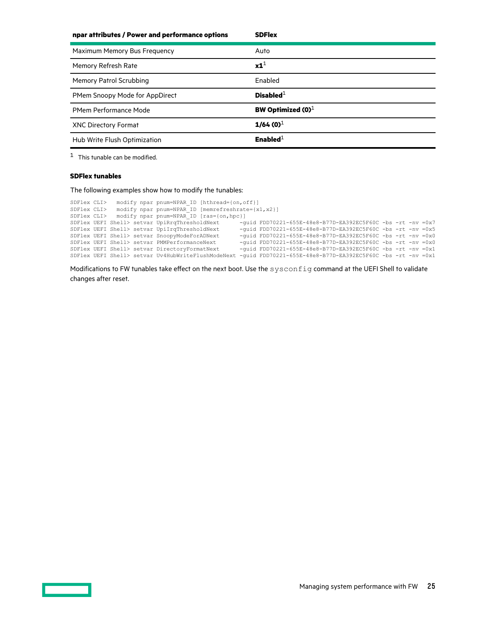<span id="page-24-0"></span>

| npar attributes / Power and performance options | <b>SDFlex</b>        |
|-------------------------------------------------|----------------------|
| Maximum Memory Bus Frequency                    | Auto                 |
| Memory Refresh Rate                             | $x1^1$               |
| Memory Patrol Scrubbing                         | Enabled              |
| PMem Snoopy Mode for AppDirect                  | Disabled $1$         |
| <b>PMem Performance Mode</b>                    | BW Optimized $(0)^1$ |
| XNC Directory Format                            | $1/64(0)^1$          |
| Hub Write Flush Optimization                    | Enabled $^1$         |

[1](#page-23-0) This tunable can be modified.

## **SDFlex tunables**

The following examples show how to modify the tunables:

| SDFlex CLI> |  | modify npar pnum=NPAR ID [hthread={on, off}]                                                                   |                                                                |  |  |  |  |
|-------------|--|----------------------------------------------------------------------------------------------------------------|----------------------------------------------------------------|--|--|--|--|
| SDFlex CLI> |  | modify npar pnum=NPAR ID [memrefreshrate= $\{x1, x2\}$ ]                                                       |                                                                |  |  |  |  |
| SDFlex CLI> |  | modify npar pnum=NPAR ID [ras={on, hpc}]                                                                       |                                                                |  |  |  |  |
|             |  | SDFlex UEFI Shell> setvar UpiRrqThresholdNext                                                                  | $-$ quid FDD70221-655E-48e8-B77D-EA392EC5F60C -bs -rt -nv =0x7 |  |  |  |  |
|             |  | SDFlex UEFI Shell> setvar UpiIrqThresholdNext                                                                  | $-$ quid FDD70221-655E-48e8-B77D-EA392EC5F60C -bs -rt -nv =0x5 |  |  |  |  |
|             |  | SDFlex UEFI Shell> setvar SnoopyModeForADNext                                                                  | $-$ quid FDD70221-655E-48e8-B77D-EA392EC5F60C -bs -rt -nv =0x0 |  |  |  |  |
|             |  | SDFlex UEFI Shell> setvar PMMPerformanceNext                                                                   | $-$ quid FDD70221-655E-48e8-B77D-EA392EC5F60C -bs -rt -nv =0x0 |  |  |  |  |
|             |  | SDFlex UEFI Shell> setvar DirectoryFormatNext                                                                  | $-$ quid FDD70221-655E-48e8-B77D-EA392EC5F60C -bs -rt -nv =0x1 |  |  |  |  |
|             |  | SDFlex UEFI Shell> setvar Uv4HubWriteFlushModeNext -quid FDD70221-655E-48e8-B77D-EA392EC5F60C -bs -rt -nv =0x1 |                                                                |  |  |  |  |

Modifications to FW tunables take effect on the next boot. Use the  ${\rm sysconfig}$  command at the UEFI Shell to validate changes after reset.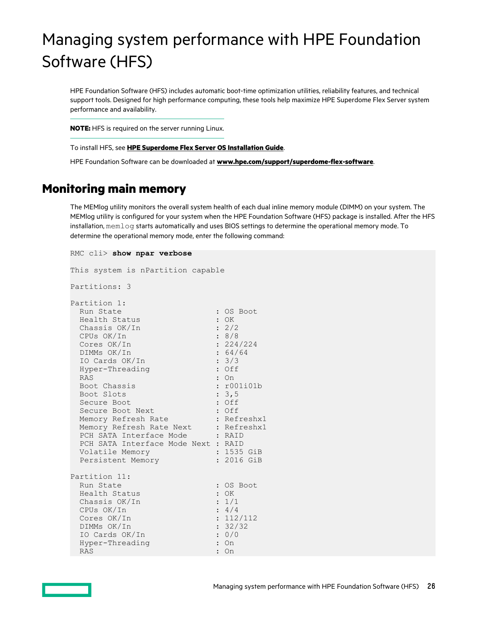# <span id="page-25-0"></span>Managing system performance with HPE Foundation Software (HFS)

HPE Foundation Software (HFS) includes automatic boot-time optimization utilities, reliability features, and technical support tools. Designed for high performance computing, these tools help maximize HPE Superdome Flex Server system performance and availability.

**NOTE:** HFS is required on the server running Linux.

To install HFS, see **HPE [Superdome Flex Server](https://www.hpe.com/support/superdome-flex-os) OS Installation Guide**.

HPE Foundation Software can be downloaded at **[www.hpe.com/support/superdome-flex-software](https://www.hpe.com/support/superdome-flex-software)**.

# **Monitoring main memory**

The MEMlog utility monitors the overall system health of each dual inline memory module (DIMM) on your system. The MEMlog utility is configured for your system when the HPE Foundation Software (HFS) package is installed. After the HFS installation, memlog starts automatically and uses BIOS settings to determine the operational memory mode. To determine the operational memory mode, enter the following command:

```
RMC cli> show npar verbose
This system is nPartition capable
Partitions: 3
Partition 1:
Run State : 0S Boot
Health Status : OK
Chassis OK/In : 2/2
 CPUs OK/In : 8/8
Cores OK/In : 224/224
DIMMs OK/In : 64/64
IO Cards OK/In : 3/3
 Hyper-Threading : Off
RAS : On
Boot Chassis : r001i01b
Boot Slots : 3,5
Secure Boot : 0ff
Secure Boot Next : Off
Memory Refresh Rate : Refreshx1
Memory Refresh Rate Next : Refreshx1
PCH SATA Interface Mode : RAID
 PCH SATA Interface Mode Next : RAID
 Volatile Memory : 1535 GiB<br>Persistent Memory : 2016 GiB
Persistent Memory : 2016 GiB
Partition 11:
Run State : 0S Boot
Health Status : OK
Chassis OK/In : 1/1
CPUs OK/In : 4/4
Cores OK/In : 112/112
DIMMs OK/In : 32/32
 IO Cards OK/In : 0/0
 DIMMS OK/In : 32.<br>
IO Cards OK/In : 0/<br>
Hyper-Threading : 0n
 RAS : On \sim
```
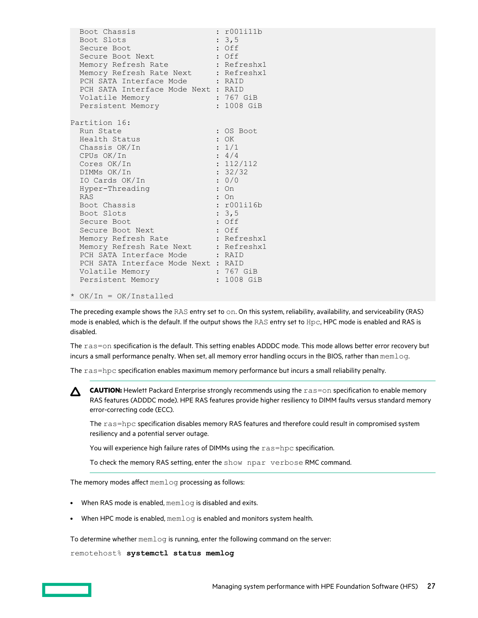| Boot Chassis<br>Boot Slots<br>Secure Boot<br>Secure Boot Next<br>Memory Refresh Rate<br>Memory Refresh Rate Next<br>PCH SATA Interface Mode : RAID<br>PCH SATA Interface Mode Next : RAID<br>Volatile Memory<br>Persistent Memory      | r001i11b<br>: 3, 5<br>: Off<br>: Off<br>: Refreshx1<br>: Refreshx1<br>: 767 GiB<br>: 1008 GiB |
|----------------------------------------------------------------------------------------------------------------------------------------------------------------------------------------------------------------------------------------|-----------------------------------------------------------------------------------------------|
|                                                                                                                                                                                                                                        |                                                                                               |
| Partition 16:<br>Run State<br>Health Status<br>Chassis OK/In<br>CPUs OK/In<br>Cores OK/In<br>DIMMs OK/In<br>IO Cards OK/In<br>Hyper-Threading<br><b>RAS</b>                                                                            | : OS Boot<br>$:$ OK<br>: 1/1<br>: 4/4<br>: 112/112<br>: 32/32<br>: 0/0<br>$:$ On<br>On        |
| Boot Chassis<br>Boot Slots<br>Secure Boot<br>Secure Boot Next<br>Memory Refresh Rate<br>Memory Refresh Rate Next : Refreshx1<br>PCH SATA Interface Mode<br>PCH SATA Interface Mode Next : RAID<br>Volatile Memory<br>Persistent Memory | : r001i16b<br>: 3, 5<br>: Off<br>: Off<br>: Refreshx1<br>: RAID<br>: 767 GiB<br>: 1008 GiB    |

<sup>\*</sup> OK/In = OK/Installed

The preceding example shows the RAS entry set to on. On this system, reliability, availability, and serviceability (RAS) mode is enabled, which is the default. If the output shows the RAS entry set to Hpc, HPC mode is enabled and RAS is disabled.

The ras=on specification is the default. This setting enables ADDDC mode. This mode allows better error recovery but incurs a small performance penalty. When set, all memory error handling occurs in the BIOS, rather than memlog.

The ras=hpc specification enables maximum memory performance but incurs a small reliability penalty.

△ CAUTION: Hewlett Packard Enterprise strongly recommends using the ras=on specification to enable memory RAS features (ADDDC mode). HPE RAS features provide higher resiliency to DIMM faults versus standard memory error-correcting code (ECC).

The ras=hpc specification disables memory RAS features and therefore could result in compromised system resiliency and a potential server outage.

You will experience high failure rates of DIMMs using the ras=hpc specification.

To check the memory RAS setting, enter the show npar verbose RMC command.

The memory modes affect  $mendoq$  processing as follows:

- When RAS mode is enabled, memlog is disabled and exits.
- When HPC mode is enabled,  $mendoq$  is enabled and monitors system health.

To determine whether  $\text{memlog}$  is running, enter the following command on the server:

remotehost% **systemctl status memlog**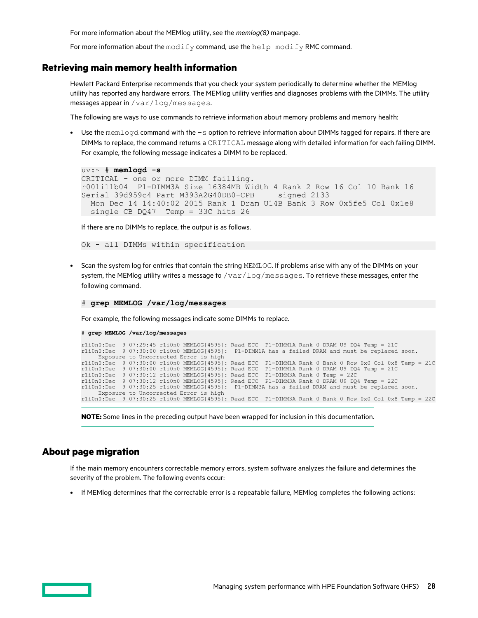For more information about the MEMlog utility, see the *memlog(8)* manpage.

For more information about the  $\text{modify}$  command, use the  $\text{help} \mod{f}$  RMC command.

## <span id="page-27-0"></span>**Retrieving main memory health information**

Hewlett Packard Enterprise recommends that you check your system periodically to determine whether the MEMlog utility has reported any hardware errors. The MEMlog utility verifies and diagnoses problems with the DIMMs. The utility messages appear in /var/log/messages.

The following are ways to use commands to retrieve information about memory problems and memory health:

• Use the memlogd command with the  $-s$  option to retrieve information about DIMMs tagged for repairs. If there are DIMMs to replace, the command returns a CRITICAL message along with detailed information for each failing DIMM. For example, the following message indicates a DIMM to be replaced.

```
uv:~ # memlogd -s
CRITICAL - one or more DIMM failling.
r001i11b04 P1-DIMM3A Size 16384MB Width 4 Rank 2 Row 16 Col 10 Bank 16 
Serial 39d959c4 Part M393A2G40DB0-CPB signed 2133
  Mon Dec 14 14:40:02 2015 Rank 1 Dram U14B Bank 3 Row 0x5fe5 Col 0x1e8 
 single CB DQ47 Temp = 33C hits 26
```
If there are no DIMMs to replace, the output is as follows.

Ok - all DIMMs within specification

• Scan the system log for entries that contain the string MEMLOG. If problems arise with any of the DIMMs on your system, the MEMlog utility writes a message to  $/\text{var}/\text{log/messages}$ . To retrieve these messages, enter the following command.

```
# grep MEMLOG /var/log/messages
```
For example, the following messages indicate some DIMMs to replace.

```
# grep MEMLOG /var/log/messages
r1i0n0:Dec 9 07:29:45 r1i0n0 MEMLOG[4595]: Read ECC P1-DIMM1A Rank 0 DRAM U9 DQ4 Temp = 21C
r1i0n0:Dec 9 07:30:00 r1i0n0 MEMLOG[4595]: P1-DIMM1A has a failed DRAM and must be replaced soon.
Exposure to Uncorrected Error is high<br>riiOn0:Dec 907:30:00 riiOn0 MEMLOG[4595]: Read ECC P1-DIMM1A Rank 0 Bank 0 Row 0x0 Col 0x8 Temp = 21C<br>riiOn0:Dec 907:30:00 riiOn0 MEMLOG[4595]: Read ECC P1-DIMM1A Rank 0 DRAM U9 DQ4 Te
r1i0n0:Dec 9 07:30:25 r1i0n0 MEMLOG[4595]: P1-DIMM3A has a failed DRAM and must be replaced soon.
      Exposure to Uncorrected Error is high
r1i0n0:Dec 9 07:30:25 r1i0n0 MEMLOG[4595]: Read ECC P1-DIMM3A Rank 0 Bank 0 Row 0x0 Col 0x8 Temp = 22C
```
**NOTE:** Some lines in the preceding output have been wrapped for inclusion in this documentation.

## **About page migration**

If the main memory encounters correctable memory errors, system software analyzes the failure and determines the severity of the problem. The following events occur:

• If MEMlog determines that the correctable error is a repeatable failure, MEMlog completes the following actions: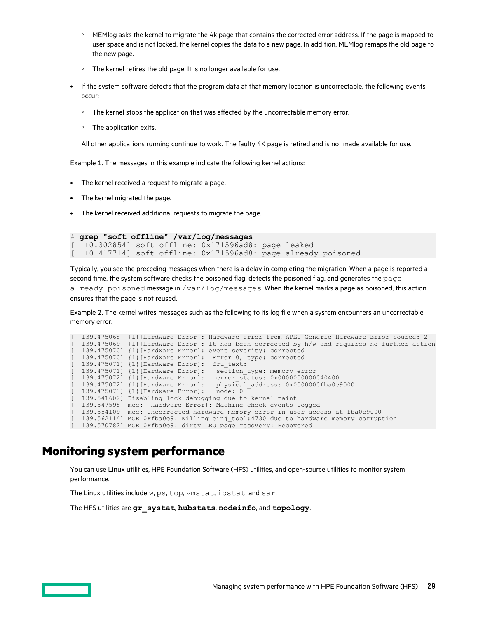- <span id="page-28-0"></span>MEMlog asks the kernel to migrate the 4k page that contains the corrected error address. If the page is mapped to user space and is not locked, the kernel copies the data to a new page. In addition, MEMlog remaps the old page to the new page.
- The kernel retires the old page. It is no longer available for use.
- If the system software detects that the program data at that memory location is uncorrectable, the following events occur:
	- The kernel stops the application that was affected by the uncorrectable memory error.
	- The application exits.

All other applications running continue to work. The faulty 4K page is retired and is not made available for use.

Example 1. The messages in this example indicate the following kernel actions:

- The kernel received a request to migrate a page.
- The kernel migrated the page.
- The kernel received additional requests to migrate the page.

```
# grep "soft offline" /var/log/messages
  [ +0.302854] soft offline: 0x171596ad8: page leaked
```

```
[ +0.417714] soft offline: 0x171596ad8: page already poisoned
```
Typically, you see the preceding messages when there is a delay in completing the migration. When a page is reported a second time, the system software checks the poisoned flag, detects the poisoned flag, and generates the page already poisoned message in  $/var/log/messages$ . When the kernel marks a page as poisoned, this action ensures that the page is not reused.

Example 2. The kernel writes messages such as the following to its log file when a system encounters an uncorrectable memory error.

```
[ 139.475068] {1}[Hardware Error]: Hardware error from APEI Generic Hardware Error Source: 2
 [ 139.475069] {1}[Hardware Error]: It has been corrected by h/w and requires no further action
[ 139.475070] {1}[Hardware Error]: event severity: corrected
[ 139.475070] {1}[Hardware Error]: Error 0, type: corrected
  [ 139.475071] {1}[Hardware Error]: fru_text:
[ 139.475071] {1} [Hardware Error]: section type: memory error
[ 139.475072] {1} [Hardware Error]: error status: 0x00000000000040400
  139.475072] {1}[Hardware Error]: physical_address: 0x0000000fba0e9000<br>139.475073] {1}[Hardware Error]: node: 0
   139.475073] {1}[Hardware Error]:
  139.541602] Disabling lock debugging due to kernel taint
  [ 139.547595] mce: [Hardware Error]: Machine check events logged
  139.554109] mce: Uncorrected hardware memory error in user-access at fba0e9000
  [ 139.562114] MCE 0xfba0e9: Killing einj_tool:4730 due to hardware memory corruption
[ 139.570782] MCE 0xfba0e9: dirty LRU page recovery: Recovered
```
# **Monitoring system performance**

You can use Linux utilities, HPE Foundation Software (HFS) utilities, and open-source utilities to monitor system performance.

The Linux utilities include w, ps, top, vmstat, iostat, and sar.

The HFS utilities are **[gr\\_systat](#page-34-0)**, **[hubstats](#page-39-0)**, **[nodeinfo](#page-41-0)**, and **[topology](#page-42-0)**.

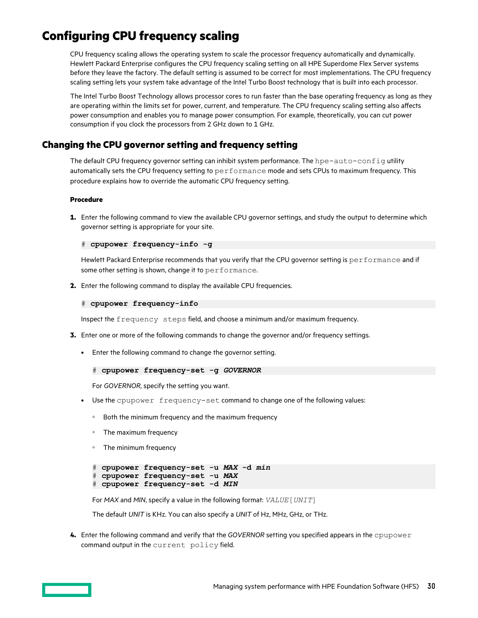# <span id="page-29-0"></span>**Configuring CPU frequency scaling**

CPU frequency scaling allows the operating system to scale the processor frequency automatically and dynamically. Hewlett Packard Enterprise configures the CPU frequency scaling setting on all HPE Superdome Flex Server systems before they leave the factory. The default setting is assumed to be correct for most implementations. The CPU frequency scaling setting lets your system take advantage of the Intel Turbo Boost technology that is built into each processor.

The Intel Turbo Boost Technology allows processor cores to run faster than the base operating frequency as long as they are operating within the limits set for power, current, and temperature. The CPU frequency scaling setting also affects power consumption and enables you to manage power consumption. For example, theoretically, you can cut power consumption if you clock the processors from 2 GHz down to 1 GHz.

## **Changing the CPU governor setting and frequency setting**

The default CPU frequency governor setting can inhibit system performance. The hpe-auto-config utility automatically sets the CPU frequency setting to performance mode and sets CPUs to maximum frequency. This procedure explains how to override the automatic CPU frequency setting.

## **Procedure**

**1.** Enter the following command to view the available CPU governor settings, and study the output to determine which governor setting is appropriate for your site.

```
# cpupower frequency-info -g
```
Hewlett Packard Enterprise recommends that you verify that the CPU governor setting is performance and if some other setting is shown, change it to performance.

**2.** Enter the following command to display the available CPU frequencies.

```
# cpupower frequency-info
```
Inspect the frequency steps field, and choose a minimum and/or maximum frequency.

- **3.** Enter one or more of the following commands to change the governor and/or frequency settings.
	- Enter the following command to change the governor setting.

```
# cpupower frequency-set -g GOVERNOR
```
For *GOVERNOR*, specify the setting you want.

- Use the cpupower frequency-set command to change one of the following values:
	- Both the minimum frequency and the maximum frequency
	- The maximum frequency
	- The minimum frequency

```
# cpupower frequency-set -u MAX -d min
# cpupower frequency-set -u MAX
# cpupower frequency-set -d MIN
```
For *MAX* and *MIN*, specify a value in the following format: *VALUE*[*UNIT*]

The default *UNIT* is KHz. You can also specify a *UNIT* of Hz, MHz, GHz, or THz.

**4.** Enter the following command and verify that the *GOVERNOR* setting you specified appears in the cpupower command output in the current policy field.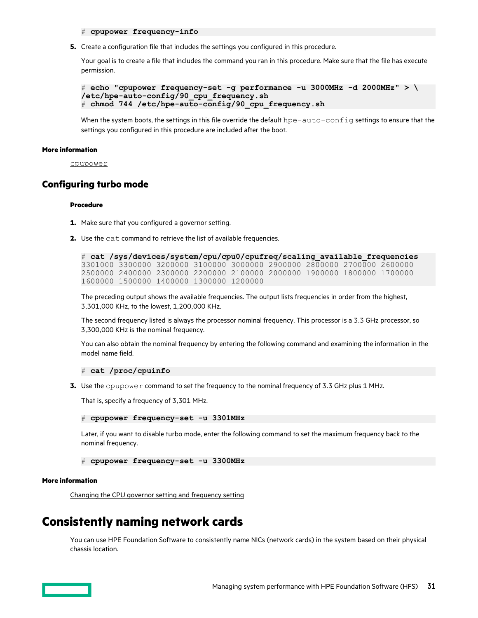### # **cpupower frequency-info**

<span id="page-30-0"></span>**5.** Create a configuration file that includes the settings you configured in this procedure.

Your goal is to create a file that includes the command you ran in this procedure. Make sure that the file has execute permission.

```
# echo "cpupower frequency-set -g performance -u 3000MHz -d 2000MHz" > \
/etc/hpe-auto-config/90_cpu_frequency.sh
# chmod 744 /etc/hpe-auto-config/90_cpu_frequency.sh
```
When the system boots, the settings in this file override the default  $hpe-auto-config$  settings to ensure that the settings you configured in this procedure are included after the boot.

#### **More information**

[cpupower](#page-33-0)

## **Configuring turbo mode**

## **Procedure**

- **1.** Make sure that you configured a governor setting.
- **2.** Use the cat command to retrieve the list of available frequencies.

```
# cat /sys/devices/system/cpu/cpu0/cpufreq/scaling_available_frequencies
3301000 3300000 3200000 3100000 3000000 2900000 2800000 2700000 2600000
2500000 2400000 2300000 2200000 2100000 2000000 1900000 1800000 1700000
1600000 1500000 1400000 1300000 1200000
```
The preceding output shows the available frequencies. The output lists frequencies in order from the highest, 3,301,000 KHz, to the lowest, 1,200,000 KHz.

The second frequency listed is always the processor nominal frequency. This processor is a 3.3 GHz processor, so 3,300,000 KHz is the nominal frequency.

You can also obtain the nominal frequency by entering the following command and examining the information in the model name field.

#### # **cat /proc/cpuinfo**

**3.** Use the cpupower command to set the frequency to the nominal frequency of 3.3 GHz plus 1 MHz.

That is, specify a frequency of 3,301 MHz.

```
# cpupower frequency-set -u 3301MHz
```
Later, if you want to disable turbo mode, enter the following command to set the maximum frequency back to the nominal frequency.

```
# cpupower frequency-set -u 3300MHz
```
## **More information**

[Changing the CPU governor setting and frequency setting](#page-29-0)

## **Consistently naming network cards**

You can use HPE Foundation Software to consistently name NICs (network cards) in the system based on their physical chassis location.

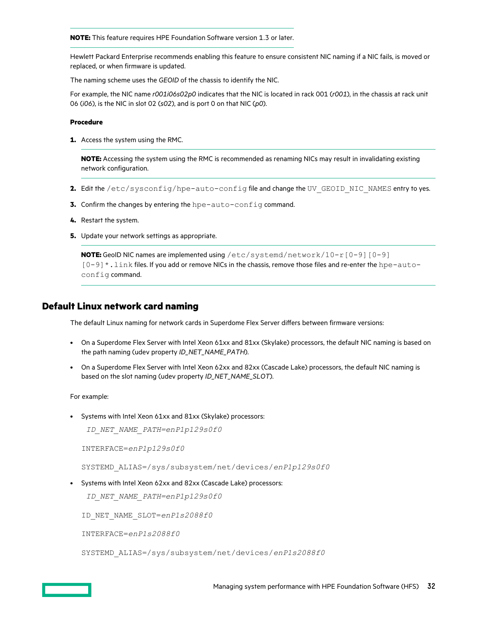<span id="page-31-0"></span>**NOTE:** This feature requires HPE Foundation Software version 1.3 or later.

Hewlett Packard Enterprise recommends enabling this feature to ensure consistent NIC naming if a NIC fails, is moved or replaced, or when firmware is updated.

The naming scheme uses the *GEOID* of the chassis to identify the NIC.

For example, the NIC name *r001i06s02p0* indicates that the NIC is located in rack 001 (*r001*), in the chassis at rack unit 06 (*i06*), is the NIC in slot 02 (*s02*), and is port 0 on that NIC (*p0*).

## **Procedure**

**1.** Access the system using the RMC.

**NOTE:** Accessing the system using the RMC is recommended as renaming NICs may result in invalidating existing network configuration.

- 2. Edit the /etc/sysconfig/hpe-auto-config file and change the UV\_GEOID\_NIC\_NAMES entry to yes.
- **3.** Confirm the changes by entering the hpe-auto-config command.
- **4.** Restart the system.
- **5.** Update your network settings as appropriate.

**NOTE:** GeoID NIC names are implemented using /etc/systemd/network/10-r [0-9] [0-9] [0-9]\*.link files. If you add or remove NICs in the chassis, remove those files and re-enter the hpe-autoconfig command.

## **Default Linux network card naming**

The default Linux naming for network cards in Superdome Flex Server differs between firmware versions:

- On a Superdome Flex Server with Intel Xeon 61xx and 81xx (Skylake) processors, the default NIC naming is based on the path naming (udev property *ID\_NET\_NAME\_PATH*).
- On a Superdome Flex Server with Intel Xeon 62xx and 82xx (Cascade Lake) processors, the default NIC naming is based on the slot naming (udev property *ID\_NET\_NAME\_SLOT*).

For example:

• Systems with Intel Xeon 61xx and 81xx (Skylake) processors:

*ID\_NET\_NAME\_PATH=enP1p129s0f0*

INTERFACE=*enP1p129s0f0*

SYSTEMD\_ALIAS=/sys/subsystem/net/devices/*enP1p129s0f0*

• Systems with Intel Xeon 62xx and 82xx (Cascade Lake) processors:

*ID\_NET\_NAME\_PATH=enP1p129s0f0*

ID\_NET\_NAME\_SLOT=*enP1s2088f0*

INTERFACE=*enP1s2088f0*

SYSTEMD\_ALIAS=/sys/subsystem/net/devices/*enP1s2088f0*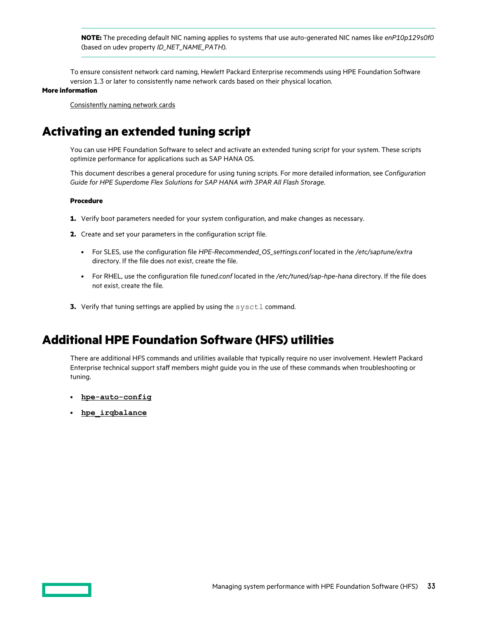<span id="page-32-0"></span>**NOTE:** The preceding default NIC naming applies to systems that use auto-generated NIC names like *enP10p129s0f0* (based on udev property *ID\_NET\_NAME\_PATH*).

To ensure consistent network card naming, Hewlett Packard Enterprise recommends using HPE Foundation Software version 1.3 or later to consistently name network cards based on their physical location.

### **More information**

[Consistently naming network cards](#page-30-0)

# **Activating an extended tuning script**

You can use HPE Foundation Software to select and activate an extended tuning script for your system. These scripts optimize performance for applications such as SAP HANA OS.

This document describes a general procedure for using tuning scripts. For more detailed information, see *Configuration Guide for HPE Superdome Flex Solutions for SAP HANA with 3PAR All Flash Storage*.

## **Procedure**

- **1.** Verify boot parameters needed for your system configuration, and make changes as necessary.
- **2.** Create and set your parameters in the configuration script file.
	- For SLES, use the configuration file *HPE-Recommended\_OS\_settings.conf* located in the */etc/saptune/extra* directory. If the file does not exist, create the file.
	- For RHEL, use the configuration file *tuned.conf* located in the */etc/tuned/sap-hpe-hana* directory. If the file does not exist, create the file.
- **3.** Verify that tuning settings are applied by using the sysctl command.

# **Additional HPE Foundation Software (HFS) utilities**

There are additional HFS commands and utilities available that typically require no user involvement. Hewlett Packard Enterprise technical support staff members might guide you in the use of these commands when troubleshooting or tuning.

- **[hpe-auto-config](#page-36-0)**
- **[hpe\\_irqbalance](#page-38-0)**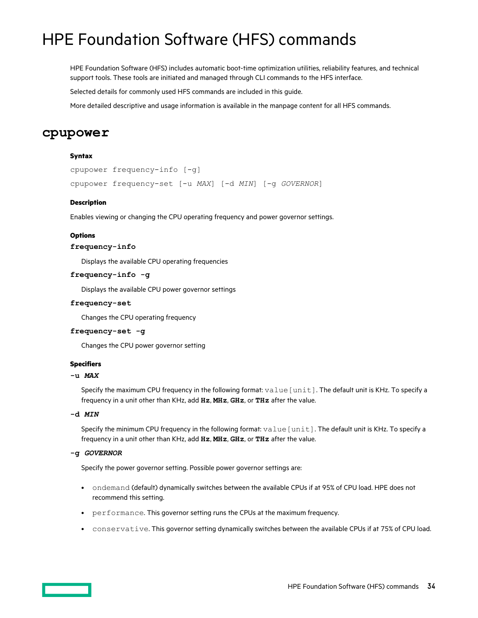# <span id="page-33-0"></span>HPE Foundation Software (HFS) commands

HPE Foundation Software (HFS) includes automatic boot-time optimization utilities, reliability features, and technical support tools. These tools are initiated and managed through CLI commands to the HFS interface.

Selected details for commonly used HFS commands are included in this guide.

More detailed descriptive and usage information is available in the manpage content for all HFS commands.

## **cpupower**

## **Syntax**

```
cpupower frequency-info [-g]
cpupower frequency-set [-u MAX] [-d MIN] [-g GOVERNOR]
```
## **Description**

Enables viewing or changing the CPU operating frequency and power governor settings.

## **Options**

## **frequency-info**

Displays the available CPU operating frequencies

## **frequency-info -g**

Displays the available CPU power governor settings

## **frequency-set**

Changes the CPU operating frequency

## **frequency-set -g**

Changes the CPU power governor setting

## **Specifiers**

## **-u** *MAX*

Specify the maximum CPU frequency in the following format: value [unit]. The default unit is KHz. To specify a frequency in a unit other than KHz, add **Hz**, **MHz**, **GHz**, or **THz** after the value.

## **-d** *MIN*

Specify the minimum CPU frequency in the following format: value [unit]. The default unit is KHz. To specify a frequency in a unit other than KHz, add **Hz**, **MHz**, **GHz**, or **THz** after the value.

## **-g** *GOVERNOR*

Specify the power governor setting. Possible power governor settings are:

- ondemand (default) dynamically switches between the available CPUs if at 95% of CPU load. HPE does not recommend this setting.
- performance. This governor setting runs the CPUs at the maximum frequency.
- conservative. This governor setting dynamically switches between the available CPUs if at 75% of CPU load.

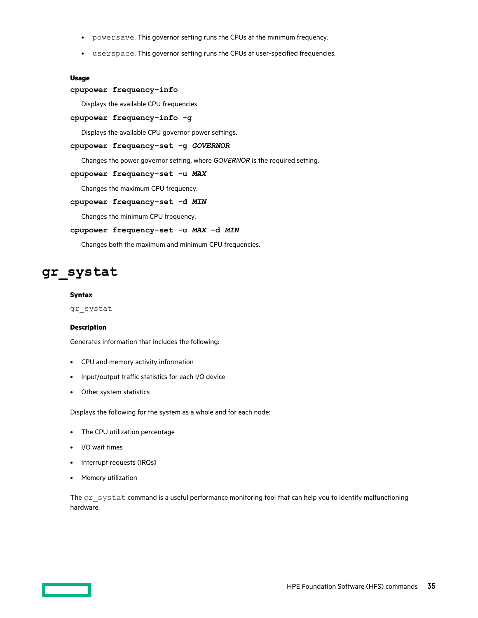- <span id="page-34-0"></span>• powersave. This governor setting runs the CPUs at the minimum frequency.
- userspace. This governor setting runs the CPUs at user-specified frequencies.

## **Usage**

## **cpupower frequency-info**

Displays the available CPU frequencies.

## **cpupower frequency-info -g**

Displays the available CPU governor power settings.

## **cpupower frequency-set -g** *GOVERNOR*

Changes the power governor setting, where *GOVERNOR* is the required setting.

## **cpupower frequency-set -u** *MAX*

Changes the maximum CPU frequency.

## **cpupower frequency-set -d** *MIN*

Changes the minimum CPU frequency.

## **cpupower frequency-set -u** *MAX* **-d** *MIN*

Changes both the maximum and minimum CPU frequencies.

# **gr\_systat**

### **Syntax**

gr\_systat

#### **Description**

Generates information that includes the following:

- CPU and memory activity information
- Input/output traffic statistics for each I/O device
- Other system statistics

Displays the following for the system as a whole and for each node:

- The CPU utilization percentage
- I/O wait times
- Interrupt requests (IRQs)
- Memory utilization

The gr\_systat command is a useful performance monitoring tool that can help you to identify malfunctioning hardware.

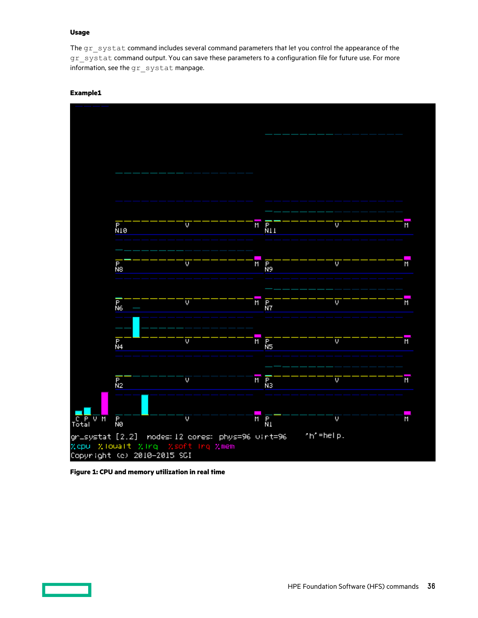## **Usage**

The gr\_systat command includes several command parameters that let you control the appearance of the gr\_systat command output. You can save these parameters to a configuration file for future use. For more information, see the gr systat manpage.

## **Example1**



**Figure 1: CPU and memory utilization in real time**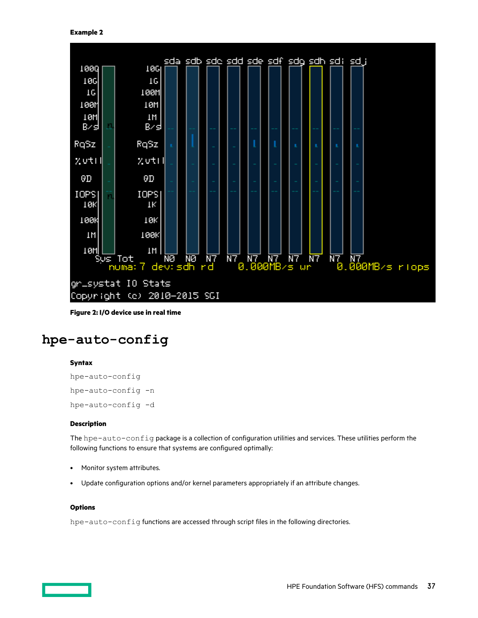

**Figure 2: I/O device use in real time**

# **hpe-auto-config**

# **Syntax**

```
hpe-auto-config
hpe-auto-config -n
hpe-auto-config -d
```
# **Description**

The hpe-auto-config package is a collection of configuration utilities and services. These utilities perform the following functions to ensure that systems are configured optimally:

- Monitor system attributes.
- Update configuration options and/or kernel parameters appropriately if an attribute changes.

# **Options**

hpe-auto-config functions are accessed through script files in the following directories.

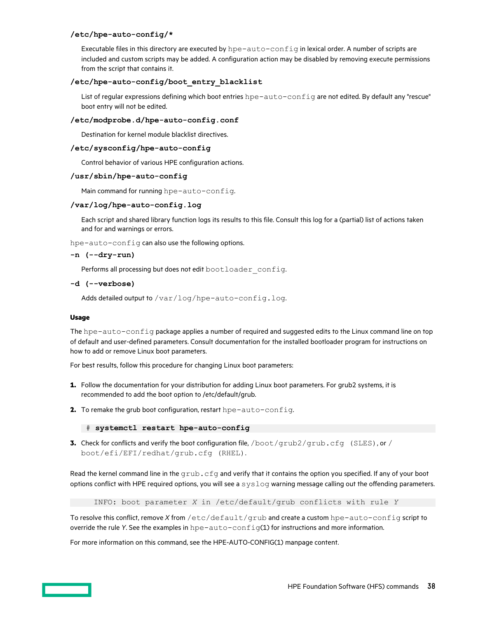# **/etc/hpe-auto-config/\***

Executable files in this directory are executed by hpe-auto-config in lexical order. A number of scripts are included and custom scripts may be added. A configuration action may be disabled by removing execute permissions from the script that contains it.

# **/etc/hpe-auto-config/boot\_entry\_blacklist**

List of regular expressions defining which boot entries hpe-auto-config are not edited. By default any "rescue" boot entry will not be edited.

# **/etc/modprobe.d/hpe-auto-config.conf**

Destination for kernel module blacklist directives.

# **/etc/sysconfig/hpe-auto-config**

Control behavior of various HPE configuration actions.

# **/usr/sbin/hpe-auto-config**

Main command for running hpe-auto-config.

# **/var/log/hpe-auto-config.log**

Each script and shared library function logs its results to this file. Consult this log for a (partial) list of actions taken and for and warnings or errors.

hpe-auto-config can also use the following options.

### **-n (--dry-run)**

Performs all processing but does not edit bootloader config.

### **-d (--verbose)**

Adds detailed output to /var/log/hpe-auto-config.log.

### **Usage**

The hpe-auto-config package applies a number of required and suggested edits to the Linux command line on top of default and user-defined parameters. Consult documentation for the installed bootloader program for instructions on how to add or remove Linux boot parameters.

For best results, follow this procedure for changing Linux boot parameters:

- **1.** Follow the documentation for your distribution for adding Linux boot parameters. For grub2 systems, it is recommended to add the boot option to /etc/default/grub.
- **2.** To remake the grub boot configuration, restart hpe-auto-config.

```
 # systemctl restart hpe-auto-config
```
**3.** Check for conflicts and verify the boot configuration file, /boot/grub2/grub.cfg (SLES), or / boot/efi/EFI/redhat/grub.cfg (RHEL).

Read the kernel command line in the  $qpub$ .  $cfq$  and verify that it contains the option you specified. If any of your boot options conflict with HPE required options, you will see a  $syslog$  warning message calling out the offending parameters.

INFO: boot parameter *X* in /etc/default/grub conflicts with rule *Y*

To resolve this conflict, remove *X* from /etc/default/grub and create a custom hpe-auto-config script to override the rule *Y*. See the examples in hpe-auto-config(1) for instructions and more information.

For more information on this command, see the HPE-AUTO-CONFIG(1) manpage content.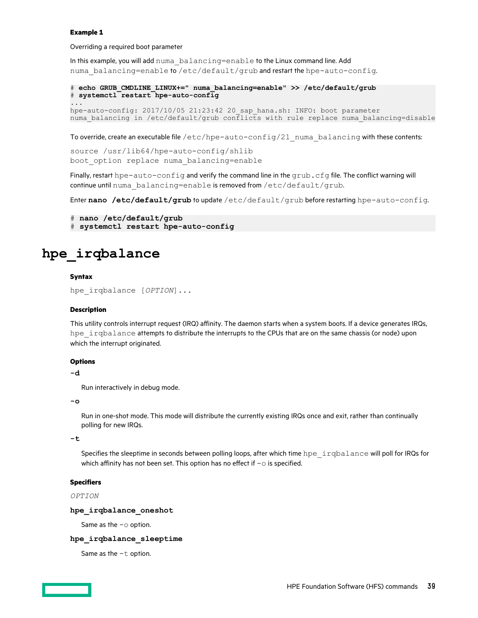### **Example 1**

Overriding a required boot parameter

In this example, you will add numa\_balancing=enable to the Linux command line. Add numa balancing=enable to /etc/default/grub and restart the hpe-auto-config.

```
# echo GRUB_CMDLINE_LINUX+=" numa_balancing=enable" >> /etc/default/grub
# systemctl restart hpe-auto-config
...
hpe-auto-config: 2017/10/05 21:23:42 20_sap_hana.sh: INFO: boot parameter
numa_balancing in /etc/default/grub conflicts with rule replace numa_balancing=disable
```
To override, create an executable file /etc/hpe-auto-config/21 numa balancing with these contents:

```
source /usr/lib64/hpe-auto-config/shlib
boot_option replace numa_balancing=enable
```
Finally, restart hpe-auto-config and verify the command line in the grub.cfg file. The conflict warning will continue until numa balancing=enable is removed from /etc/default/grub.

Enter **nano /etc/default/grub** to update /etc/default/grub before restarting hpe-auto-config.

```
# nano /etc/default/grub
# systemctl restart hpe-auto-config
```
# **hpe\_irqbalance**

### **Syntax**

hpe\_irqbalance [*OPTION*]...

### **Description**

This utility controls interrupt request (IRQ) affinity. The daemon starts when a system boots. If a device generates IRQs, hpe irqbalance attempts to distribute the interrupts to the CPUs that are on the same chassis (or node) upon which the interrupt originated.

### **Options**

**-d**

Run interactively in debug mode.

### **-o**

Run in one-shot mode. This mode will distribute the currently existing IRQs once and exit, rather than continually polling for new IRQs.

### **-t**

Specifies the sleeptime in seconds between polling loops, after which time hpe inqbalance will poll for IRQs for which affinity has not been set. This option has no effect if  $-\circ$  is specified.

### **Specifiers**

### *OPTION*

### **hpe\_irqbalance\_oneshot**

Same as the  $-\circ$  option.

## **hpe\_irqbalance\_sleeptime**

Same as the  $-t$  option.

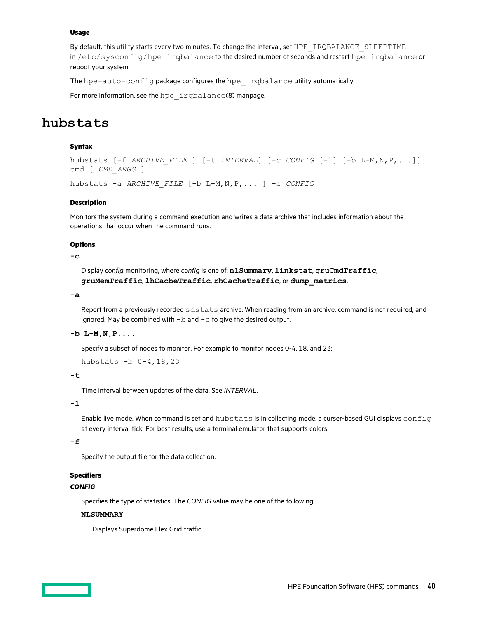By default, this utility starts every two minutes. To change the interval, set HPE\_IRQBALANCE\_SLEEPTIME in /etc/sysconfig/hpe irqbalance to the desired number of seconds and restart hpe irqbalance or reboot your system.

The hpe-auto-config package configures the hpe irqbalance utility automatically.

For more information, see the hpe irqbalance(8) manpage.

# **hubstats**

# **Syntax**

```
hubstats [-f ARCHIVE_FILE ] [-t INTERVAL] [-c CONFIG [-1] [-b L-M,N,P,...]]
cmd [ CMD_ARGS ]
hubstats -a ARCHIVE_FILE [-b L-M,N,P,... ] -c CONFIG
```
### **Description**

Monitors the system during a command execution and writes a data archive that includes information about the operations that occur when the command runs.

### **Options**

# **-c**

Display *config* monitoring, where *config* is one of: **nlSummary**, **linkstat**, **gruCmdTraffic**, **gruMemTraffic**, **lhCacheTraffic**, **rhCacheTraffic**, or **dump\_metrics**.

**-a**

Report from a previously recorded sdstats archive. When reading from an archive, command is not required, and ignored. May be combined with  $-b$  and  $-c$  to give the desired output.

# **-b L-M,N,P,...**

Specify a subset of nodes to monitor. For example to monitor nodes 0-4, 18, and 23:

hubstats -b 0-4,18,23

**-t**

Time interval between updates of the data. See *INTERVAL*.

**-l**

Enable live mode. When command is set and hubstats is in collecting mode, a curser-based GUI displays config at every interval tick. For best results, use a terminal emulator that supports colors.

# **-f**

Specify the output file for the data collection.

# **Specifiers**

# *CONFIG*

Specifies the type of statistics. The *CONFIG* value may be one of the following:

### **NLSUMMARY**

Displays Superdome Flex Grid traffic.

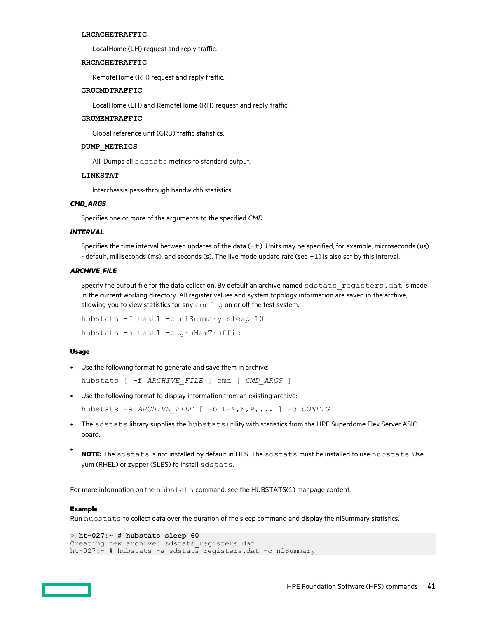### **LHCACHETRAFFIC**

LocalHome (LH) request and reply traffic.

## **RHCACHETRAFFIC**

RemoteHome (RH) request and reply traffic.

## **GRUCMDTRAFFIC**

LocalHome (LH) and RemoteHome (RH) request and reply traffic.

### **GRUMEMTRAFFIC**

Global reference unit (GRU) traffic statistics.

# **DUMP\_METRICS**

All. Dumps all sdstats metrics to standard output.

### **LINKSTAT**

Interchassis pass-through bandwidth statistics.

# *CMD\_ARGS*

Specifies one or more of the arguments to the specified *CMD*.

### *INTERVAL*

Specifies the time interval between updates of the data  $(-t)$ . Units may be specified, for example, microseconds (us) - default, milliseconds (ms), and seconds (s). The live mode update rate (see -1) is also set by this interval.

### *ARCHIVE\_FILE*

Specify the output file for the data collection. By default an archive named sdstats registers.dat is made in the current working directory. All register values and system topology information are saved in the archive, allowing you to view statistics for any  $config$  on or off the test system.

hubstats -f test1 -c nlSummary sleep 10 hubstats -a test1 -c gruMemTraffic

### **Usage**

• Use the following format to generate and save them in archive:

hubstats [ -f *ARCHIVE\_FILE* ] cmd [ *CMD\_ARGS* ]

• Use the following format to display information from an existing archive:

hubstats -a *ARCHIVE\_FILE* [ -b L-M,N,P,... ] -c *CONFIG*

- The sdstats library supplies the hubstats utility with statistics from the HPE Superdome Flex Server ASIC board.
- **NOTE:** The sdstats is not installed by default in HFS. The sdstats must be installed to use hubstats. Use yum (RHEL) or zypper (SLES) to install sdstats.

For more information on the hubstats command, see the HUBSTATS(1) manpage content.

#### **Example**

Run hubstats to collect data over the duration of the sleep command and display the nlSummary statistics.

```
> ht-027:~ # hubstats sleep 60
Creating new archive: sdstats registers.dat
ht-027:\sim # hubstats -a sdstats registers.dat -c nlSummary
```
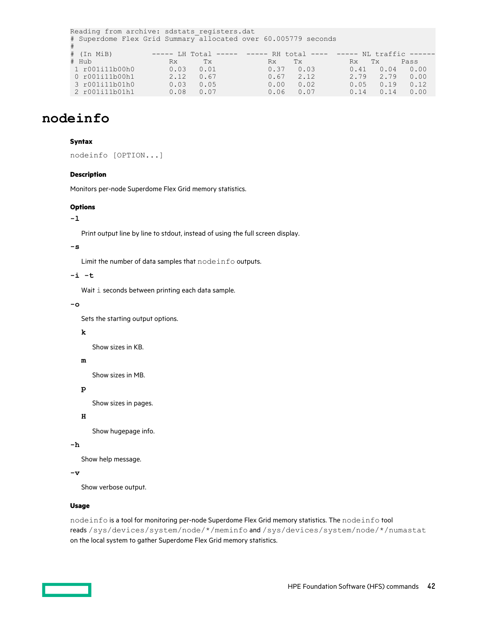```
Reading from archive: sdstats registers.dat
# Superdome Flex Grid Summary allocated over 60.005779 seconds 
#
# (In MiB) ----- LH Total ----- ----- RH total ---- ----- NL traffic ------
# Hub Rx Tx Rx Tx Rx Tx Pass 
 1 r001i11b00h0 0.03 0.01 0.37 0.03 0.41 0.04 0.00
 0 r001i11b00h1 2.12 0.67 0.67 2.12 2.79 2.79 0.00
 3 r001i11b01h0 0.03 0.05 0.00 0.02 0.05 0.19 0.12
%# Hub Rx Tx Rx Tx Rx Tx Pass<br>1 r001i11b00h0 0.03 0.01 0.37 0.03 0.41 0.04 0.00<br>0 r001i11b00h1 2.12 0.67 0.67 2.12 2.79 2.79 0.00<br>3 r001i11b01h0 0.03 0.05 0.00 0.02 0.05 0.19 0.12<br>2 r001i11b01h1 0.08 0.07 0.06 0.07 0.14 0.
```
# **nodeinfo**

## **Syntax**

nodeinfo [OPTION...]

### **Description**

Monitors per-node Superdome Flex Grid memory statistics.

### **Options**

# **-l**

Print output line by line to stdout, instead of using the full screen display.

# **-s**

Limit the number of data samples that nodeinfo outputs.

### **-i -t**

Wait i seconds between printing each data sample.

### **-o**

Sets the starting output options.

# **k**

Show sizes in KB.

# **m**

Show sizes in MB.

# **p**

Show sizes in pages.

# **H**

Show hugepage info.

# **-h**

Show help message.

# **-v**

Show verbose output.

# **Usage**

nodeinfo is a tool for monitoring per-node Superdome Flex Grid memory statistics. The nodeinfo tool reads /sys/devices/system/node/\*/meminfo and /sys/devices/system/node/\*/numastat on the local system to gather Superdome Flex Grid memory statistics.

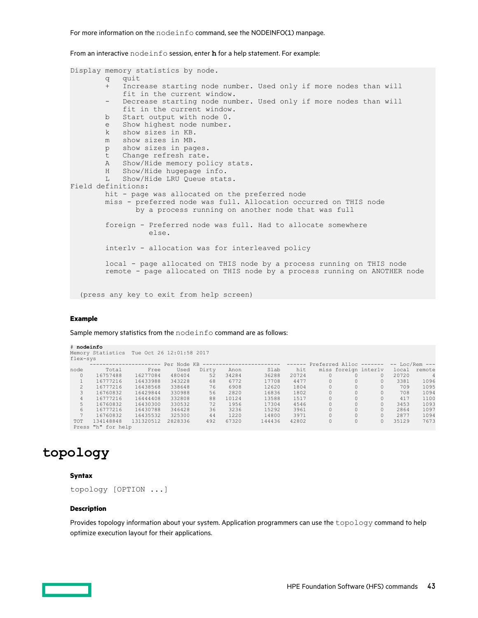From an interactive nodeinfo session, enter **h** for a help statement. For example:

```
Display memory statistics by node.
         q quit
         + Increase starting node number. Used only if more nodes than will
           fit in the current window.
         - Decrease starting node number. Used only if more nodes than will
            fit in the current window.
         b Start output with node 0.
         e Show highest node number.
        k show sizes in KB.<br>m show sizes in MB.
           show sizes in MB.
         p show sizes in pages.
         t Change refresh rate.
         A Show/Hide memory policy stats.
         H Show/Hide hugepage info.
         L Show/Hide LRU Queue stats.
Field definitions:
        hit - page was allocated on the preferred node
         miss - preferred node was full. Allocation occurred on THIS node
                by a process running on another node that was full
         foreign - Preferred node was full. Had to allocate somewhere
                   else.
         interlv - allocation was for interleaved policy
         local - page allocated on THIS node by a process running on THIS node
         remote - page allocated on THIS node by a process running on ANOTHER node
   (press any key to exit from help screen)
```
## **Example**

Sample memory statistics from the nodeinfo command are as follows:

| # nodeinfo    |                                            |           |             |       |       |        |               |          |          |                         |       |                    |
|---------------|--------------------------------------------|-----------|-------------|-------|-------|--------|---------------|----------|----------|-------------------------|-------|--------------------|
|               | Memory Statistics Tue Oct 26 12:01:58 2017 |           |             |       |       |        |               |          |          |                         |       |                    |
| flex-sys      |                                            |           |             |       |       |        |               |          |          |                         |       |                    |
|               |                                            |           | Per Node KB |       |       |        | $- - - - - -$ |          |          | Preferred Alloc ------- |       | $--$ Loc/Rem $---$ |
| node          | Total                                      | Free      | Used        | Dirty | Anon  | Slab   | hit           |          |          | miss foreign interly    | local | remote             |
| $\circ$       | 16757488                                   | 16277084  | 480404      | 52    | 34284 | 36288  | 20724         | 0        |          | $\Omega$                | 20720 | $\overline{4}$     |
|               | 16777216                                   | 16433988  | 343228      | 68    | 6772  | 17708  | 4477          | $\Omega$ | $\Omega$ | $\Omega$                | 3381  | 1096               |
| $\mathcal{L}$ | 16777216                                   | 16438568  | 338648      | 76    | 6908  | 12620  | 1804          |          |          | $\Omega$                | 709   | 1095               |
| 3             | 16760832                                   | 16429844  | 330988      | 56    | 2820  | 16836  | 1802          | 0        | $\circ$  | $\Omega$                | 708   | 1094               |
| 4             | 16777216                                   | 16444408  | 332808      | 88    | 10124 | 13588  | 1517          | $\Omega$ | $\Omega$ | $\Omega$                | 417   | 1100               |
| 5.            | 16760832                                   | 16430300  | 330532      | 72    | 1956  | 17304  | 4546          | $\Omega$ | $\Omega$ | $\Omega$                | 3453  | 1093               |
| 6             | 16777216                                   | 16430788  | 346428      | 36    | 3236  | 15292  | 3961          | $\Omega$ | $\Omega$ | $\Omega$                | 2864  | 1097               |
|               | 16760832                                   | 16435532  | 325300      | 44    | 1220  | 14800  | 3971          | $\Omega$ | $\Omega$ | $\Omega$                | 2877  | 1094               |
| <b>TOT</b>    | 134148848                                  | 131320512 | 2828336     | 492   | 67320 | 144436 | 42802         | 0        | $\circ$  | $\Omega$                | 35129 | 7673               |
|               | Press "h" for help                         |           |             |       |       |        |               |          |          |                         |       |                    |

# **topology**

### **Syntax**

```
topology [OPTION ...]
```
#### **Description**

Provides topology information about your system. Application programmers can use the topology command to help optimize execution layout for their applications.

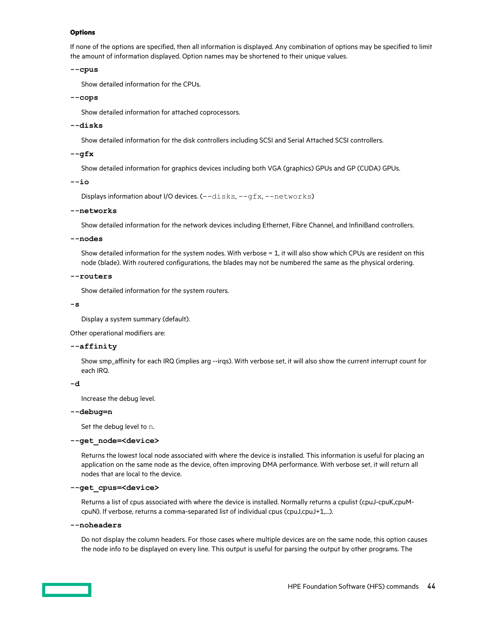### **Options**

If none of the options are specified, then all information is displayed. Any combination of options may be specified to limit the amount of information displayed. Option names may be shortened to their unique values.

### **--cpus**

Show detailed information for the CPUs.

### **--cops**

Show detailed information for attached coprocessors.

### **--disks**

Show detailed information for the disk controllers including SCSI and Serial Attached SCSI controllers.

### **--gfx**

Show detailed information for graphics devices including both VGA (graphics) GPUs and GP (CUDA) GPUs.

**--io**

Displays information about I/O devices. (--disks, --gfx, --networks)

### **--networks**

Show detailed information for the network devices including Ethernet, Fibre Channel, and InfiniBand controllers.

### **--nodes**

Show detailed information for the system nodes. With verbose = 1, it will also show which CPUs are resident on this node (blade). With routered configurations, the blades may not be numbered the same as the physical ordering.

### **--routers**

Show detailed information for the system routers.

### **-s**

Display a system summary (default).

Other operational modifiers are:

## **--affinity**

Show smp\_affinity for each IRQ (implies arg --irqs). With verbose set, it will also show the current interrupt count for each IRQ.

**-d**

Increase the debug level.

### **--debug=n**

Set the debug level to n.

### **--get\_node=<device>**

Returns the lowest local node associated with where the device is installed. This information is useful for placing an application on the same node as the device, often improving DMA performance. With verbose set, it will return all nodes that are local to the device.

### **--get\_cpus=<device>**

Returns a list of cpus associated with where the device is installed. Normally returns a cpulist (cpuJ-cpuK,cpuMcpuN). If verbose, returns a comma-separated list of individual cpus (cpuJ,cpuJ+1,...).

### **--noheaders**

Do not display the column headers. For those cases where multiple devices are on the same node, this option causes the node info to be displayed on every line. This output is useful for parsing the output by other programs. The

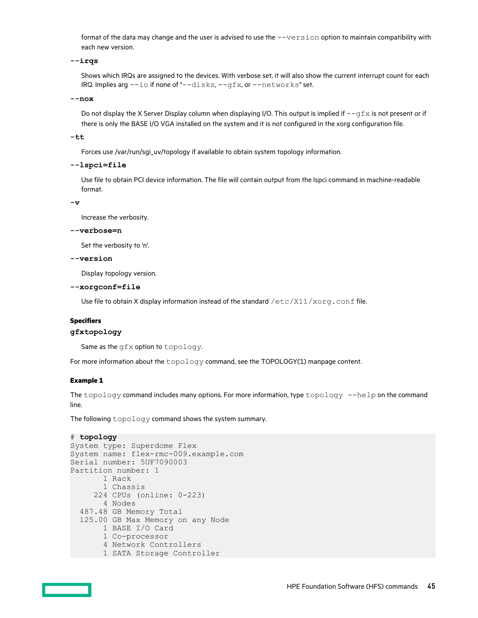format of the data may change and the user is advised to use the  $-version$  option to maintain compatibility with each new version.

**--irqs**

Shows which IRQs are assigned to the devices. With verbose set, it will also show the current interrupt count for each IRQ. Implies arg --io if none of "--disks, --gfx, or --networks" set.

**--nox**

Do not display the X Server Display column when displaying I/O. This output is implied if  $-\sigma f x$  is not present or if there is only the BASE I/O VGA installed on the system and it is not configured in the xorg configuration file.

**-tt**

Forces use /var/run/sgi\_uv/topology if available to obtain system topology information.

**--lspci=file**

Use file to obtain PCI device information. The file will contain output from the lspci command in machine-readable format.

**-v**

Increase the verbosity.

**--verbose=n**

Set the verbosity to 'n'.

**--version**

Display topology version.

**--xorgconf=file**

Use file to obtain X display information instead of the standard  $/etc/X11/xorg.comf$  file.

### **Specifiers**

# **gfxtopology**

Same as the gfx option to topology.

For more information about the topology command, see the TOPOLOGY(1) manpage content.

### **Example 1**

The topology command includes many options. For more information, type topology --help on the command line.

The following topology command shows the system summary.

```
# topology
```

```
System type: Superdome Flex
System name: flex-rmc-009.example.com
Serial number: 5UF7090003
Partition number: 1
       1 Rack
       1 Chassis
     224 CPUs (online: 0-223)
       4 Nodes
  487.48 GB Memory Total
  125.00 GB Max Memory on any Node
       1 BASE I/O Card
       1 Co-processor
       4 Network Controllers
      1 SATA Storage Controller
```
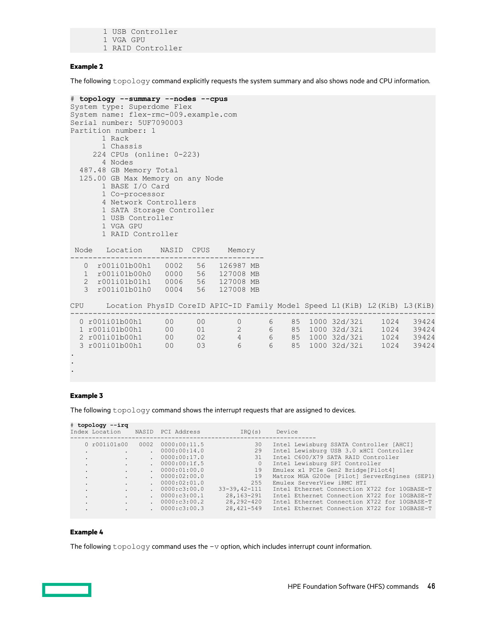1 USB Controller 1 VGA GPU 1 RAID Controller

### **Example 2**

The following topology command explicitly requests the system summary and also shows node and CPU information.

```
# topology --summary --nodes --cpus
System type: Superdome Flex
System name: flex-rmc-009.example.com
Serial number: 5UF7090003
Partition number: 1
      1 Rack
      1 Chassis
     224 CPUs (online: 0-223)
      4 Nodes
  487.48 GB Memory Total
  125.00 GB Max Memory on any Node
       1 BASE I/O Card
       1 Co-processor
       4 Network Controllers
       1 SATA Storage Controller
       1 USB Controller
       1 VGA GPU
       1 RAID Controller
 Node Location NASID CPUS Memory
     -------------------------------------------
   0 r001i01b00h1 0002 56 126987 MB
   1 r001i01b00h0 0000 56 127008 MB
   2 r001i01b01h1 0006 56 127008 MB
   3 r001i01b01h0 0004 56 127008 MB
CPU Location PhysID CoreID APIC-ID Family Model Speed L1(KiB) L2(KiB) L3(KiB)
     ---------------------------------------------------------------------------------
 0 r001i01b00h1 00 00 0 6 85 1000 32d/32i 1024 39424
 1 r001i01b00h1 00 01 2 6 85 1000 32d/32i 1024 39424
 2 r001i01b00h1 00 02 4 6 85 1000 32d/32i 1024 39424
 3 r001i01b00h1 00 03 6 6 85 1000 32d/32i 1024 39424
.
.
.
```
## **Example 3**

The following topology command shows the interrupt requests that are assigned to devices.

| # topology --irg<br>Index Location NASID |        | PCI Address    | IRO(s)              | Device                                        |
|------------------------------------------|--------|----------------|---------------------|-----------------------------------------------|
| 0 r001i01s00                             | 0002   | 0000:00:11.5   | 30                  | Intel Lewisburg SSATA Controller [AHCI]       |
| $\bullet$                                | $\sim$ | 0000:00:14.0   | 29                  | Intel Lewisburg USB 3.0 xHCI Controller       |
| $\bullet$                                |        | . 0000:00:17.0 | 31                  | Intel C600/X79 SATA RAID Controller           |
|                                          | $\sim$ | 0000:00:1f.5   | $\Omega$            | Intel Lewisburg SPI Controller                |
| $\ddot{\phantom{0}}$                     |        | . 0000:01:00.0 | 19                  | Emulex x1 PCIe Gen2 Bridge [Pilot4]           |
| $\ddot{\phantom{a}}$                     |        | . 0000:02:00.0 | 19                  | Matrox MGA G200e [Pilot] ServerEngines (SEP1) |
| $\cdot$                                  |        | . 0000:02:01.0 | 255                 | Emulex ServerView iRMC HTI                    |
| $\cdot$                                  |        | . 0000:c3:00.0 | $33 - 39, 42 - 111$ | Intel Ethernet Connection X722 for 10GBASE-T  |
| $\cdot$                                  |        | . 0000:c3:00.1 | 28,163-291          | Intel Ethernet Connection X722 for 10GBASE-T  |
| $\cdot$                                  |        | . 0000:c3:00.2 | $28, 292 - 420$     | Intel Ethernet Connection X722 for 10GBASE-T  |
|                                          |        | 0000:c3:00.3   | $28,421 - 549$      | Intel Ethernet Connection X722 for 10GBASE-T  |
|                                          |        |                |                     |                                               |

# **Example 4**

The following  $topology$  command uses the  $-v$  option, which includes interrupt count information.

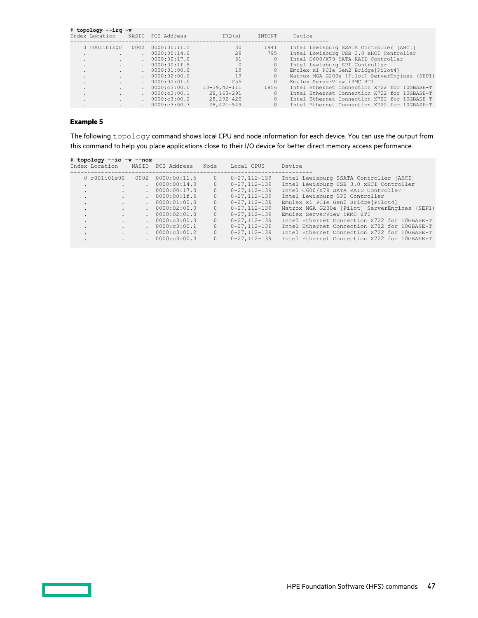|              | # topology --irq -v |        | Index Location MASID PCI Address | IRO(s)             | INTCNT  | Device                                        |
|--------------|---------------------|--------|----------------------------------|--------------------|---------|-----------------------------------------------|
|              | 0 r001i01s00        | 0002   | 0000:00:11.5                     | 30                 | 1941    | Intel Lewisburg SSATA Controller [AHCI]       |
| $\sim$       |                     |        | 0000:00:14.0                     | 29                 | 795     | Intel Lewisburg USB 3.0 xHCI Controller       |
| $\sim$       |                     | $\sim$ | 0000:00:17.0                     | 31                 | $\circ$ | Intel C600/X79 SATA RAID Controller           |
| $\sim$       |                     | $\sim$ | 0000:00:1f.5                     | $\Omega$           |         | Intel Lewisburg SPI Controller                |
| $\mathbf{r}$ |                     |        | 0000:01:00.0                     | 19                 | 0       | Emulex x1 PCIe Gen2 Bridge [Pilot4]           |
| $\sim$       |                     |        | . 0000:02:00.0                   | 19                 | 0       | Matrox MGA G200e [Pilot] ServerEngines (SEP1) |
| ۰.           |                     |        | 0000:02:01.0                     | 255                | 0       | Emulex ServerView iRMC HTI                    |
| $\sim$       |                     |        | 0000: c3:00.0                    | $33 - 39.42 - 111$ | 1856    | Intel Ethernet Connection X722 for 10GBASE-T  |
| $\sim$       |                     |        | 0000:c3:00.1                     | 28,163-291         | 0       | Intel Ethernet Connection X722 for 10GBASE-T  |
| $\sim$       |                     |        | 0000:c3:00.2                     | 28, 292-420        |         | Intel Ethernet Connection X722 for 10GBASE-T  |
| ۰.           |                     |        | 0000:c3:00.3                     | $28,421 - 549$     |         | Intel Ethernet Connection X722 for 10GBASE-T  |

# **Example 5**

The following topology command shows local CPU and node information for each device. You can use the output from this command to help you place applications close to their I/O device for better direct memory access performance.

|                      | # topology --io -v --nox |        | Index Location MASID PCI Address | Node     | Local CPUS          | Device                                        |
|----------------------|--------------------------|--------|----------------------------------|----------|---------------------|-----------------------------------------------|
|                      | 0 r001i01s00             |        | 0002 0000:00:11.5                | $\circ$  | $0 - 27, 112 - 139$ | Intel Lewisburg SSATA Controller [AHCI]       |
| $\ddot{\phantom{0}}$ |                          | $\sim$ | 0000:00:14.0                     | $\Omega$ | $0 - 27.112 - 139$  | Intel Lewisburg USB 3.0 xHCI Controller       |
| $\cdot$              | $\sim$                   |        | . 0000:00:17.0                   | $\circ$  | $0 - 27, 112 - 139$ | Intel C600/X79 SATA RAID Controller           |
| $\sim$               |                          |        | . 0000:00:1f.5                   | $\Omega$ | $0 - 27, 112 - 139$ | Intel Lewisburg SPI Controller                |
| $\sim$               |                          |        | . 0000:01:00.0                   | $\circ$  | $0 - 27, 112 - 139$ | Emulex x1 PCIe Gen2 Bridge[Pilot4]            |
| $\sim$               |                          |        | . 0000:02:00.0                   | $\circ$  | $0 - 27, 112 - 139$ | Matrox MGA G200e [Pilot] ServerEngines (SEP1) |
| $\sim$               |                          |        | . 0000:02:01.0                   | $\Omega$ | $0 - 27.112 - 139$  | Emulex ServerView iRMC HTI                    |
| $\sim$               |                          |        | . 0000:c3:00.0                   | $\circ$  | $0 - 27, 112 - 139$ | Intel Ethernet Connection X722 for 10GBASE-T  |
| $\ddot{\phantom{0}}$ |                          |        | . 0000:c3:00.1                   | $\Omega$ | $0 - 27.112 - 139$  | Intel Ethernet Connection X722 for 10GBASE-T  |
| $\ddot{\phantom{a}}$ |                          |        | . 0000:c3:00.2                   | $\Omega$ | $0 - 27, 112 - 139$ | Intel Ethernet Connection X722 for 10GBASE-T  |
| $\cdot$              |                          |        | . 0000:c3:00.3                   | $\Omega$ | $0 - 27.112 - 139$  | Intel Ethernet Connection X722 for 10GBASE-T  |

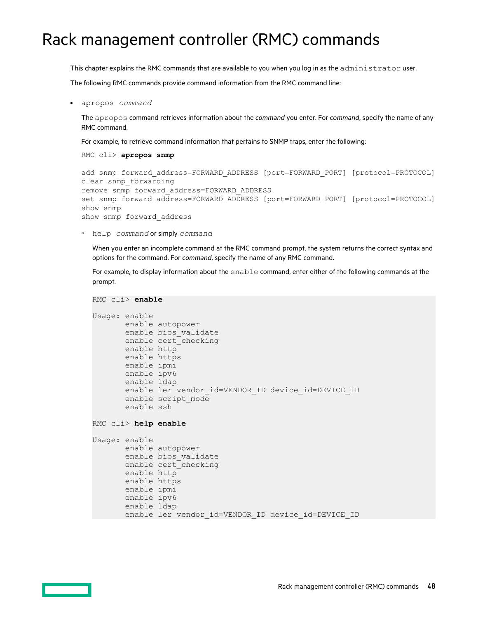# Rack management controller (RMC) commands

This chapter explains the RMC commands that are available to you when you log in as the administrator user.

The following RMC commands provide command information from the RMC command line:

• apropos *command*

The apropos command retrieves information about the *command* you enter. For *command*, specify the name of any RMC command.

For example, to retrieve command information that pertains to SNMP traps, enter the following:

RMC cli> **apropos snmp**

```
add snmp forward address=FORWARD ADDRESS [port=FORWARD PORT] [protocol=PROTOCOL]
clear snmp_forwarding
remove snmp forward_address=FORWARD_ADDRESS
set snmp forward address=FORWARD ADDRESS [port=FORWARD PORT] [protocol=PROTOCOL]
show snmp
show snmp forward_address
```
◦ help *command* or simply *command*

When you enter an incomplete command at the RMC command prompt, the system returns the correct syntax and options for the command. For *command*, specify the name of any RMC command.

For example, to display information about the enable command, enter either of the following commands at the prompt.

```
RMC cli> enable
Usage: enable
        enable autopower
        enable bios_validate
      enable cert checking
        enable http
        enable https
        enable ipmi
        enable ipv6
        enable ldap
       enable ler vendor id=VENDOR ID device id=DEVICE ID
       enable script mode
        enable ssh
RMC cli> help enable
Usage: enable
        enable autopower
        enable bios_validate
        enable cert_checking
        enable http
        enable https
        enable ipmi
        enable ipv6
        enable ldap
       enable ler vendor id=VENDOR ID device id=DEVICE ID
```
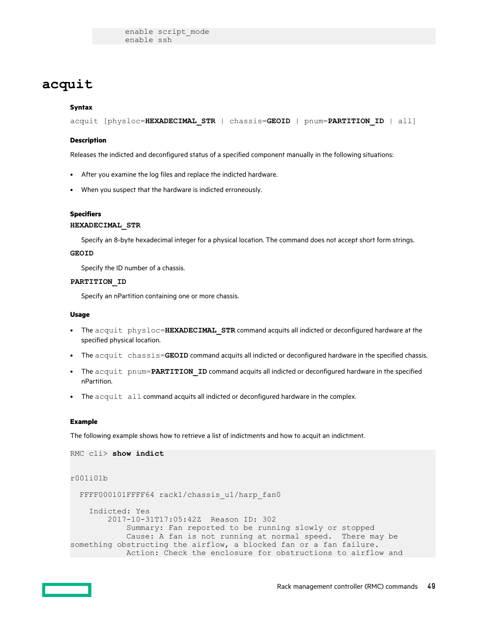enable script\_mode enable ssh

# **acquit**

# **Syntax**

acquit [physloc=**HEXADECIMAL\_STR** | chassis=**GEOID** | pnum=**PARTITION\_ID** | all]

### **Description**

Releases the indicted and deconfigured status of a specified component manually in the following situations:

- After you examine the log files and replace the indicted hardware.
- When you suspect that the hardware is indicted erroneously.

### **Specifiers**

# **HEXADECIMAL\_STR**

Specify an 8-byte hexadecimal integer for a physical location. The command does not accept short form strings.

### **GEOID**

Specify the ID number of a chassis.

### **PARTITION\_ID**

Specify an nPartition containing one or more chassis.

### **Usage**

- The acquit physloc=**HEXADECIMAL\_STR** command acquits all indicted or deconfigured hardware at the specified physical location.
- The acquit chassis=**GEOID** command acquits all indicted or deconfigured hardware in the specified chassis.
- The acquit pnum=PARTITION ID command acquits all indicted or deconfigured hardware in the specified nPartition.
- The acquit all command acquits all indicted or deconfigured hardware in the complex.

### **Example**

The following example shows how to retrieve a list of indictments and how to acquit an indictment.

```
RMC cli> show indict
r001i01b
  FFFF000101FFFF64 rack1/chassis u1/harp fan0
     Indicted: Yes
         2017-10-31T17:05:42Z Reason ID: 302
             Summary: Fan reported to be running slowly or stopped
             Cause: A fan is not running at normal speed. There may be 
something obstructing the airflow, a blocked fan or a fan failure.
            Action: Check the enclosure for obstructions to airflow and
```
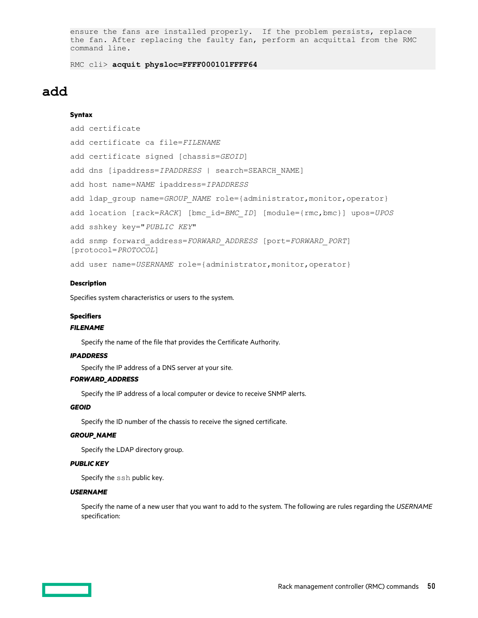ensure the fans are installed properly. If the problem persists, replace the fan. After replacing the faulty fan, perform an acquittal from the RMC command line.

RMC cli> **acquit physloc=FFFF000101FFFF64**

# **add**

## **Syntax**

```
add certificate
add certificate ca file=FILENAME
add certificate signed [chassis=GEOID]
add dns [ipaddress=IPADDRESS | search=SEARCH_NAME]
add host name=NAME ipaddress=IPADDRESS
add ldap group name=GROUP NAME role={administrator,monitor,operator}
add location [rack=RACK] [bmc_id=BMC_ID] [module={rmc,bmc}] upos=UPOS
add sshkey key="PUBLIC KEY"
add snmp forward_address=FORWARD_ADDRESS [port=FORWARD_PORT]
[protocol=PROTOCOL]
add user name=USERNAME role={administrator, monitor, operator}
```
### **Description**

Specifies system characteristics or users to the system.

## **Specifiers**

### *FILENAME*

Specify the name of the file that provides the Certificate Authority.

## *IPADDRESS*

Specify the IP address of a DNS server at your site.

### *FORWARD\_ADDRESS*

Specify the IP address of a local computer or device to receive SNMP alerts.

### *GEOID*

Specify the ID number of the chassis to receive the signed certificate.

### *GROUP\_NAME*

Specify the LDAP directory group.

# *PUBLIC KEY*

Specify the ssh public key.

### *USERNAME*

Specify the name of a new user that you want to add to the system. The following are rules regarding the *USERNAME* specification:

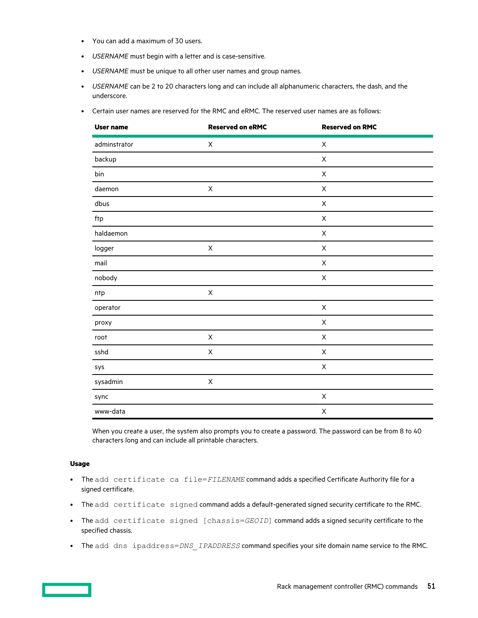- You can add a maximum of 30 users.
- *USERNAME* must begin with a letter and is case-sensitive.
- *USERNAME* must be unique to all other user names and group names.
- *USERNAME* can be 2 to 20 characters long and can include all alphanumeric characters, the dash, and the underscore.
- Certain user names are reserved for the RMC and eRMC. The reserved user names are as follows:

| <b>User name</b> | <b>Reserved on eRMC</b> | <b>Reserved on RMC</b>    |
|------------------|-------------------------|---------------------------|
| adminstrator     | $\mathsf X$             | $\pmb{\times}$            |
| backup           |                         | $\sf X$                   |
| bin              |                         | $\pmb{\times}$            |
| daemon           | Χ                       | $\sf X$                   |
| dbus             |                         | $\sf X$                   |
| ftp              |                         | $\mathsf X$               |
| haldaemon        |                         | $\pmb{\times}$            |
| logger           | $\mathsf X$             | $\pmb{\times}$            |
| mail             |                         | $\mathsf X$               |
| nobody           |                         | $\sf X$                   |
| ntp              | $\mathsf X$             |                           |
| operator         |                         | $\mathsf X$               |
| proxy            |                         | $\mathsf X$               |
| root             | X                       | X                         |
| sshd             | X                       | $\pmb{\times}$            |
| sys              |                         | $\boldsymbol{\mathsf{X}}$ |
| sysadmin         | $\mathsf X$             |                           |
| sync             |                         | $\mathsf X$               |
| www-data         |                         | $\mathsf X$               |

When you create a user, the system also prompts you to create a password. The password can be from 8 to 40 characters long and can include all printable characters.

# **Usage**

- The add certificate ca file=*FILENAME* command adds a specified Certificate Authority file for a signed certificate.
- The add certificate signed command adds a default-generated signed security certificate to the RMC.
- The add certificate signed [chassis=*GEOID*] command adds a signed security certificate to the specified chassis.
- The add dns ipaddress=*DNS\_IPADDRESS* command specifies your site domain name service to the RMC.

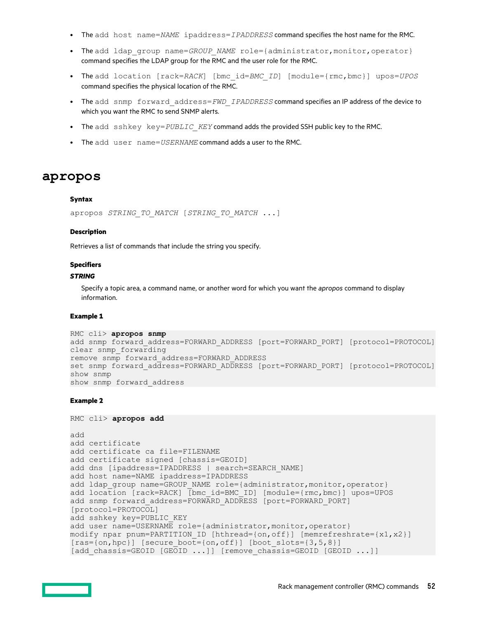- The add host name=*NAME* ipaddress=*IPADDRESS* command specifies the host name for the RMC.
- The add ldap group name=*GROUP NAME* role={administrator,monitor,operator} command specifies the LDAP group for the RMC and the user role for the RMC.
- The add location [rack=*RACK*] [bmc\_id=*BMC\_ID*] [module={rmc,bmc}] upos=*UPOS* command specifies the physical location of the RMC.
- The add snmp forward\_address=*FWD\_IPADDRESS* command specifies an IP address of the device to which you want the RMC to send SNMP alerts.
- The add sshkey key=*PUBLIC\_KEY* command adds the provided SSH public key to the RMC.
- The add user name=*USERNAME* command adds a user to the RMC.

# **apropos**

### **Syntax**

apropos *STRING\_TO\_MATCH* [*STRING\_TO\_MATCH* ...]

### **Description**

Retrieves a list of commands that include the string you specify.

### **Specifiers**

# *STRING*

Specify a topic area, a command name, or another word for which you want the *apropos* command to display information.

### **Example 1**

```
RMC cli> apropos snmp
add snmp forward address=FORWARD_ADDRESS [port=FORWARD_PORT] [protocol=PROTOCOL]
clear snmp_forwarding
remove snmp forward_address=FORWARD_ADDRESS
set snmp forward address=FORWARD ADDRESS [port=FORWARD PORT] [protocol=PROTOCOL]
show snmp
show snmp forward_address
```
### **Example 2**

```
RMC cli> apropos add
add
add certificate
add certificate ca file=FILENAME
add certificate signed [chassis=GEOID]
add dns [ipaddress=IPADDRESS | search=SEARCH_NAME]
add host name=NAME ipaddress=IPADDRESS
add ldap group name=GROUP NAME role={administrator,monitor,operator}
add location [rack=RACK] [bmc_id=BMC_ID] [module={rmc,bmc}] upos=UPOS
add snmp forward address=FORWARD ADDRESS [port=FORWARD PORT]
[protocol=PROTOCOL]
add sshkey key=PUBLIC_KEY
add user name=USERNAME role={administrator,monitor,operator}
modify npar pnum=PARTITION ID [hthread={on,off}] [memrefreshrate={x1,x2}]
[ras = {on, hpc}] [secure boot={on,off}] [boot slots={3,5,8}]
[add_chassis=GEOID [GEOID ...]] [remove_chassis=GEOID [GEOID ...]]
```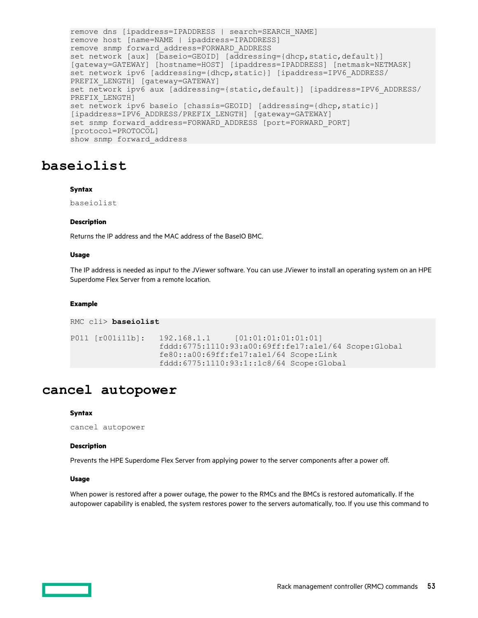```
remove dns [ipaddress=IPADDRESS | search=SEARCH_NAME]
remove host [name=NAME | ipaddress=IPADDRESS]
remove snmp forward_address=FORWARD_ADDRESS
set network [aux] [baseio=GEOID] [addressing={dhcp, static, default}]
[gateway=GATEWAY] [hostname=HOST] [ipaddress=IPADDRESS] [netmask=NETMASK]
set network ipv6 [addressing={dhcp,static}] [ipaddress=IPV6_ADDRESS/
PREFIX LENGTH] [gateway=GATEWAY]
set network ipv6 aux [addressing={static,default}] [ipaddress=IPV6 ADDRESS/
PREFIX_LENGTH]
set network ipv6 baseio [chassis=GEOID] [addressing={dhcp,static}] 
[ipaddress=IPV6_ADDRESS/PREFIX_LENGTH] [gateway=GATEWAY]
set snmp forward address=FORWARD ADDRESS [port=FORWARD PORT]
[protocol=PROTOCOL]
show snmp forward_address
```
# **baseiolist**

### **Syntax**

baseiolist

### **Description**

Returns the IP address and the MAC address of the BaseIO BMC.

### **Usage**

The IP address is needed as input to the JViewer software. You can use JViewer to install an operating system on an HPE Superdome Flex Server from a remote location.

### **Example**

```
RMC cli> baseiolist
```

```
P011 [r001i11b]: 192.168.1.1 [01:01:01:01:01:01]
                   fddd:6775:1110:93:a00:69ff:fe17:a1e1/64 Scope:Global
                   fe80::a00:69ff:fe17:a1e1/64 Scope:Link
                   fddd:6775:1110:93:1::1c8/64 Scope:Global
```
# **cancel autopower**

### **Syntax**

```
cancel autopower
```
# **Description**

Prevents the HPE Superdome Flex Server from applying power to the server components after a power off.

# **Usage**

When power is restored after a power outage, the power to the RMCs and the BMCs is restored automatically. If the autopower capability is enabled, the system restores power to the servers automatically, too. If you use this command to

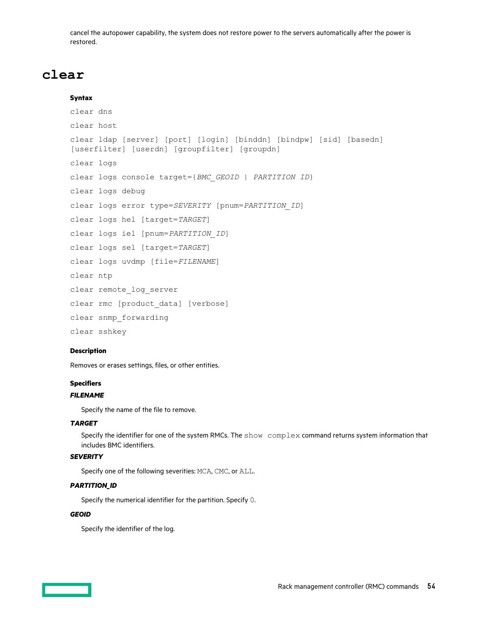cancel the autopower capability, the system does not restore power to the servers automatically after the power is restored.

# **clear**

# **Syntax**

```
clear dns
clear host
clear ldap [server] [port] [login] [binddn] [bindpw] [sid] [basedn]
[userfilter] [userdn] [groupfilter] [groupdn]
clear logs
clear logs console target={BMC_GEOID | PARTITION ID}
clear logs debug
clear logs error type=SEVERITY [pnum=PARTITION_ID]
clear logs hel [target=TARGET]
clear logs iel [pnum=PARTITION_ID]
clear logs sel [target=TARGET]
clear logs uvdmp [file=FILENAME]
clear ntp
clear remote log server
clear rmc [product_data] [verbose]
clear snmp_forwarding
clear sshkey
```
# **Description**

Removes or erases settings, files, or other entities.

# **Specifiers**

# *FILENAME*

Specify the name of the file to remove.

## *TARGET*

Specify the identifier for one of the system RMCs. The show complex command returns system information that includes BMC identifiers.

# *SEVERITY*

Specify one of the following severities: MCA, CMC, or ALL.

# *PARTITION\_ID*

Specify the numerical identifier for the partition. Specify 0.

# *GEOID*

Specify the identifier of the log.

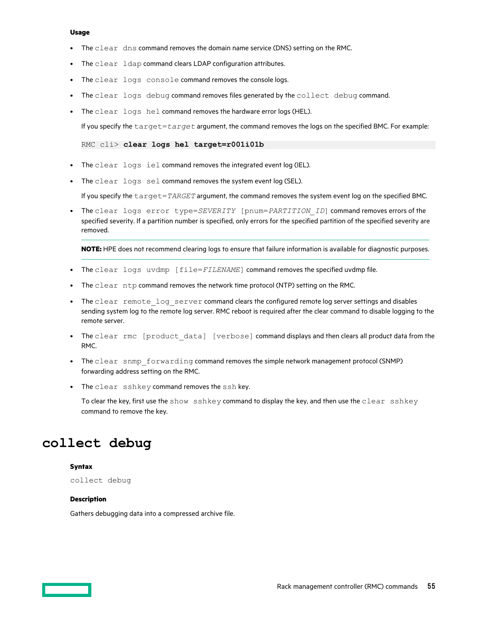- The clear dns command removes the domain name service (DNS) setting on the RMC.
- The clear ldap command clears LDAP configuration attributes.
- The clear logs console command removes the console logs.
- The clear logs debug command removes files generated by the collect debug command.
- The clear logs hel command removes the hardware error logs (HEL).

If you specify the target=*target* argument, the command removes the logs on the specified BMC. For example:

### RMC cli> **clear logs hel target=r001i01b**

- The clear logs iel command removes the integrated event log (IEL).
- The clear logs sel command removes the system event log (SEL).

If you specify the target=*TARGET* argument, the command removes the system event log on the specified BMC.

• The clear logs error type=SEVERITY [pnum=PARTITION ID] command removes errors of the specified severity. If a partition number is specified, only errors for the specified partition of the specified severity are removed.

**NOTE:** HPE does not recommend clearing logs to ensure that failure information is available for diagnostic purposes.

- The clear logs uvdmp [file=FILENAME] command removes the specified uvdmp file.
- The clear ntp command removes the network time protocol (NTP) setting on the RMC.
- The clear remote log server command clears the configured remote log server settings and disables sending system log to the remote log server. RMC reboot is required after the clear command to disable logging to the remote server.
- The clear rmc [product data] [verbose] command displays and then clears all product data from the RMC.
- The clear snmp forwarding command removes the simple network management protocol (SNMP) forwarding address setting on the RMC.
- The clear sshkey command removes the ssh key.

To clear the key, first use the show  $\sin\theta$  share y command to display the key, and then use the clear sshkey command to remove the key.

# **collect debug**

### **Syntax**

collect debug

### **Description**

Gathers debugging data into a compressed archive file.

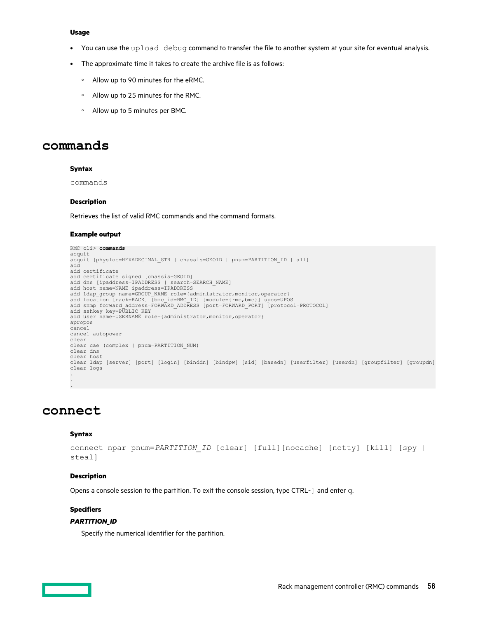- You can use the upload debug command to transfer the file to another system at your site for eventual analysis.
- The approximate time it takes to create the archive file is as follows:
	- Allow up to 90 minutes for the eRMC.
	- Allow up to 25 minutes for the RMC.
	- Allow up to 5 minutes per BMC.

# **commands**

### **Syntax**

commands

### **Description**

Retrieves the list of valid RMC commands and the command formats.

### **Example output**

```
RMC cli> commands
acquit
acquit [physloc=HEXADECIMAL_STR | chassis=GEOID | pnum=PARTITION_ID | all]
add
add certificate
add certificate signed [chassis=GEOID]
add dns [ipaddress=IPADDRESS | search=SEARCH_NAME]
add host name=NAME ipaddress=IPADDRESS
add ldap_group name=GROUP_NAME role={administrator,monitor,operator}<br>add location [rack=RACK] [bmc_id=BMC_ID] [module={rmc,bmc}] upos=UPOS<br>add snmp forward_address=FORWARD_ADDRESS [port=FORWARD_PORT] [protocol=PROTOCOL]<br>ad
add user name=USERNAME role={administrator, monitor, operator}
apropos
cancel
cancel autopower
clear
clear cae (complex | pnum=PARTITION_NUM)
clear dns
clear host
clear ldap [server] [port] [login] [binddn] [bindpw] [sid] [basedn] [userfilter] [userdn] [groupfilter] [groupdn]
clear logs
.
.
```
# **connect**

.

### **Syntax**

```
connect npar pnum=PARTITION ID [clear] [full][nocache] [notty] [kill] [spy |
steal]
```
### **Description**

Opens a console session to the partition. To exit the console session, type CTRL-] and enter q.

# **Specifiers**

## *PARTITION\_ID*

Specify the numerical identifier for the partition.

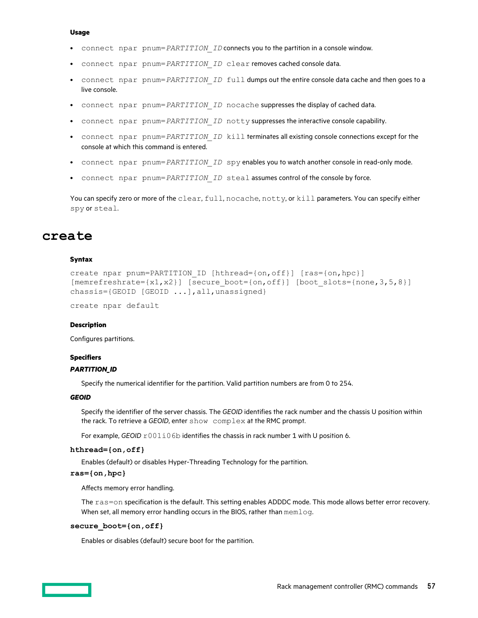- connect npar pnum=*PARTITION ID* connects you to the partition in a console window.
- connect npar pnum=PARTITION ID clear removes cached console data.
- connect npar pnum=*PARTITION ID* full dumps out the entire console data cache and then goes to a live console.
- connect npar pnum=*PARTITION ID* nocache suppresses the display of cached data.
- connect npar pnum=*PARTITION ID* notty suppresses the interactive console capability.
- connect npar pnum=*PARTITION ID* kill terminates all existing console connections except for the console at which this command is entered.
- connect npar pnum=*PARTITION ID* spy enables you to watch another console in read-only mode.
- connect npar pnum=*PARTITION ID* steal assumes control of the console by force.

You can specify zero or more of the clear, full, nocache, notty, or kill parameters. You can specify either spy or steal.

# **create**

### **Syntax**

```
create npar pnum=PARTITION_ID [hthread={on,off}] [ras={on,hpc}]
[member \text{reshrate} = \{x1, x2\}] [secure boot={on,off}] [boot slots={none,3,5,8}]
chassis={GEOID [GEOID \ldots], all, unassigned}
```
create npar default

### **Description**

Configures partitions.

### **Specifiers**

# *PARTITION\_ID*

Specify the numerical identifier for the partition. Valid partition numbers are from 0 to 254.

### *GEOID*

Specify the identifier of the server chassis. The *GEOID* identifies the rack number and the chassis U position within the rack. To retrieve a *GEOID*, enter show complex at the RMC prompt.

For example, *GEOID*  $r001i06b$  identifies the chassis in rack number 1 with U position 6.

## **hthread={on,off}**

Enables (default) or disables Hyper-Threading Technology for the partition.

## **ras={on,hpc}**

Affects memory error handling.

The ras=on specification is the default. This setting enables ADDDC mode. This mode allows better error recovery. When set, all memory error handling occurs in the BIOS, rather than memlog.

### **secure\_boot={on,off}**

Enables or disables (default) secure boot for the partition.

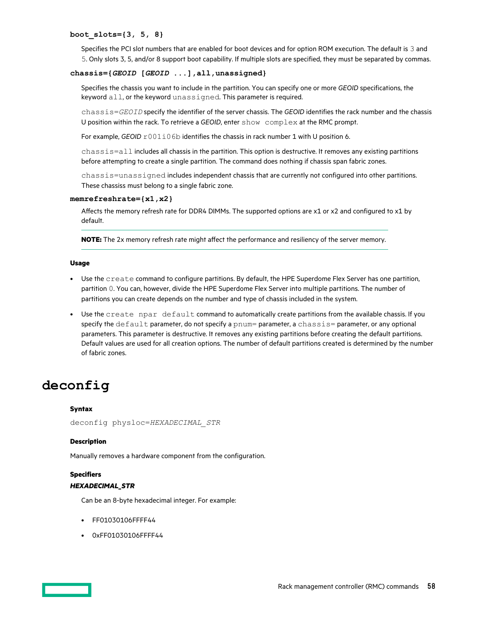### **boot\_slots={3, 5, 8}**

Specifies the PCI slot numbers that are enabled for boot devices and for option ROM execution. The default is 3 and 5. Only slots 3, 5, and/or 8 support boot capability. If multiple slots are specified, they must be separated by commas.

## **chassis={***GEOID* **[***GEOID* **...],all,unassigned}**

Specifies the chassis you want to include in the partition. You can specify one or more *GEOID* specifications, the keyword all, or the keyword unassigned. This parameter is required.

chassis=*GEOID* specify the identifier of the server chassis. The *GEOID* identifies the rack number and the chassis U position within the rack. To retrieve a *GEOID*, enter show complex at the RMC prompt.

For example, *GEOID*  $r001i06b$  identifies the chassis in rack number 1 with U position 6.

chassis=all includes all chassis in the partition. This option is destructive. It removes any existing partitions before attempting to create a single partition. The command does nothing if chassis span fabric zones.

chassis=unassigned includes independent chassis that are currently not configured into other partitions. These chassiss must belong to a single fabric zone.

### **memrefreshrate={x1,x2}**

Affects the memory refresh rate for DDR4 DIMMs. The supported options are x1 or x2 and configured to x1 by default.

**NOTE:** The 2x memory refresh rate might affect the performance and resiliency of the server memory.

### **Usage**

- Use the create command to configure partitions. By default, the HPE Superdome Flex Server has one partition, partition 0. You can, however, divide the HPE Superdome Flex Server into multiple partitions. The number of partitions you can create depends on the number and type of chassis included in the system.
- Use the create npar default command to automatically create partitions from the available chassis. If you specify the default parameter, do not specify a pnum= parameter, a chassis= parameter, or any optional parameters. This parameter is destructive. It removes any existing partitions before creating the default partitions. Default values are used for all creation options. The number of default partitions created is determined by the number of fabric zones.

# **deconfig**

### **Syntax**

```
deconfig physloc=HEXADECIMAL_STR
```
### **Description**

Manually removes a hardware component from the configuration.

### **Specifiers**

### *HEXADECIMAL\_STR*

Can be an 8-byte hexadecimal integer. For example:

- FF01030106FFFF44
- 0xFF01030106FFFF44

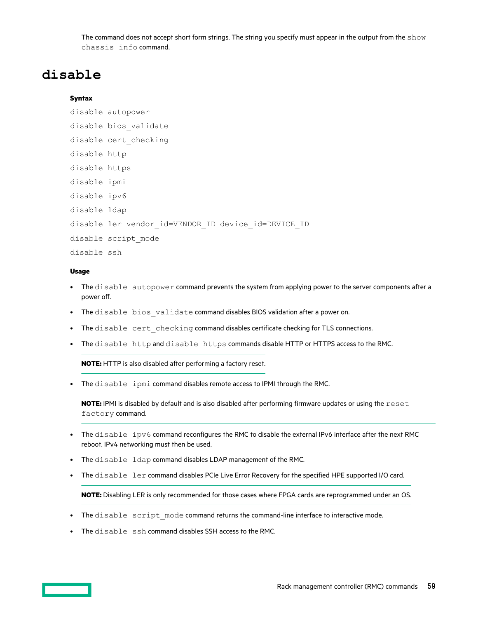The command does not accept short form strings. The string you specify must appear in the output from the show chassis info command.

# **disable**

## **Syntax**

disable autopower

- disable bios\_validate
- disable cert\_checking
- disable http
- disable https
- disable ipmi
- disable ipv6
- disable ldap
- disable ler vendor\_id=VENDOR\_ID device\_id=DEVICE\_ID

disable script\_mode

disable ssh

# **Usage**

- The disable autopower command prevents the system from applying power to the server components after a power off.
- The disable bios validate command disables BIOS validation after a power on.
- The disable cert checking command disables certificate checking for TLS connections.
- The disable http and disable https commands disable HTTP or HTTPS access to the RMC.

**NOTE:** HTTP is also disabled after performing a factory reset.

• The disable ipmi command disables remote access to IPMI through the RMC.

**NOTE:** IPMI is disabled by default and is also disabled after performing firmware updates or using the reset factory command.

- The disable ipv6 command reconfigures the RMC to disable the external IPv6 interface after the next RMC reboot. IPv4 networking must then be used.
- The disable ldap command disables LDAP management of the RMC.
- The disable ler command disables PCIe Live Error Recovery for the specified HPE supported I/O card.

**NOTE:** Disabling LER is only recommended for those cases where FPGA cards are reprogrammed under an OS.

- The disable script mode command returns the command-line interface to interactive mode.
- The disable ssh command disables SSH access to the RMC.

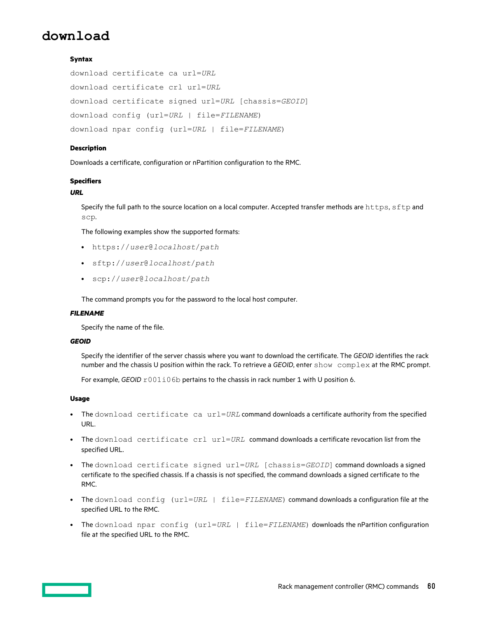# **download**

# **Syntax**

download certificate ca url=*URL* download certificate crl url=*URL* download certificate signed url=*URL* [chassis=*GEOID*] download config (url=*URL* | file=*FILENAME*) download npar config (url=*URL* | file=*FILENAME*)

### **Description**

Downloads a certificate, configuration or nPartition configuration to the RMC.

### **Specifiers**

# *URL*

Specify the full path to the source location on a local computer. Accepted transfer methods are https, sftp and scp.

The following examples show the supported formats:

- https://*user*@*localhost*/*path*
- sftp://*user*@*localhost*/*path*
- scp://*user*@*localhost*/*path*

The command prompts you for the password to the local host computer.

### *FILENAME*

Specify the name of the file.

### *GEOID*

Specify the identifier of the server chassis where you want to download the certificate. The *GEOID* identifies the rack number and the chassis U position within the rack. To retrieve a *GEOID*, enter show complex at the RMC prompt.

For example, *GEOID*  $r001i06b$  pertains to the chassis in rack number 1 with U position 6.

### **Usage**

- The download certificate ca url=*URL* command downloads a certificate authority from the specified URL.
- The download certificate crl url=*URL* command downloads a certificate revocation list from the specified URL.
- The download certificate signed url=*URL* [chassis=*GEOID*] command downloads a signed certificate to the specified chassis. If a chassis is not specified, the command downloads a signed certificate to the RMC.
- The download config (url=*URL* | file=*FILENAME*) command downloads a configuration file at the specified URL to the RMC.
- The download npar config (url=*URL* | file=*FILENAME*) downloads the nPartition configuration file at the specified URL to the RMC.

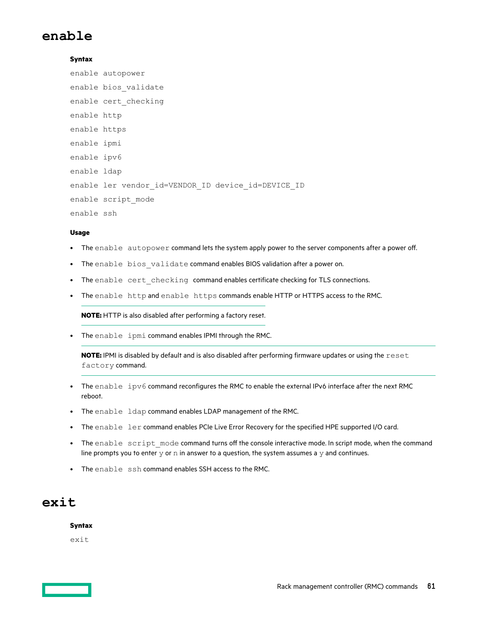# **enable**

# **Syntax**

```
enable autopower
enable bios_validate
enable cert_checking
enable http
enable https
enable ipmi
enable ipv6
enable ldap
enable ler vendor id=VENDOR ID device id=DEVICE ID
enable script_mode
enable ssh
```
## **Usage**

- The enable autopower command lets the system apply power to the server components after a power off.
- The enable bios validate command enables BIOS validation after a power on.
- The enable cert checking command enables certificate checking for TLS connections.
- The enable http and enable https commands enable HTTP or HTTPS access to the RMC.

**NOTE:** HTTP is also disabled after performing a factory reset.

• The enable ipmi command enables IPMI through the RMC.

**NOTE:** IPMI is disabled by default and is also disabled after performing firmware updates or using the reset factory command.

- The enable ipv6 command reconfigures the RMC to enable the external IPv6 interface after the next RMC reboot.
- The enable ldap command enables LDAP management of the RMC.
- The enable ler command enables PCIe Live Error Recovery for the specified HPE supported I/O card.
- The enable script mode command turns off the console interactive mode. In script mode, when the command line prompts you to enter  $y$  or  $n$  in answer to a question, the system assumes a  $y$  and continues.
- The enable ssh command enables SSH access to the RMC.

# **exit**

### **Syntax**

exit

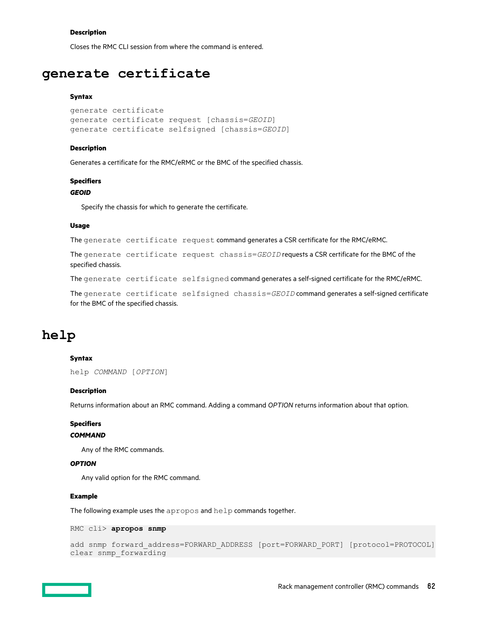### **Description**

Closes the RMC CLI session from where the command is entered.

# **generate certificate**

### **Syntax**

```
generate certificate
generate certificate request [chassis=GEOID]
generate certificate selfsigned [chassis=GEOID]
```
#### **Description**

Generates a certificate for the RMC/eRMC or the BMC of the specified chassis.

#### **Specifiers**

### *GEOID*

Specify the chassis for which to generate the certificate.

### **Usage**

The generate certificate request command generates a CSR certificate for the RMC/eRMC.

The generate certificate request chassis=*GEOID* requests a CSR certificate for the BMC of the specified chassis.

The generate certificate selfsigned command generates a self-signed certificate for the RMC/eRMC.

The generate certificate selfsigned chassis=*GEOID* command generates a self-signed certificate for the BMC of the specified chassis.

# **help**

### **Syntax**

help *COMMAND* [*OPTION*]

### **Description**

Returns information about an RMC command. Adding a command *OPTION* returns information about that option.

### **Specifiers**

### *COMMAND*

Any of the RMC commands.

### *OPTION*

Any valid option for the RMC command.

### **Example**

The following example uses the apropos and help commands together.

RMC cli> **apropos snmp**

```
add snmp forward_address=FORWARD_ADDRESS [port=FORWARD_PORT] [protocol=PROTOCOL]
clear snmp forwarding
```
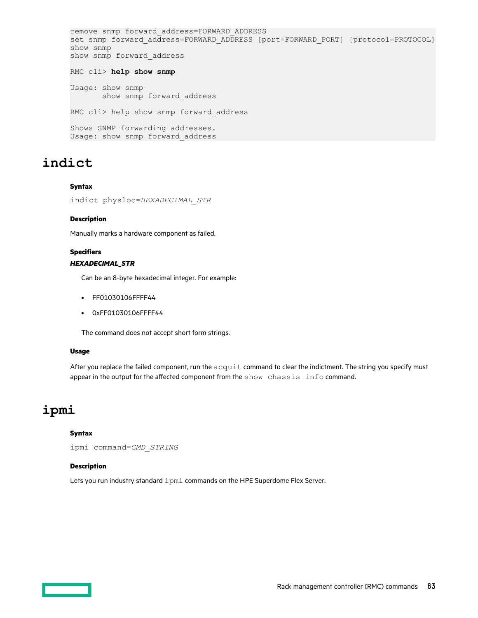```
remove snmp forward_address=FORWARD_ADDRESS
set snmp forward address=FORWARD ADDRESS [port=FORWARD PORT] [protocol=PROTOCOL]
show snmp
show snmp forward_address
RMC cli> help show snmp
Usage: show snmp
       show snmp forward_address
```
RMC cli> help show snmp forward address

Shows SNMP forwarding addresses. Usage: show snmp forward\_address

# **indict**

# **Syntax**

indict physloc=*HEXADECIMAL\_STR*

# **Description**

Manually marks a hardware component as failed.

# **Specifiers**

# *HEXADECIMAL\_STR*

Can be an 8-byte hexadecimal integer. For example:

- FF01030106FFFF44
- 0xFF01030106FFFF44

The command does not accept short form strings.

# **Usage**

After you replace the failed component, run the acquit command to clear the indictment. The string you specify must appear in the output for the affected component from the  $show\;$  chassis info command.

# **ipmi**

# **Syntax**

ipmi command=*CMD\_STRING*

# **Description**

Lets you run industry standard ipmi commands on the HPE Superdome Flex Server.

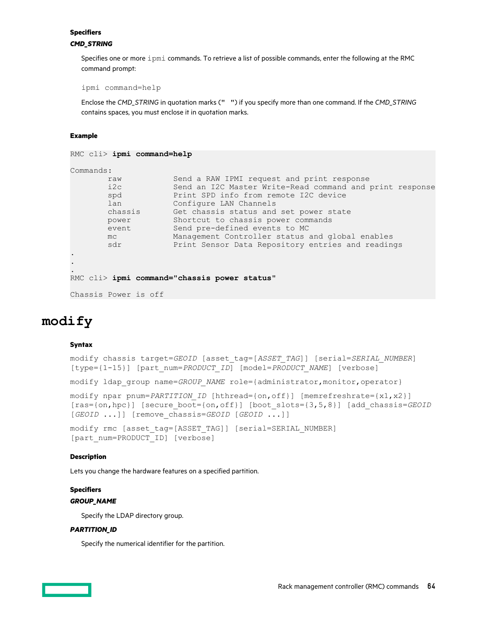### **Specifiers**

# *CMD\_STRING*

Specifies one or more ipmi commands. To retrieve a list of possible commands, enter the following at the RMC command prompt:

ipmi command=help

Enclose the *CMD\_STRING* in quotation marks (" ") if you specify more than one command. If the *CMD\_STRING* contains spaces, you must enclose it in quotation marks.

# **Example**

```
RMC cli> ipmi command=help
```
Commands:

| raw     | Send a RAW IPMI request and print response               |
|---------|----------------------------------------------------------|
| i2c     | Send an I2C Master Write-Read command and print response |
| spd     | Print SPD info from remote I2C device                    |
| lan     | Configure LAN Channels                                   |
| chassis | Get chassis status and set power state                   |
| power   | Shortcut to chassis power commands                       |
| event   | Send pre-defined events to MC                            |
| mc      | Management Controller status and global enables          |
| sdr     | Print Sensor Data Repository entries and readings        |
|         |                                                          |
|         |                                                          |

```
RMC cli> ipmi command="chassis power status"
```

```
Chassis Power is off
```
# **modify**

. . .

# **Syntax**

```
modify chassis target=GEOID [asset_tag=[ASSET_TAG]] [serial=SERIAL_NUMBER]
[type={1-15}] [part_num=PRODUCT_ID] [model=PRODUCT_NAME] [verbose]
```
modify ldap group name=*GROUP NAME* role={administrator,monitor,operator}

```
modify npar pnum=PARTITION ID [hthread={on,off}] [memrefreshrate={x1,x2}]
[ras={on,hpc}] [secure_boot={on,off}] [boot_slots={3,5,8}] [add_chassis=GEOID
[GEOID ...]] [remove_chassis=GEOID [GEOID ...]]
```
modify rmc [asset\_tag=[ASSET\_TAG]] [serial=SERIAL\_NUMBER] [part\_num=PRODUCT\_ID] [verbose]

# **Description**

Lets you change the hardware features on a specified partition.

# **Specifiers**

# *GROUP\_NAME*

Specify the LDAP directory group.

# *PARTITION\_ID*

Specify the numerical identifier for the partition.

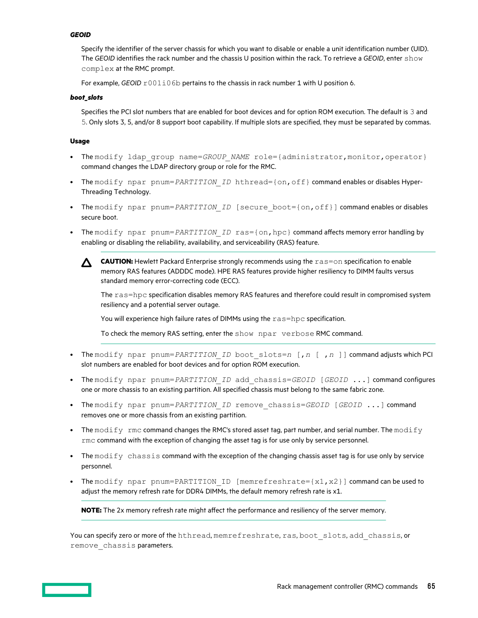### *GEOID*

Specify the identifier of the server chassis for which you want to disable or enable a unit identification number (UID). The *GEOID* identifies the rack number and the chassis U position within the rack. To retrieve a *GEOID*, enter show complex at the RMC prompt.

For example, *GEOID*  $r001i06b$  pertains to the chassis in rack number 1 with U position 6.

## *boot\_slots*

Specifies the PCI slot numbers that are enabled for boot devices and for option ROM execution. The default is 3 and 5. Only slots 3, 5, and/or 8 support boot capability. If multiple slots are specified, they must be separated by commas.

### **Usage**

- The modify ldap group name=*GROUP NAME* role={administrator,monitor,operator} command changes the LDAP directory group or role for the RMC.
- The modify npar pnum=*PARTITION ID* hthread={on,off} command enables or disables Hyper-Threading Technology.
- The modify npar pnum=*PARTITION ID* [secure boot={on,off}] command enables or disables secure boot.
- The modify npar pnum=*PARTITION ID* ras={on, hpc} command affects memory error handling by enabling or disabling the reliability, availability, and serviceability (RAS) feature.
	- **CAUTION:** Hewlett Packard Enterprise strongly recommends using the ras=on specification to enable  $\Delta^$ memory RAS features (ADDDC mode). HPE RAS features provide higher resiliency to DIMM faults versus standard memory error-correcting code (ECC).

The ras=hpc specification disables memory RAS features and therefore could result in compromised system resiliency and a potential server outage.

You will experience high failure rates of DIMMs using the ras=hpc specification.

To check the memory RAS setting, enter the show npar verbose RMC command.

- The modify npar pnum=*PARTITION\_ID* boot\_slots=*n* [,*n* [ ,*n* ]] command adjusts which PCI slot numbers are enabled for boot devices and for option ROM execution.
- The modify npar pnum=*PARTITION\_ID* add\_chassis=*GEOID* [*GEOID* ...] command configures one or more chassis to an existing partition. All specified chassis must belong to the same fabric zone.
- The modify npar pnum=*PARTITION ID* remove chassis=*GEOID* [*GEOID* ...] command removes one or more chassis from an existing partition.
- The modify rmc command changes the RMC's stored asset tag, part number, and serial number. The modify rmc command with the exception of changing the asset tag is for use only by service personnel.
- The modify chassis command with the exception of the changing chassis asset tag is for use only by service personnel.
- The modify npar pnum=PARTITION ID [memrefreshrate= ${x1, x2}$ ] command can be used to adjust the memory refresh rate for DDR4 DIMMs, the default memory refresh rate is x1.

**NOTE:** The 2x memory refresh rate might affect the performance and resiliency of the server memory.

You can specify zero or more of the hthread, memrefreshrate, ras, boot slots, add chassis, or remove chassis parameters.

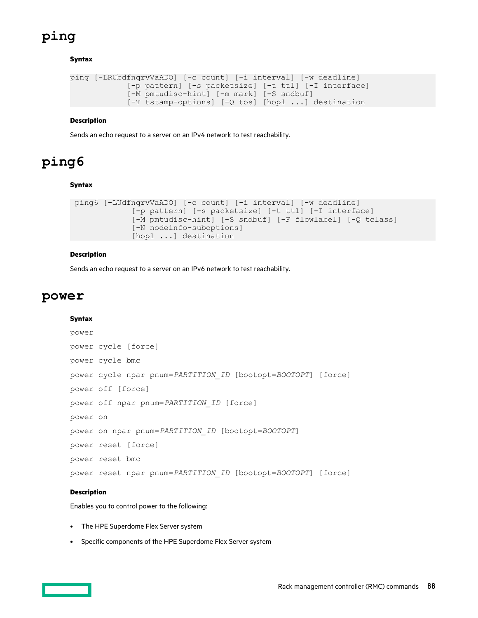# **ping**

# **Syntax**

```
ping [-LRUbdfnqrvVaADO] [-c count] [-i interval] [-w deadline]
             [-p pattern] [-s packetsize] [-t ttl] [-I interface]
             [-M pmtudisc-hint] [-m mark] [-S sndbuf]
             [-T tstamp-options] [-Q tos] [hop1 ...] destination
```
# **Description**

Sends an echo request to a server on an IPv4 network to test reachability.

# **ping6**

# **Syntax**

```
 ping6 [-LUdfnqrvVaADO] [-c count] [-i interval] [-w deadline]
              [-p pattern] [-s packetsize] [-t ttl] [-I interface]
              [-M pmtudisc-hint] [-S sndbuf] [-F flowlabel] [-Q tclass]
              [-N nodeinfo-suboptions]
             [hop1 ...] destination
```
# **Description**

Sends an echo request to a server on an IPv6 network to test reachability.

# **power**

# **Syntax**

```
power
power cycle [force]
power cycle bmc
power cycle npar pnum=PARTITION_ID [bootopt=BOOTOPT] [force]
power off [force]
power off npar pnum=PARTITION_ID [force]
power on
power on npar pnum=PARTITION_ID [bootopt=BOOTOPT]
power reset [force]
power reset bmc
power reset npar pnum=PARTITION_ID [bootopt=BOOTOPT] [force]
```
# **Description**

Enables you to control power to the following:

- The HPE Superdome Flex Server system
- Specific components of the HPE Superdome Flex Server system

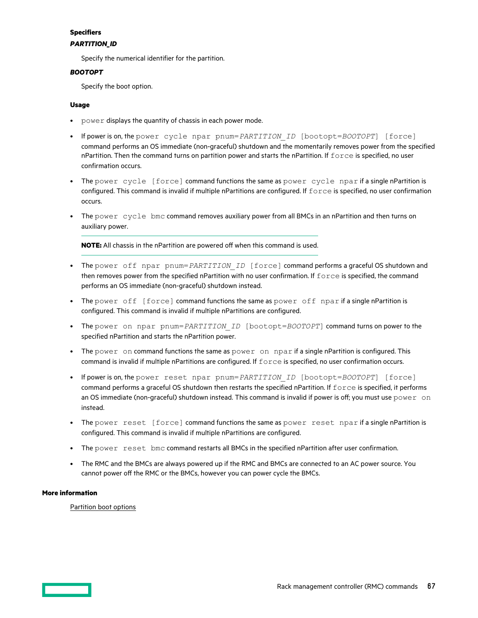# **Specifiers**

# *PARTITION\_ID*

Specify the numerical identifier for the partition.

# *BOOTOPT*

Specify the boot option.

# **Usage**

- power displays the quantity of chassis in each power mode.
- If power is on, the power cycle npar pnum=*PARTITION\_ID* [bootopt=*BOOTOPT*] [force] command performs an OS immediate (non-graceful) shutdown and the momentarily removes power from the specified nPartition. Then the command turns on partition power and starts the nPartition. If  $\epsilon$ orce is specified, no user confirmation occurs.
- The power cycle [force] command functions the same as power cycle npar if a single nPartition is configured. This command is invalid if multiple nPartitions are configured. If force is specified, no user confirmation occurs.
- The power cycle bmc command removes auxiliary power from all BMCs in an nPartition and then turns on auxiliary power.

**NOTE:** All chassis in the nPartition are powered off when this command is used.

- The power off npar pnum=*PARTITION ID* [force] command performs a graceful OS shutdown and then removes power from the specified nPartition with no user confirmation. If force is specified, the command performs an OS immediate (non-graceful) shutdown instead.
- The power off [force] command functions the same as power off npar if a single nPartition is configured. This command is invalid if multiple nPartitions are configured.
- The power on npar pnum=*PARTITION\_ID* [bootopt=*BOOTOPT*] command turns on power to the specified nPartition and starts the nPartition power.
- The power on command functions the same as power on npar if a single nPartition is configured. This command is invalid if multiple nPartitions are configured. If  $force$  is specified, no user confirmation occurs.
- If power is on, the power reset npar pnum=*PARTITION ID* [bootopt=*BOOTOPT*] [force] command performs a graceful OS shutdown then restarts the specified nPartition. If force is specified, it performs an OS immediate (non-graceful) shutdown instead. This command is invalid if power is off; you must use  $power$  on instead.
- The power reset [force] command functions the same as power reset npar if a single nPartition is configured. This command is invalid if multiple nPartitions are configured.
- The power reset bmc command restarts all BMCs in the specified nPartition after user confirmation.
- The RMC and the BMCs are always powered up if the RMC and BMCs are connected to an AC power source. You cannot power off the RMC or the BMCs, however you can power cycle the BMCs.

# **More information**

[Partition boot options](#page-88-0)

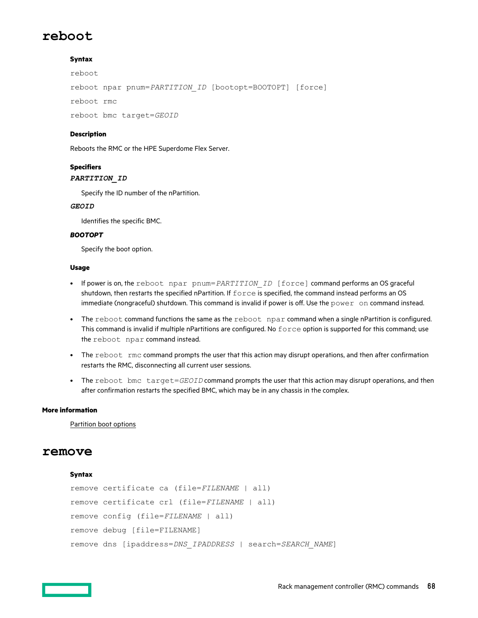# **reboot**

# **Syntax**

reboot

reboot npar pnum=*PARTITION\_ID* [bootopt=BOOTOPT] [force]

reboot rmc

reboot bmc target=*GEOID*

## **Description**

Reboots the RMC or the HPE Superdome Flex Server.

# **Specifiers**

### *PARTITION\_ID*

Specify the ID number of the nPartition.

### *GEOID*

Identifies the specific BMC.

### *BOOTOPT*

Specify the boot option.

### **Usage**

- If power is on, the reboot npar pnum=*PARTITION ID* [force] command performs an OS graceful shutdown, then restarts the specified nPartition. If  $force$  is specified, the command instead performs an OS immediate (nongraceful) shutdown. This command is invalid if power is off. Use the power on command instead.
- The reboot command functions the same as the reboot npar command when a single nPartition is configured. This command is invalid if multiple nPartitions are configured. No force option is supported for this command; use the reboot npar command instead.
- The reboot rmc command prompts the user that this action may disrupt operations, and then after confirmation restarts the RMC, disconnecting all current user sessions.
- The reboot bmc target=*GEOID* command prompts the user that this action may disrupt operations, and then after confirmation restarts the specified BMC, which may be in any chassis in the complex.

### **More information**

[Partition boot options](#page-88-0)

# **remove**

### **Syntax**

```
remove certificate ca (file=FILENAME | all)
remove certificate crl (file=FILENAME | all)
remove config (file=FILENAME | all)
remove debug [file=FILENAME]
remove dns [ipaddress=DNS_IPADDRESS | search=SEARCH_NAME]
```
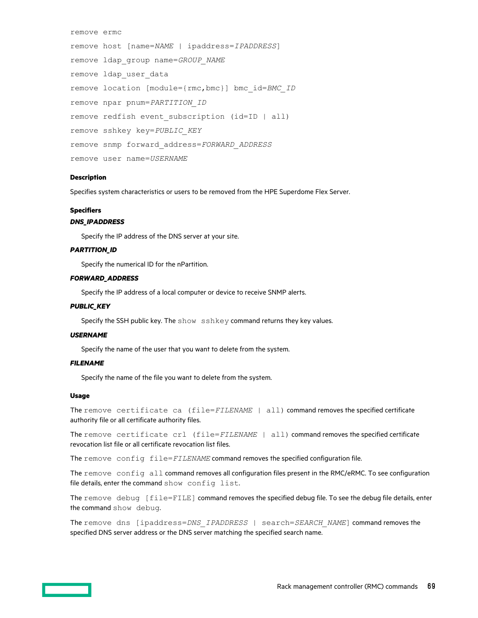```
remove ermc
remove host [name=NAME | ipaddress=IPADDRESS]
remove ldap_group name=GROUP_NAME
remove ldap_user_data
remove location [module={rmc,bmc}] bmc_id=BMC_ID
remove npar pnum=PARTITION_ID
remove redfish event subscription (id=ID | all)
remove sshkey key=PUBLIC_KEY
remove snmp forward_address=FORWARD_ADDRESS
remove user name=USERNAME
```
## **Description**

Specifies system characteristics or users to be removed from the HPE Superdome Flex Server.

### **Specifiers**

### *DNS\_IPADDRESS*

Specify the IP address of the DNS server at your site.

### *PARTITION\_ID*

Specify the numerical ID for the nPartition.

# *FORWARD\_ADDRESS*

Specify the IP address of a local computer or device to receive SNMP alerts.

### *PUBLIC\_KEY*

Specify the SSH public key. The show sshkey command returns they key values.

# *USERNAME*

Specify the name of the user that you want to delete from the system.

## *FILENAME*

Specify the name of the file you want to delete from the system.

### **Usage**

The remove certificate ca (file=*FILENAME* | all) command removes the specified certificate authority file or all certificate authority files.

The remove certificate crl (file=FILENAME | all) command removes the specified certificate revocation list file or all certificate revocation list files.

The remove config file=FILENAME command removes the specified configuration file.

The remove config all command removes all configuration files present in the RMC/eRMC. To see configuration file details, enter the command show config list.

The remove debug [file=FILE] command removes the specified debug file. To see the debug file details, enter the command show debug.

The remove dns [ipaddress=*DNS\_IPADDRESS* | search=*SEARCH\_NAME*] command removes the specified DNS server address or the DNS server matching the specified search name.

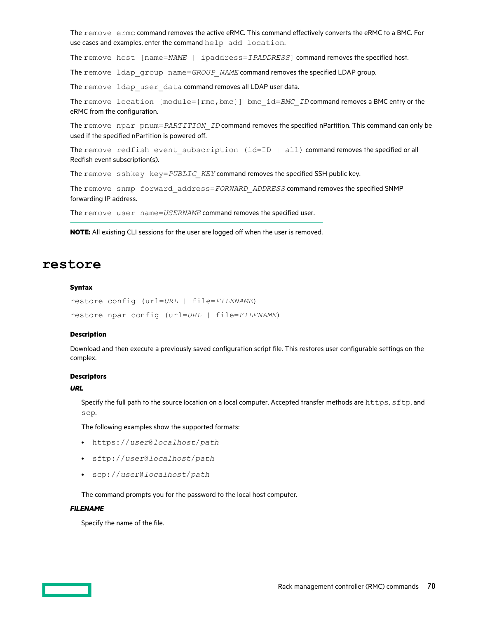The remove ermc command removes the active eRMC. This command effectively converts the eRMC to a BMC. For use cases and examples, enter the command help add location.

The remove host [name=*NAME* | ipaddress=*IPADDRESS*] command removes the specified host.

The remove ldap group name=*GROUP\_NAME* command removes the specified LDAP group.

The remove ldap user data command removes all LDAP user data.

The remove location [module={rmc, bmc}] bmc\_id=*BMC\_ID* command removes a BMC entry or the eRMC from the configuration.

The remove npar pnum=*PARTITION\_ID* command removes the specified nPartition. This command can only be used if the specified nPartition is powered off.

The remove redfish event subscription (id=ID | all) command removes the specified or all Redfish event subscription(s).

The remove sshkey key=*PUBLIC KEY* command removes the specified SSH public key.

The remove snmp forward\_address=*FORWARD\_ADDRESS* command removes the specified SNMP forwarding IP address.

The remove user name=*USERNAME* command removes the specified user.

**NOTE:** All existing CLI sessions for the user are logged off when the user is removed.

# **restore**

### **Syntax**

```
restore config (url=URL | file=FILENAME)
restore npar config (url=URL | file=FILENAME)
```
### **Description**

Download and then execute a previously saved configuration script file. This restores user configurable settings on the complex.

### **Descriptors**

### *URL*

Specify the full path to the source location on a local computer. Accepted transfer methods are https, sftp, and scp.

Rack management controller (RMC) commands **70**

The following examples show the supported formats:

- https://*user*@*localhost*/*path*
- sftp://*user*@*localhost*/*path*
- scp://*user*@*localhost*/*path*

The command prompts you for the password to the local host computer.

### *FILENAME*

Specify the name of the file.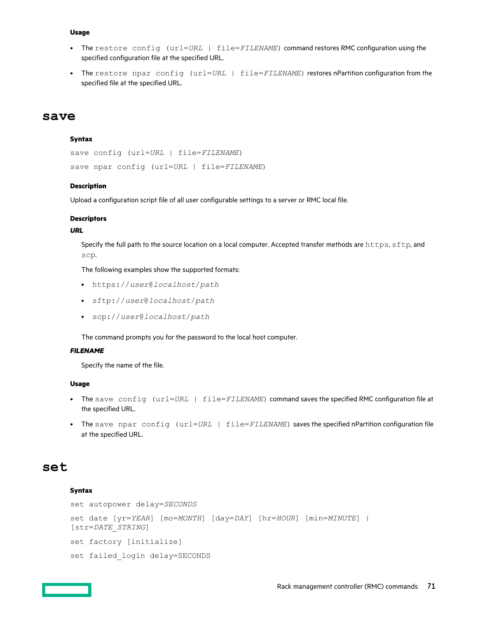- The restore config (url=*URL* | file=*FILENAME*) command restores RMC configuration using the specified configuration file at the specified URL.
- The restore npar config (url=*URL* | file=*FILENAME*) restores nPartition configuration from the specified file at the specified URL.

# **save**

### **Syntax**

```
save config (url=URL | file=FILENAME)
save npar config (url=URL | file=FILENAME)
```
### **Description**

Upload a configuration script file of all user configurable settings to a server or RMC local file.

## **Descriptors**

### *URL*

Specify the full path to the source location on a local computer. Accepted transfer methods are https, sftp, and scp.

The following examples show the supported formats:

- https://*user*@*localhost*/*path*
- sftp://*user*@*localhost*/*path*
- scp://*user*@*localhost*/*path*

The command prompts you for the password to the local host computer.

### *FILENAME*

Specify the name of the file.

## **Usage**

- The save config (url=*URL* | file=*FILENAME*) command saves the specified RMC configuration file at the specified URL.
- The save npar config (url=*URL* | file=*FILENAME*) saves the specified nPartition configuration file at the specified URL.

# **set**

## **Syntax**

```
set autopower delay=SECONDS
set date [yr=YEAR] [mo=MONTH] [day=DAY] [hr=HOUR] [min=MINUTE] |
[str=DATE_STRING]
set factory [initialize]
set failed_login delay=SECONDS
```
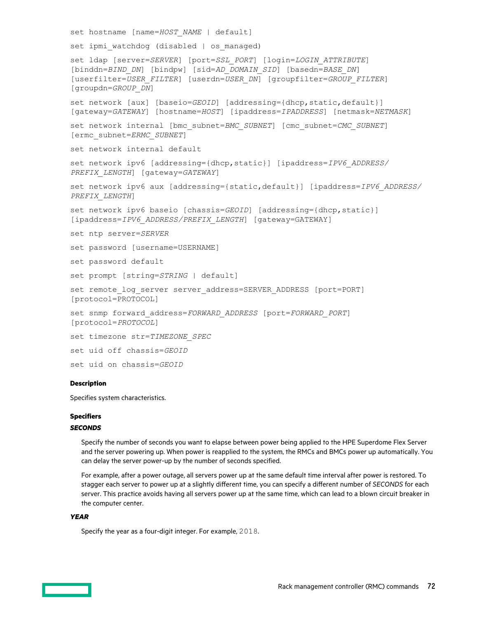```
set hostname [name=HOST_NAME | default]
set ipmi watchdog (disabled | os managed)
set ldap [server=SERVER] [port=SSL_PORT] [login=LOGIN_ATTRIBUTE]
[binddn=BIND_DN] [bindpw] [sid=AD_DOMAIN_SID] [basedn=BASE_DN]
[userfilter=USER_FILTER] [userdn=USER_DN] [groupfilter=GROUP_FILTER]
[groupdn=GROUP_DN]
set network [aux] [baseio=GEOID] [addressing={dhcp, static, default}]
[gateway=GATEWAY] [hostname=HOST] [ipaddress=IPADDRESS] [netmask=NETMASK]
set network internal [bmc_subnet=BMC_SUBNET] [cmc_subnet=CMC_SUBNET]
[ermc_subnet=ERMC_SUBNET]
set network internal default
set network ipv6 [addressing={dhcp,static}] [ipaddress=IPV6_ADDRESS/
PREFIX_LENGTH] [gateway=GATEWAY]
set network ipv6 aux [addressing={static,default}] [ipaddress=IPV6_ADDRESS/
PREFIX_LENGTH]
set network ipv6 baseio [chassis=GEOID] [addressing={dhcp,static}]
[ipaddress=IPV6_ADDRESS/PREFIX_LENGTH] [gateway=GATEWAY]
set ntp server=SERVER
set password [username=USERNAME]
set password default
set prompt [string=STRING | default]
set remote log server server address=SERVER ADDRESS [port=PORT]
[protocol=PROTOCOL]
set snmp forward_address=FORWARD_ADDRESS [port=FORWARD_PORT]
[protocol=PROTOCOL]
set timezone str=TIMEZONE_SPEC
set uid off chassis=GEOID
set uid on chassis=GEOID
```
## **Description**

Specifies system characteristics.

# **Specifiers**

### *SECONDS*

Specify the number of seconds you want to elapse between power being applied to the HPE Superdome Flex Server and the server powering up. When power is reapplied to the system, the RMCs and BMCs power up automatically. You can delay the server power-up by the number of seconds specified.

For example, after a power outage, all servers power up at the same default time interval after power is restored. To stagger each server to power up at a slightly different time, you can specify a different number of *SECONDS* for each server. This practice avoids having all servers power up at the same time, which can lead to a blown circuit breaker in the computer center.

### *YEAR*

Specify the year as a four-digit integer. For example, 2018.

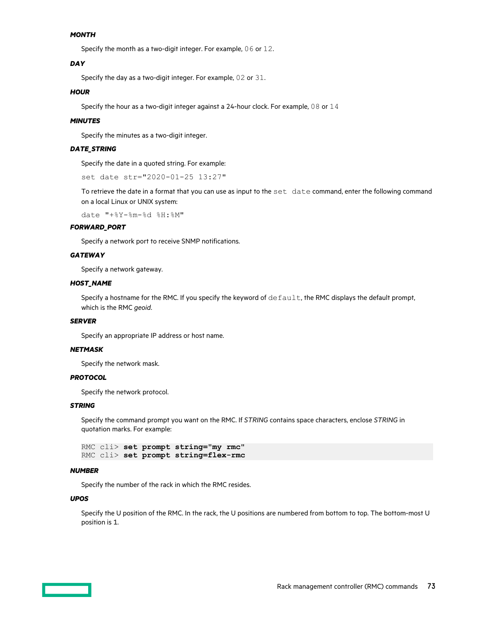#### *MONTH*

Specify the month as a two-digit integer. For example, 06 or 12.

#### *DAY*

Specify the day as a two-digit integer. For example, 02 or 31.

#### *HOUR*

Specify the hour as a two-digit integer against a 24-hour clock. For example, 08 or 14

#### *MINUTES*

Specify the minutes as a two-digit integer.

#### *DATE\_STRING*

Specify the date in a quoted string. For example:

set date str="2020-01-25 13:27"

To retrieve the date in a format that you can use as input to the set date command, enter the following command on a local Linux or UNIX system:

date "+%Y-%m-%d %H:%M"

#### *FORWARD\_PORT*

Specify a network port to receive SNMP notifications.

#### *GATEWAY*

Specify a network gateway.

#### *HOST\_NAME*

Specify a hostname for the RMC. If you specify the keyword of  $\text{default},$  the RMC displays the default prompt, which is the RMC *geoid*.

#### *SERVER*

Specify an appropriate IP address or host name.

#### *NETMASK*

Specify the network mask.

#### *PROTOCOL*

Specify the network protocol.

#### *STRING*

Specify the command prompt you want on the RMC. If *STRING* contains space characters, enclose *STRING* in quotation marks. For example:

```
RMC cli> set prompt string="my rmc"
RMC cli> set prompt string=flex-rmc
```
#### *NUMBER*

Specify the number of the rack in which the RMC resides.

#### *UPOS*

Specify the U position of the RMC. In the rack, the U positions are numbered from bottom to top. The bottom-most U position is 1.

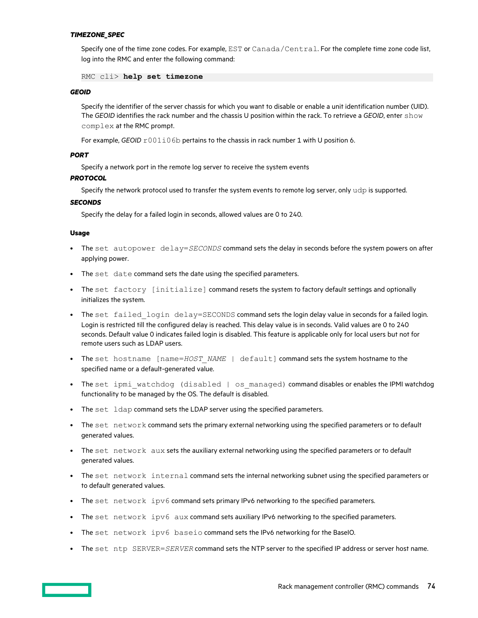#### *TIMEZONE\_SPEC*

Specify one of the time zone codes. For example, EST or Canada/Central. For the complete time zone code list, log into the RMC and enter the following command:

RMC cli> **help set timezone**

#### *GEOID*

Specify the identifier of the server chassis for which you want to disable or enable a unit identification number (UID). The *GEOID* identifies the rack number and the chassis U position within the rack. To retrieve a *GEOID*, enter show complex at the RMC prompt.

For example, *GEOID*  $r001i06b$  pertains to the chassis in rack number 1 with U position 6.

#### *PORT*

Specify a network port in the remote log server to receive the system events

#### *PROTOCOL*

Specify the network protocol used to transfer the system events to remote log server, only udp is supported.

#### *SECONDS*

Specify the delay for a failed login in seconds, allowed values are 0 to 240.

#### **Usage**

- The set autopower delay=*SECONDS* command sets the delay in seconds before the system powers on after applying power.
- The set date command sets the date using the specified parameters.
- The set factory [initialize] command resets the system to factory default settings and optionally initializes the system.
- The set failed login delay=SECONDS command sets the login delay value in seconds for a failed login. Login is restricted till the configured delay is reached. This delay value is in seconds. Valid values are 0 to 240 seconds. Default value 0 indicates failed login is disabled. This feature is applicable only for local users but not for remote users such as LDAP users.
- The set hostname [name=*HOST\_NAME* | default] command sets the system hostname to the specified name or a default-generated value.
- The set ipmi watchdog (disabled | os managed) command disables or enables the IPMI watchdog functionality to be managed by the OS. The default is disabled.
- The set ldap command sets the LDAP server using the specified parameters.
- The set network command sets the primary external networking using the specified parameters or to default generated values.
- The set network aux sets the auxiliary external networking using the specified parameters or to default generated values.
- The set network internal command sets the internal networking subnet using the specified parameters or to default generated values.
- The set network ipv6 command sets primary IPv6 networking to the specified parameters.
- The set network ipv6 aux command sets auxiliary IPv6 networking to the specified parameters.
- The set network ipv6 baseio command sets the IPv6 networking for the BaseIO.
- The set ntp SERVER=*SERVER* command sets the NTP server to the specified IP address or server host name.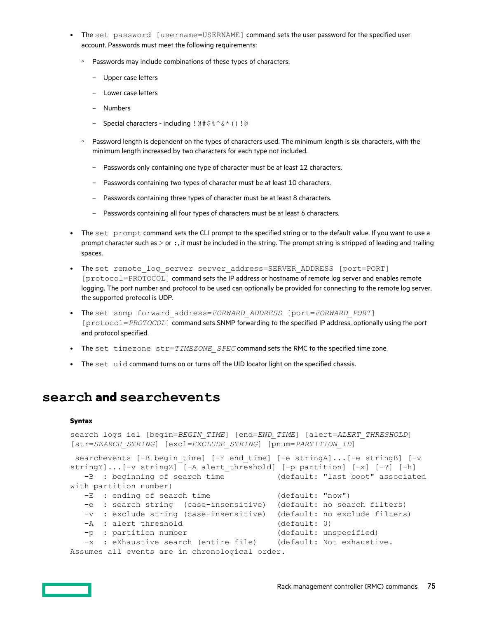- The set password [username=USERNAME] command sets the user password for the specified user account. Passwords must meet the following requirements:
	- Passwords may include combinations of these types of characters:
		- Upper case letters
		- Lower case letters
		- Numbers
		- Special characters including !@#\$%^&\*()!@
	- Password length is dependent on the types of characters used. The minimum length is six characters, with the minimum length increased by two characters for each type not included.
		- Passwords only containing one type of character must be at least 12 characters.
		- Passwords containing two types of character must be at least 10 characters.
		- Passwords containing three types of character must be at least 8 characters.
		- Passwords containing all four types of characters must be at least 6 characters.
- The set prompt command sets the CLI prompt to the specified string or to the default value. If you want to use a prompt character such as  $>$  or  $:$ , it must be included in the string. The prompt string is stripped of leading and trailing spaces.
- The set remote log server server address=SERVER ADDRESS [port=PORT] [protocol=PROTOCOL] command sets the IP address or hostname of remote log server and enables remote logging. The port number and protocol to be used can optionally be provided for connecting to the remote log server, the supported protocol is UDP.
- The set snmp forward\_address=*FORWARD\_ADDRESS* [port=*FORWARD\_PORT*] [protocol=*PROTOCOL*] command sets SNMP forwarding to the specified IP address, optionally using the port and protocol specified.
- The set timezone str=TIMEZONE SPEC command sets the RMC to the specified time zone.
- The set uid command turns on or turns off the UID locator light on the specified chassis.

### **search and searchevents**

#### **Syntax**

```
search logs iel [begin=BEGIN_TIME] [end=END_TIME] [alert=ALERT_THRESHOLD]
[str=SEARCH_STRING] [excl=EXCLUDE_STRING] [pnum=PARTITION_ID]
searchevents [-B begin time] [-E end time] [-e stringA]...[-e stringB] [-v
stringY]...[-v stringZ] [-A alert threshold] [-p partition] [-x] [-?] [-h]
   -B : beginning of search time (default: "last boot" associated 
with partition number)
  -E : ending of search time (default: "now")
   -e : search string (case-insensitive) (default: no search filters)
   -v : exclude string (case-insensitive) (default: no exclude filters)
  -A : alert threshold (default: 0)
 -p : partition number (default: unspecified)
 -x : eXhaustive search (entire file) (default: Not exhaustive.
```
Assumes all events are in chronological order.

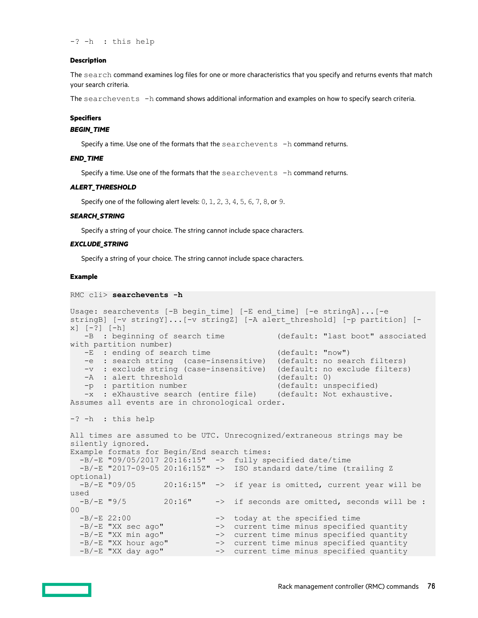-? -h : this help

#### **Description**

The search command examines log files for one or more characteristics that you specify and returns events that match your search criteria.

The searchevents -h command shows additional information and examples on how to specify search criteria.

#### **Specifiers**

#### *BEGIN\_TIME*

Specify a time. Use one of the formats that the  $searchevents -h$  command returns.

#### *END\_TIME*

Specify a time. Use one of the formats that the  $searchevents -h$  command returns.

#### *ALERT\_THRESHOLD*

Specify one of the following alert levels: 0, 1, 2, 3, 4, 5, 6, 7, 8, or 9.

#### *SEARCH\_STRING*

Specify a string of your choice. The string cannot include space characters.

#### *EXCLUDE\_STRING*

Specify a string of your choice. The string cannot include space characters.

#### **Example**

```
RMC cli> searchevents -h
```

```
Usage: searchevents [-B begin_time] [-E end_time] [-e stringA]...[-e 
stringB] [-v stringY]...[-v stringZ] [-A alert threshold] [-p partition] [-
x] [-?] [-h]<br>-B : beginning of search time
                                           (default: "last boot" associated
with partition number)
   -E : ending of search time (default: "now")
    -e : search string (case-insensitive) (default: no search filters)
   -v : exclude string (case-insensitive) (default: no exclude filters)<br>-A : alert threshold (default: 0)
   -A : alert threshold (default: 0)<br>-p : partition number (default: unspecified)
   -p : partition number
    -x : eXhaustive search (entire file) (default: Not exhaustive. 
Assumes all events are in chronological order.
-? -h : this help
All times are assumed to be UTC. Unrecognized/extraneous strings may be 
silently ignored.
Example formats for Begin/End search times:
  -B/-E "09/05/2017 20:16:15" -> fully specified date/time
  -B/-E "2017-09-05 20:16:15Z" -> ISO standard date/time (trailing Z
optional)<br>-B/-E "09/05
                  20:16:15" -> if year is omitted, current year will be
used<br>-B/-E "9/5
                   20:16" -> if seconds are omitted, seconds will be :
00<br>-B/-E 22:00
-B/-E 22:00 -> today at the specified time
-B/-E "XX sec ago" -> current time minus specified quantity
-B/-E "XX min ago" -> current time minus specified quantity
-B/-E "XX hour ago" -> current time minus specified quantity
-B/-E "XX day ago" -> current time minus specified quantity
```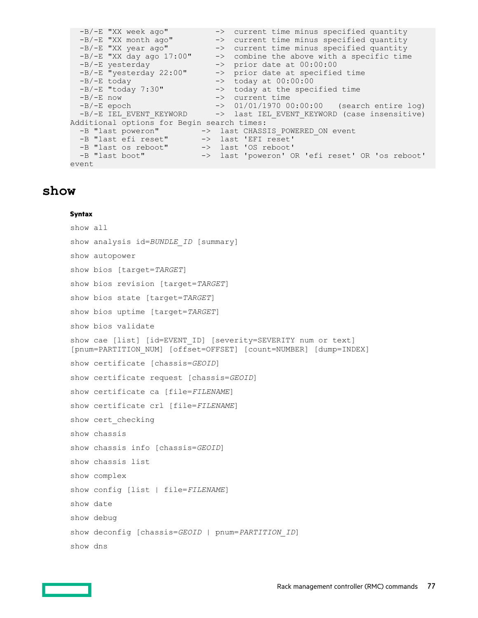```
-B/-E "XX week ago" -> current time minus specified quantity
-B/-E "XX month ago" -> current time minus specified quantity
-B/-E "XX year ago" -> current time minus specified quantity
 -B/-E "XX day ago 17:00" -> combine the above with a specific time
-B/-E yesterday \rightarrow prior date at 00:00:00
 -B/-E "yesterday 22:00" -> prior date at specified time
-B/-E today \rightarrow today at 00:00:00-B/-E today - -> today at 00:00:00<br>-B/-E "today 7:30" -> today at the specified time<br>-B/-E now -> current time
                           -> current time
-B/-E epoch -> 01/01/1970 00:00:00 (search entire log)
 -B/-E IEL_EVENT_KEYWORD -> last IEL_EVENT_KEYWORD (case insensitive)
Additional options for Begin search times:
-B "last poweron" -> last CHASSIS_POWERED_ON event
-B "last efi reset" -> last 'EFI reset'
-B "last os reboot" -> last 'OS reboot'
-B "last boot" -> last 'poweron' OR 'efi reset' OR 'os reboot'
event
```
# **show**

#### **Syntax**

```
show all
show analysis id=BUNDLE ID [summary]
show autopower
show bios [target=TARGET]
show bios revision [target=TARGET]
show bios state [target=TARGET]
show bios uptime [target=TARGET]
show bios validate
show cae [list] [id=EVENT_ID] [severity=SEVERITY num or text]
[pnum=PARTITION_NUM] [offset=OFFSET] [count=NUMBER] [dump=INDEX]
show certificate [chassis=GEOID]
show certificate request [chassis=GEOID]
show certificate ca [file=FILENAME]
show certificate crl [file=FILENAME]
show cert_checking
show chassis
show chassis info [chassis=GEOID]
show chassis list
show complex
show config [list | file=FILENAME]
show date
show debug
show deconfig [chassis=GEOID | pnum=PARTITION_ID]
show dns
```
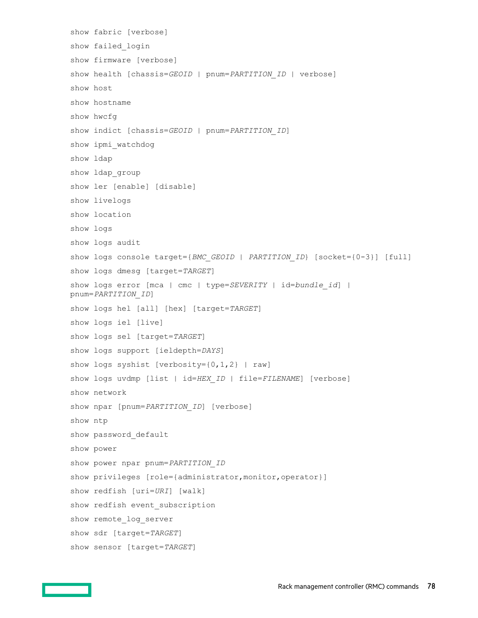```
show fabric [verbose]
show failed_login
show firmware [verbose]
show health [chassis=GEOID | pnum=PARTITION_ID | verbose]
show host
show hostname
show hwcfg
show indict [chassis=GEOID | pnum=PARTITION_ID]
show ipmi_watchdog
show ldap
show ldap_group
show ler [enable] [disable]
show livelogs
show location
show logs
show logs audit
show logs console target={BMC GEOID | PARTITION ID} [socket={0-3}] [full]
show logs dmesg [target=TARGET]
show logs error [mca | cmc | type=SEVERITY | id=bundle_id] |
pnum=PARTITION_ID]
show logs hel [all] [hex] [target=TARGET]
show logs iel [live]
show logs sel [target=TARGET]
show logs support [ieldepth=DAYS]
show logs syshist [verbosity=\{0, 1, 2\} | raw]
show logs uvdmp [list | id=HEX_ID | file=FILENAME] [verbose]
show network
show npar [pnum=PARTITION_ID] [verbose]
show ntp
show password_default
show power
show power npar pnum=PARTITION_ID
show privileges [role={administrator, monitor, operator}]
show redfish [uri=URI] [walk]
show redfish event subscription
show remote log server
show sdr [target=TARGET]
show sensor [target=TARGET]
```
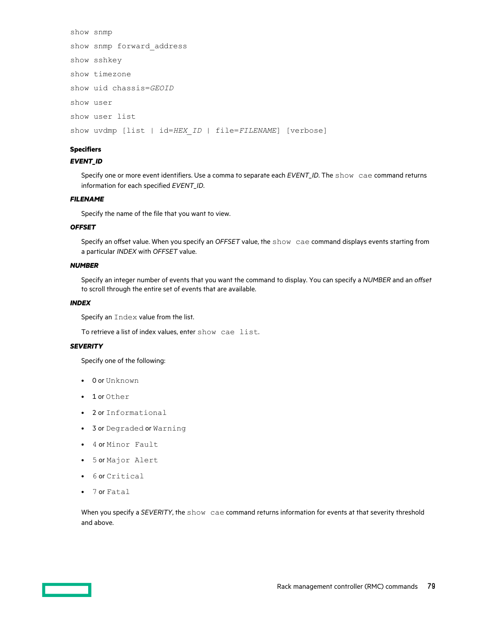```
show snmp
show snmp forward_address
show sshkey
show timezone
show uid chassis=GEOID
show user
show user list
show uvdmp [list | id=HEX_ID | file=FILENAME] [verbose]
```
#### **Specifiers**

#### *EVENT\_ID*

Specify one or more event identifiers. Use a comma to separate each *EVENT\_ID*. The show cae command returns information for each specified *EVENT\_ID*.

#### *FILENAME*

Specify the name of the file that you want to view.

#### *OFFSET*

Specify an offset value. When you specify an *OFFSET* value, the show cae command displays events starting from a particular *INDEX* with *OFFSET* value.

#### *NUMBER*

Specify an integer number of events that you want the command to display. You can specify a *NUMBER* and an offset to scroll through the entire set of events that are available.

#### *INDEX*

Specify an Index value from the list.

To retrieve a list of index values, enter show cae list.

#### *SEVERITY*

Specify one of the following:

- 0 or Unknown
- 1 or Other
- 2 or Informational
- 3 or Degraded or Warning
- 4 or Minor Fault
- 5 or Major Alert
- 6 or Critical
- 7 or Fatal

When you specify a *SEVERITY*, the show cae command returns information for events at that severity threshold and above.

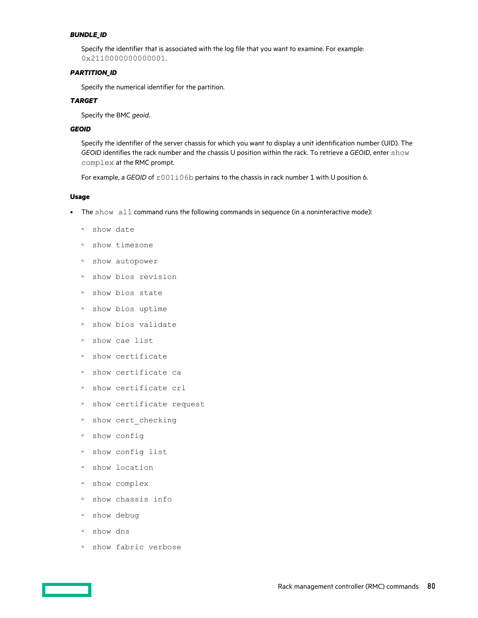#### *BUNDLE\_ID*

Specify the identifier that is associated with the log file that you want to examine. For example: 0x2110000000000001.

#### *PARTITION\_ID*

Specify the numerical identifier for the partition.

#### *TARGET*

Specify the BMC *geoid*.

#### *GEOID*

Specify the identifier of the server chassis for which you want to display a unit identification number (UID). The *GEOID* identifies the rack number and the chassis U position within the rack. To retrieve a *GEOID*, enter show complex at the RMC prompt.

For example, a *GEOID* of  $r001i06b$  pertains to the chassis in rack number 1 with U position 6.

#### **Usage**

- The show all command runs the following commands in sequence (in a noninteractive mode):
	- show date
	- show timezone
	- show autopower
	- show bios revision
	- show bios state
	- show bios uptime
	- show bios validate
	- show cae list
	- show certificate
	- show certificate ca
	- show certificate crl
	- show certificate request
	- show cert\_checking
	- show config
	- show config list
	- show location
	- show complex
	- show chassis info
	- show debug
	- show dns
	- show fabric verbose

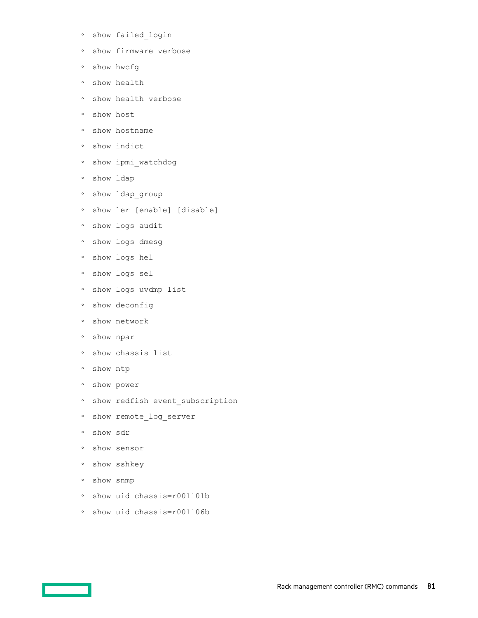- show failed\_login
- show firmware verbose
- show hwcfg
- show health
- show health verbose
- show host
- show hostname
- show indict
- show ipmi\_watchdog
- show ldap
- show ldap\_group
- show ler [enable] [disable]
- show logs audit
- show logs dmesg
- show logs hel
- show logs sel
- show logs uvdmp list
- show deconfig
- show network
- show npar
- show chassis list
- show ntp
- show power
- show redfish event\_subscription
- show remote\_log\_server
- show sdr
- show sensor
- show sshkey
- show snmp
- show uid chassis=r001i01b
- show uid chassis=r001i06b

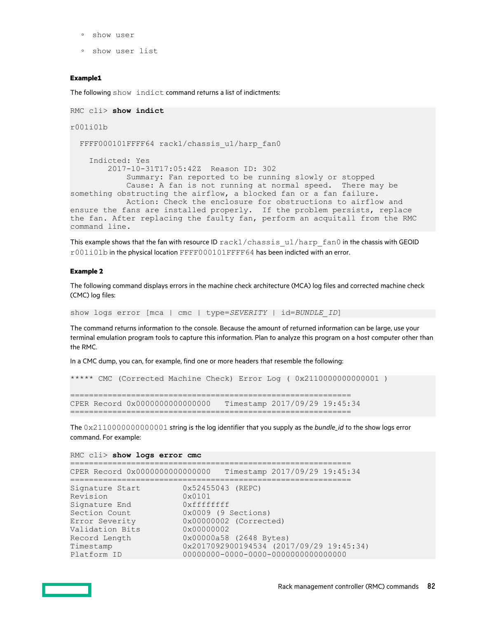- show user
- show user list

#### **Example1**

The following show indict command returns a list of indictments:

```
RMC cli> show indict
r001i01b
 FFFF000101FFFF64 rack1/chassis u1/harp fan0
     Indicted: Yes
         2017-10-31T17:05:42Z Reason ID: 302
             Summary: Fan reported to be running slowly or stopped
             Cause: A fan is not running at normal speed. There may be 
something obstructing the airflow, a blocked fan or a fan failure.
            Action: Check the enclosure for obstructions to airflow and 
ensure the fans are installed properly. If the problem persists, replace 
the fan. After replacing the faulty fan, perform an acquitall from the RMC 
command line.
```
This example shows that the fan with resource ID  $rack1/chassis$   $u1/harp$   $fan0$  in the chassis with GEOID r001i01b in the physical location FFFF000101FFFF64 has been indicted with an error.

#### **Example 2**

The following command displays errors in the machine check architecture (MCA) log files and corrected machine check (CMC) log files:

show logs error [mca | cmc | type=*SEVERITY* | id=*BUNDLE\_ID*]

The command returns information to the console. Because the amount of returned information can be large, use your terminal emulation program tools to capture this information. Plan to analyze this program on a host computer other than the RMC.

In a CMC dump, you can, for example, find one or more headers that resemble the following:

```
***** CMC (Corrected Machine Check) Error Log ( 0x2110000000000001 )
============================================================ 
CPER Record 0x0000000000000000 Timestamp 2017/09/29 19:45:34
============================================================
```
The 0x2110000000000001 string is the log identifier that you supply as the *bundle\_id* to the show logs error command. For example:

RMC cli> **show logs error cmc**

|                 | CPER Record 0x0000000000000000 |                   | Timestamp 2017/09/29 19:45:34 |  |
|-----------------|--------------------------------|-------------------|-------------------------------|--|
| Signature Start |                                | 0x52455043 (REPC) |                               |  |

```
Revision 0x0101
Signature End 0xfffffffff
Section Count 0x0009 (9 Sections)
Error Severity 0x00000002 (Corrected)
Validation Bits<br>Record Length
Record Length 0x00000a58 (2648 Bytes)
Timestamp 0x2017092900194534 (2017/09/29 19:45:34)
Platform ID 00000000-0000-0000-0000000000000000
```
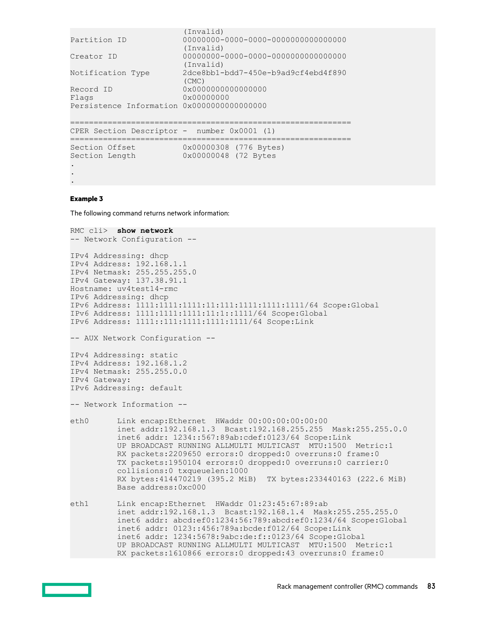```
 (Invalid)
Partition ID 00000000-0000-0000-0000000000000000
(Invalid) (Invalid)<br>Creator ID 00000000-
                      Creator ID 00000000-0000-0000-0000000000000000
                       (Invalid)
Notification Type 2dce8bb1-bdd7-450e-b9ad9cf4ebd4f890
(CMC)<br>Record ID 0x000
                      0x0000000000000000
Flags 0x00000000
Persistence Information 0x0000000000000000
============================================================ 
CPER Section Descriptor - number 0x0001 (1)
============================================================ 
Section Offset 0x00000308 (776 Bytes) 
Section Length 0x00000048 (72 Bytes
.
```

```
.
.
```
#### **Example 3**

The following command returns network information:

```
RMC cli> show network
-- Network Configuration --
IPv4 Addressing: dhcp
IPv4 Address: 192.168.1.1
IPv4 Netmask: 255.255.255.0
IPv4 Gateway: 137.38.91.1
Hostname: uv4test14-rmc
IPv6 Addressing: dhcp
IPv6 Address: 1111:1111:1111:11:111:1111:1111:1111/64 Scope:Global
IPv6 Address: 1111:1111:1111:11:1::1111/64 Scope:Global
IPv6 Address: 1111::111:1111:1111:1111/64 Scope:Link
-- AUX Network Configuration --
IPv4 Addressing: static
IPv4 Address: 192.168.1.2
IPv4 Netmask: 255.255.0.0
IPv4 Gateway:
IPv6 Addressing: default
-- Network Information --
eth0 Link encap:Ethernet HWaddr 00:00:00:00:00:00
          inet addr:192.168.1.3 Bcast:192.168.255.255 Mask:255.255.0.0
          inet6 addr: 1234::567:89ab:cdef:0123/64 Scope:Link
          UP BROADCAST RUNNING ALLMULTI MULTICAST MTU:1500 Metric:1
          RX packets:2209650 errors:0 dropped:0 overruns:0 frame:0
          TX packets:1950104 errors:0 dropped:0 overruns:0 carrier:0
          collisions:0 txqueuelen:1000
          RX bytes:414470219 (395.2 MiB) TX bytes:233440163 (222.6 MiB)
          Base address:0xc000
eth1 Link encap:Ethernet HWaddr 01:23:45:67:89:ab
          inet addr:192.168.1.3 Bcast:192.168.1.4 Mask:255.255.255.0
          inet6 addr: abcd:ef0:1234:56:789:abcd:ef0:1234/64 Scope:Global
          inet6 addr: 0123::456:789a:bcde:f012/64 Scope:Link
          inet6 addr: 1234:5678:9abc:de:f::0123/64 Scope:Global
          UP BROADCAST RUNNING ALLMULTI MULTICAST MTU:1500 Metric:1
          RX packets:1610866 errors:0 dropped:43 overruns:0 frame:0
```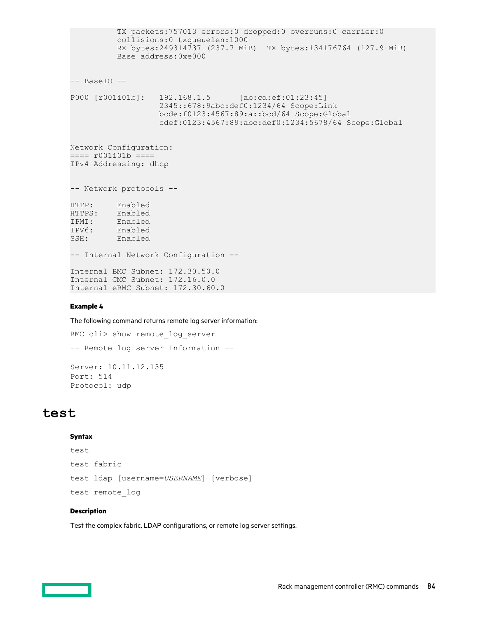TX packets:757013 errors:0 dropped:0 overruns:0 carrier:0 collisions:0 txqueuelen:1000 RX bytes:249314737 (237.7 MiB) TX bytes:134176764 (127.9 MiB) Base address:0xe000 -- BaseIO -- P000 [r001i01b]: 192.168.1.5 [ab:cd:ef:01:23:45] 2345::678:9abc:def0:1234/64 Scope:Link bcde:f0123:4567:89:a::bcd/64 Scope:Global cdef:0123:4567:89:abc:def0:1234:5678/64 Scope:Global Network Configuration: ==== r001i01b ==== IPv4 Addressing: dhcp -- Network protocols -- HTTP: Enabled HTTPS: Enabled IPMI: Enabled IPMI. Enabled<br>IPV6: Enabled<br>SSH: Enabled SSH: Enabled -- Internal Network Configuration -- Internal BMC Subnet: 172.30.50.0 Internal CMC Subnet: 172.16.0.0 Internal eRMC Subnet: 172.30.60.0

#### **Example 4**

The following command returns remote log server information:

```
RMC cli> show remote log server
-- Remote log server Information --
Server: 10.11.12.135
Port: 514 
Protocol: udp
```
### **test**

#### **Syntax**

```
test
test fabric
test ldap [username=USERNAME] [verbose]
test remote_log
```
#### **Description**

Test the complex fabric, LDAP configurations, or remote log server settings.

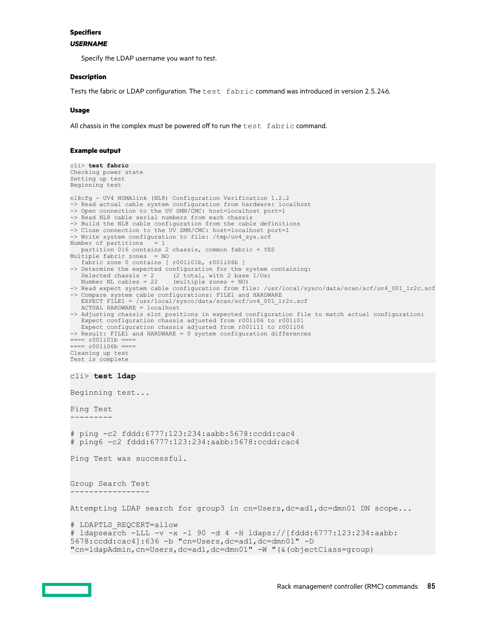#### **Specifiers**

#### *USERNAME*

Specify the LDAP username you want to test.

#### **Description**

Tests the fabric or LDAP configuration. The test fabric command was introduced in version 2.5.246.

#### **Usage**

All chassis in the complex must be powered off to run the  $test$   $fabric$  command.

#### **Example output**

cli> **test fabric**

```
Checking power state
Setting up test
Beginning test
nl8cfg - UV4 NUMAlink (NL8) Configuration Verification 1.2.2
-> Read actual cable system configuration from hardware: localhost
-> Open connection to the UV SMN/CMC: host=localhost port=1
-> Read NL8 cable serial numbers from each chassis
-> Build the NL8 cable configuration from the cable definitions
-> Close connection to the UV SMN/CMC: host=localhost port=1
-> Write system configuration to file: /tmp/uv4_sys.scf
Number of partitions
   partition 016 contains 2 chassis, common fabric = YES
Multiple fabric zones = NO
   fabric zone 0 contains [ r001i01b, r001i06b ]
-> Determine the expected configuration for the system containing:<br>Selected chassis = 2 (2 total, with 2 base I/Os)
Selected chassis = 2 (2 total, with 2 base I/Os)
 Number NL cables = 22 (multiple zones = NO)
-> Read expect system cable configuration from file: /usr/local/sysco/data/scan/scf/uv4_001_1r2c.scf
-> Compare system cable configurations: FILE1 and HARDWARE
 EXPECT FILE1 = /usr/local/sysco/data/scan/scf/uv4_001_1r2c.scf
 ACTUAL HARDWARE = localhost
-> Adjusting chassis slot positions in expected configuration file to match actual configuration:
   Expect configuration chassis adjusted from r001i06 to r001i01
   Expect configuration chassis adjusted from r001i11 to r001i06
-> Result: FILE1 and HARDWARE = 0 system configuration differences
=== r001i01b ====== r001i06b ====
Cleaning up test
Test is complete
cli> test ldap
Beginning test...
Ping Test
---------
# ping -c2 fddd:6777:123:234:aabb:5678:ccdd:cac4
# ping6 -c2 fddd:6777:123:234:aabb:5678:ccdd:cac4
Ping Test was successful.
Group Search Test
-----------------
Attempting LDAP search for group3 in cn=Users,dc=ad1,dc=dmn01 DN scope...
# LDAPTLS_REQCERT=allow
# ldapsearch -LLL -v -x -l 90 -d 4 -H ldaps://[fddd:6777:123:234:aabb:
5678:ccdd:cac4]:636 -b "cn=Users,dc=ad1,dc=dmn01" -D 
"cn=ldapAdmin,cn=Users,dc=ad1,dc=dmn01" -W "(&(objectClass=group)
```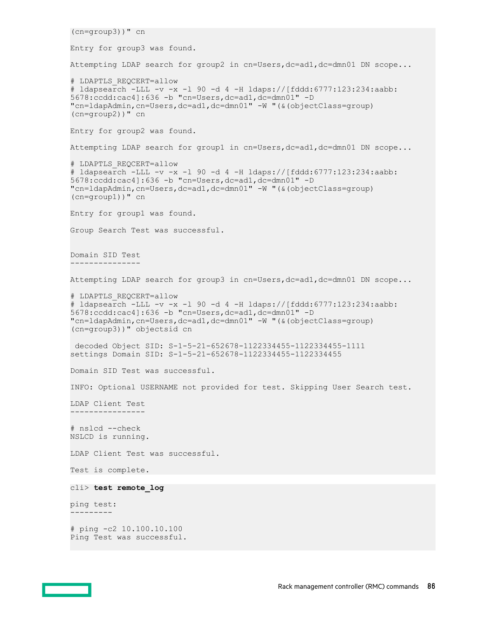```
(cn=group3))" cn
Entry for group3 was found.
Attempting LDAP search for group2 in cn=Users,dc=ad1,dc=dmn01 DN scope...
# LDAPTLS_REQCERT=allow
# ldapsearch -LLL -v -x -l 90 -d 4 -H ldaps://[fddd:6777:123:234:aabb:
5678:ccdd:cac4]:636 -b "cn=Users,dc=ad1,dc=dmn01" -D 
"cn=ldapAdmin,cn=Users,dc=ad1,dc=dmn01" -W "(&(objectClass=group)
(cn=group2))" cn
Entry for group2 was found.
Attempting LDAP search for group1 in cn=Users,dc=ad1,dc=dmn01 DN scope...
# LDAPTLS_REQCERT=allow
# ldapsearch -LLL -v -x -l 90 -d 4 -H ldaps://[fddd:6777:123:234:aabb:
5678:ccdd:cac4]:636 -b "cn=Users,dc=ad1,dc=dmn01" -D 
"cn=ldapAdmin,cn=Users,dc=ad1,dc=dmn01" -W "(&(objectClass=group)
(cn=group1))" cn
Entry for group1 was found.
Group Search Test was successful.
Domain SID Test
---------------
Attempting LDAP search for group3 in cn=Users,dc=ad1,dc=dmn01 DN scope...
# LDAPTLS_REQCERT=allow
# ldapsearch -LLL -v -x -l 90 -d 4 -H ldaps://[fddd:6777:123:234:aabb:
5678:ccdd:cac4]:636 -b "cn=Users,dc=ad1,dc=dmn01" -D 
"cn=ldapAdmin,cn=Users,dc=ad1,dc=dmn01" -W "(&(objectClass=group)
(cn=group3))" objectsid cn
 decoded Object SID: S-1-5-21-652678-1122334455-1122334455-1111
settings Domain SID: S-1-5-21-652678-1122334455-1122334455
Domain SID Test was successful.
INFO: Optional USERNAME not provided for test. Skipping User Search test.
LDAP Client Test
 ----------------
# nslcd --check
NSLCD is running.
LDAP Client Test was successful.
Test is complete.
cli> test remote_log
ping test:
---------
# ping -c2 10.100.10.100
Ping Test was successful.
```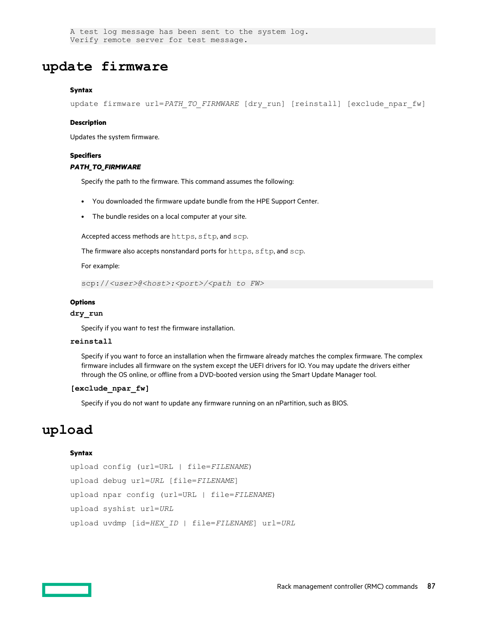A test log message has been sent to the system log. Verify remote server for test message.

# **update firmware**

#### **Syntax**

update firmware url=PATH\_TO\_FIRMWARE [dry\_run] [reinstall] [exclude\_npar\_fw]

#### **Description**

Updates the system firmware.

#### **Specifiers**

#### *PATH\_TO\_FIRMWARE*

Specify the path to the firmware. This command assumes the following:

- You downloaded the firmware update bundle from the HPE Support Center.
- The bundle resides on a local computer at your site.

Accepted access methods are https, sftp, and scp.

The firmware also accepts nonstandard ports for https, sftp, and scp.

#### For example:

scp://*<user>@<host>:<port>/<path to FW>*

#### **Options**

#### **dry\_run**

Specify if you want to test the firmware installation.

#### **reinstall**

Specify if you want to force an installation when the firmware already matches the complex firmware. The complex firmware includes all firmware on the system except the UEFI drivers for IO. You may update the drivers either through the OS online, or offline from a DVD-booted version using the Smart Update Manager tool.

#### **[exclude\_npar\_fw]**

Specify if you do not want to update any firmware running on an nPartition, such as BIOS.

# **upload**

#### **Syntax**

```
upload config (url=URL | file=FILENAME)
upload debug url=URL [file=FILENAME]
upload npar config (url=URL | file=FILENAME)
upload syshist url=URL
upload uvdmp [id=HEX_ID | file=FILENAME] url=URL
```
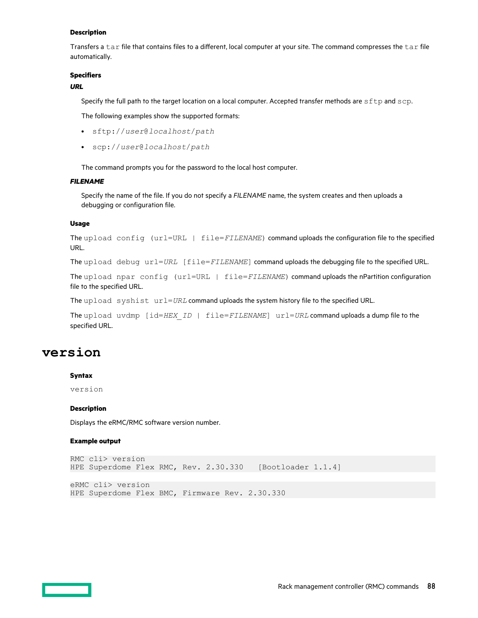#### **Description**

Transfers a tar file that contains files to a different, local computer at your site. The command compresses the tar file automatically.

#### **Specifiers**

#### *URL*

Specify the full path to the target location on a local computer. Accepted transfer methods are sftp and scp.

The following examples show the supported formats:

- sftp://*user*@*localhost*/*path*
- scp://*user*@*localhost*/*path*

The command prompts you for the password to the local host computer.

#### *FILENAME*

Specify the name of the file. If you do not specify a *FILENAME* name, the system creates and then uploads a debugging or configuration file.

#### **Usage**

The upload config (url=URL | file=*FILENAME*) command uploads the configuration file to the specified URL.

The upload debug url=*URL* [file=*FILENAME*] command uploads the debugging file to the specified URL.

The upload npar config (url=URL | file=FILENAME) command uploads the nPartition configuration file to the specified URL.

The upload syshist url=*URL* command uploads the system history file to the specified URL.

The upload uvdmp [id=*HEX\_ID* | file=*FILENAME*] url=*URL* command uploads a dump file to the specified URL.

### **version**

#### **Syntax**

version

#### **Description**

Displays the eRMC/RMC software version number.

#### **Example output**

```
RMC cli> version
HPE Superdome Flex RMC, Rev. 2.30.330 [Bootloader 1.1.4]
```

```
eRMC cli> version
HPE Superdome Flex BMC, Firmware Rev. 2.30.330
```
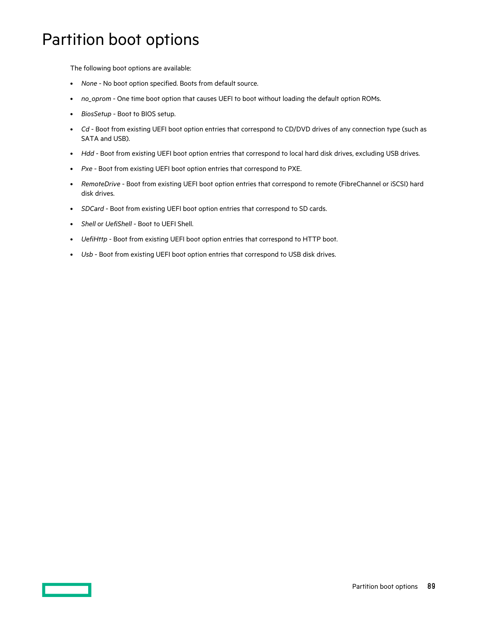# Partition boot options

The following boot options are available:

- *None*  No boot option specified. Boots from default source.
- *no\_oprom*  One time boot option that causes UEFI to boot without loading the default option ROMs.
- *BiosSetup*  Boot to BIOS setup.
- *Cd* Boot from existing UEFI boot option entries that correspond to CD/DVD drives of any connection type (such as SATA and USB).
- *Hdd* Boot from existing UEFI boot option entries that correspond to local hard disk drives, excluding USB drives.
- *Pxe* Boot from existing UEFI boot option entries that correspond to PXE.
- *RemoteDrive* Boot from existing UEFI boot option entries that correspond to remote (FibreChannel or iSCSI) hard disk drives.
- *SDCard* Boot from existing UEFI boot option entries that correspond to SD cards.
- *Shell* or *UefiShell* Boot to UEFI Shell.
- *UefiHttp* Boot from existing UEFI boot option entries that correspond to HTTP boot.
- *Usb* Boot from existing UEFI boot option entries that correspond to USB disk drives.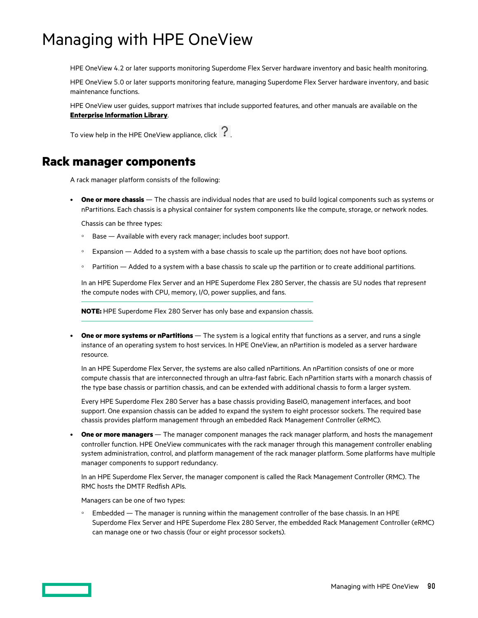# Managing with HPE OneView

HPE OneView 4.2 or later supports monitoring Superdome Flex Server hardware inventory and basic health monitoring.

HPE OneView 5.0 or later supports monitoring feature, managing Superdome Flex Server hardware inventory, and basic maintenance functions.

HPE OneView user guides, support matrixes that include supported features, and other manuals are available on the **[Enterprise Information Library](http://www.hpe.com/info/oneview/docs)**.

To view help in the HPE OneView appliance, click  $?$ 

# **Rack manager components**

A rack manager platform consists of the following:

**One or more chassis** — The chassis are individual nodes that are used to build logical components such as systems or nPartitions. Each chassis is a physical container for system components like the compute, storage, or network nodes.

Chassis can be three types:

- Base Available with every rack manager; includes boot support.
- Expansion Added to a system with a base chassis to scale up the partition; does not have boot options.
- Partition Added to a system with a base chassis to scale up the partition or to create additional partitions.

In an HPE Superdome Flex Server and an HPE Superdome Flex 280 Server, the chassis are 5U nodes that represent the compute nodes with CPU, memory, I/O, power supplies, and fans.

**NOTE:** HPE Superdome Flex 280 Server has only base and expansion chassis.

• **One or more systems or nPartitions** — The system is a logical entity that functions as a server, and runs a single instance of an operating system to host services. In HPE OneView, an nPartition is modeled as a server hardware resource.

In an HPE Superdome Flex Server, the systems are also called nPartitions. An nPartition consists of one or more compute chassis that are interconnected through an ultra-fast fabric. Each nPartition starts with a monarch chassis of the type base chassis or partition chassis, and can be extended with additional chassis to form a larger system.

Every HPE Superdome Flex 280 Server has a base chassis providing BaseIO, management interfaces, and boot support. One expansion chassis can be added to expand the system to eight processor sockets. The required base chassis provides platform management through an embedded Rack Management Controller (eRMC).

• **One or more managers** — The manager component manages the rack manager platform, and hosts the management controller function. HPE OneView communicates with the rack manager through this management controller enabling system administration, control, and platform management of the rack manager platform. Some platforms have multiple manager components to support redundancy.

In an HPE Superdome Flex Server, the manager component is called the Rack Management Controller (RMC). The RMC hosts the DMTF Redfish APIs.

Managers can be one of two types:

◦ Embedded — The manager is running within the management controller of the base chassis. In an HPE Superdome Flex Server and HPE Superdome Flex 280 Server, the embedded Rack Management Controller (eRMC) can manage one or two chassis (four or eight processor sockets).

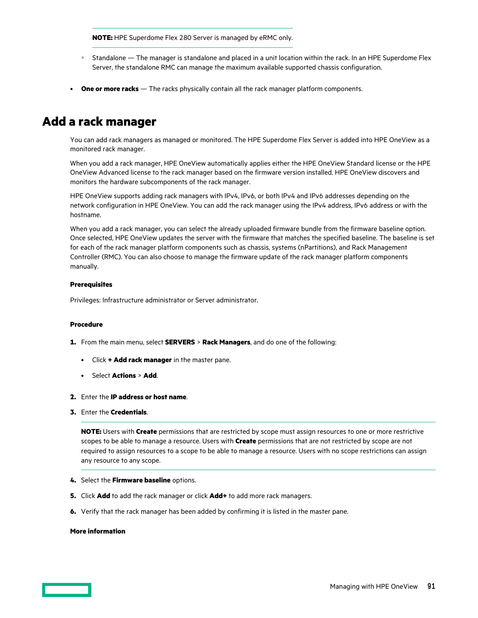**NOTE:** HPE Superdome Flex 280 Server is managed by eRMC only.

- Standalone The manager is standalone and placed in a unit location within the rack. In an HPE Superdome Flex Server, the standalone RMC can manage the maximum available supported chassis configuration.
- **One or more racks** The racks physically contain all the rack manager platform components.

# **Add a rack manager**

You can add rack managers as managed or monitored. The HPE Superdome Flex Server is added into HPE OneView as a monitored rack manager.

When you add a rack manager, HPE OneView automatically applies either the HPE OneView Standard license or the HPE OneView Advanced license to the rack manager based on the firmware version installed. HPE OneView discovers and monitors the hardware subcomponents of the rack manager.

HPE OneView supports adding rack managers with IPv4, IPv6, or both IPv4 and IPv6 addresses depending on the network configuration in HPE OneView. You can add the rack manager using the IPv4 address, IPv6 address or with the hostname.

When you add a rack manager, you can select the already uploaded firmware bundle from the firmware baseline option. Once selected, HPE OneView updates the server with the firmware that matches the specified baseline. The baseline is set for each of the rack manager platform components such as chassis, systems (nPartitions), and Rack Management Controller (RMC). You can also choose to manage the firmware update of the rack manager platform components manually.

#### **Prerequisites**

Privileges: Infrastructure administrator or Server administrator.

#### **Procedure**

- **1.** From the main menu, select **SERVERS** > **Rack Managers**, and do one of the following:
	- Click **+ Add rack manager** in the master pane.
	- Select **Actions** > **Add**.
- **2.** Enter the **IP address or host name**.
- **3.** Enter the **Credentials**.

**NOTE:** Users with **Create** permissions that are restricted by scope must assign resources to one or more restrictive scopes to be able to manage a resource. Users with **Create** permissions that are not restricted by scope are not required to assign resources to a scope to be able to manage a resource. Users with no scope restrictions can assign any resource to any scope.

- **4.** Select the **Firmware baseline** options.
- **5.** Click **Add** to add the rack manager or click **Add+** to add more rack managers.
- **6.** Verify that the rack manager has been added by confirming it is listed in the master pane.

#### **More information**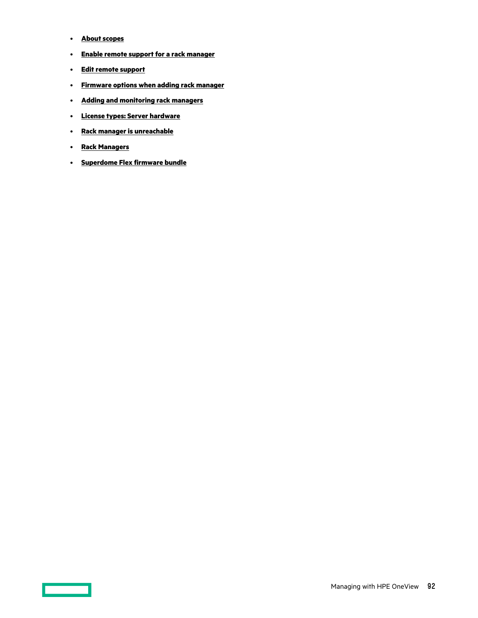- **About scopes**
- **Enable remote support for a rack manager**
- **Edit remote support**
- **Firmware options when adding rack manager**
- **Adding and monitoring rack managers**
- **License types: Server hardware**
- **Rack manager is unreachable**
- **Rack Managers**
- **Superdome Flex firmware bundle**

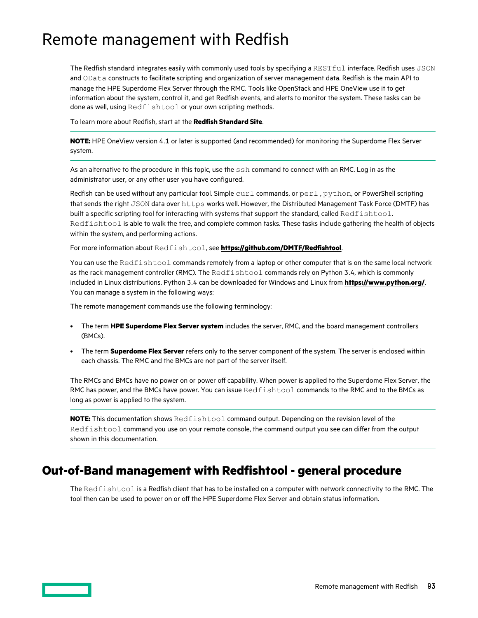# <span id="page-92-0"></span>Remote management with Redfish

The Redfish standard integrates easily with commonly used tools by specifying a RESTful interface. Redfish uses JSON and OData constructs to facilitate scripting and organization of server management data. Redfish is the main API to manage the HPE Superdome Flex Server through the RMC. Tools like OpenStack and HPE OneView use it to get information about the system, control it, and get Redfish events, and alerts to monitor the system. These tasks can be done as well, using Redfishtool or your own scripting methods.

To learn more about Redfish, start at the **[Redfish Standard Site](https://redfish.dmtf.org/)**.

**NOTE:** HPE OneView version 4.1 or later is supported (and recommended) for monitoring the Superdome Flex Server system.

As an alternative to the procedure in this topic, use the ssh command to connect with an RMC. Log in as the administrator user, or any other user you have configured.

Redfish can be used without any particular tool. Simple  $curl$  commands, or  $pert$ ,  $python$ , or PowerShell scripting that sends the right JSON data over https works well. However, the Distributed Management Task Force (DMTF) has built a specific scripting tool for interacting with systems that support the standard, called Redfishtool. Redfishtool is able to walk the tree, and complete common tasks. These tasks include gathering the health of objects within the system, and performing actions.

For more information about Redfishtool, see **<https://github.com/DMTF/Redfishtool>**.

You can use the Redfishtool commands remotely from a laptop or other computer that is on the same local network as the rack management controller (RMC). The Redfishtool commands rely on Python 3.4, which is commonly included in Linux distributions. Python 3.4 can be downloaded for Windows and Linux from **<https://www.python.org/>**. You can manage a system in the following ways:

The remote management commands use the following terminology:

- The term **HPE Superdome Flex Server system** includes the server, RMC, and the board management controllers (BMCs).
- The term **Superdome Flex Server** refers only to the server component of the system. The server is enclosed within each chassis. The RMC and the BMCs are not part of the server itself.

The RMCs and BMCs have no power on or power off capability. When power is applied to the Superdome Flex Server, the RMC has power, and the BMCs have power. You can issue  $\text{Redfish}$   $\text{the}$  commands to the RMC and to the BMCs as long as power is applied to the system.

**NOTE:** This documentation shows Redfishtool command output. Depending on the revision level of the Redfishtool command you use on your remote console, the command output you see can differ from the output shown in this documentation.

# **Out-of-Band management with Redfishtool - general procedure**

The Redfishtool is a Redfish client that has to be installed on a computer with network connectivity to the RMC. The tool then can be used to power on or off the HPE Superdome Flex Server and obtain status information.

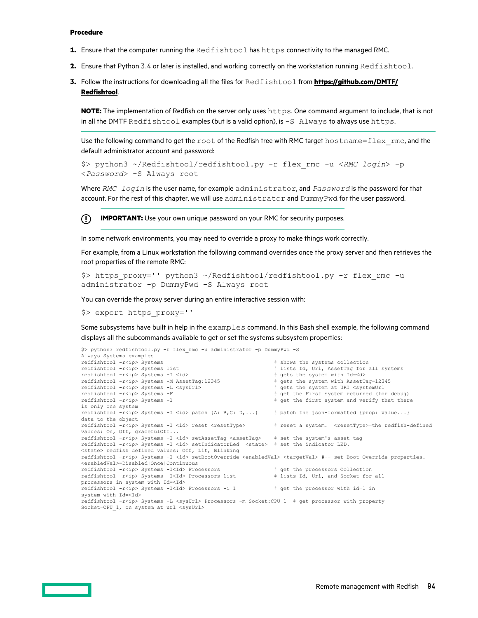#### **Procedure**

- **1.** Ensure that the computer running the Redfishtool has https connectivity to the managed RMC.
- **2.** Ensure that Python 3.4 or later is installed, and working correctly on the workstation running Redfishtool.
- **3.** Follow the instructions for downloading all the files for Redfishtool from **[https://github.com/DMTF/](https://github.com/DMTF/Redfishtool) [Redfishtool](https://github.com/DMTF/Redfishtool)**.

**NOTE:** The implementation of Redfish on the server only uses https. One command argument to include, that is not in all the DMTF Redfishtool examples (but is a valid option), is  $-S$  Always to always use https.

Use the following command to get the root of the Redfish tree with RMC target hostname=flex\_rmc, and the default administrator account and password:

```
$> python3 ~/Redfishtool/redfishtool.py -r flex_rmc -u <RMC login> -p 
<Password> -S Always root
```
Where *RMC login* is the user name, for example administrator, and *Password* is the password for that account. For the rest of this chapter, we will use administrator and DummyPwd for the user password.

⊕ **IMPORTANT:** Use your own unique password on your RMC for security purposes.

In some network environments, you may need to override a proxy to make things work correctly.

For example, from a Linux workstation the following command overrides once the proxy server and then retrieves the root properties of the remote RMC:

```
$> https_proxy='' python3 ~/Redfishtool/redfishtool.py -r flex_rmc -u 
administrator -p DummyPwd -S Always root
```
You can override the proxy server during an entire interactive session with:

\$> export https\_proxy=''

Some subsystems have built in help in the examples command. In this Bash shell example, the following command displays all the subcommands available to get or set the systems subsystem properties:

```
$> python3 redfishtool.py -r flex_rmc -u administrator -p DummyPwd -S 
Always Systems examples<br>redfishtool -r<ip> Systems
redfishtool -r<sup>2</sup> Systems r<sup>2</sup> shows the systems collection redfishtool -r<sup>2</sup> Systems list r<sup>3</sup> shows the systems collection
                                                                      # lists Id, Uri, AssetTag for all systems
redfishtool -r<ip> Systems -I <id> # gets the system with Id=<d>
redfishtool -r<ip> Systems -M AssetTag:12345 # gets the system with AssetTag=12345
redfishtool -r<ip> Systems -M AssetTag:12345 # gets the system with AssetTag=12345 redfishtool -r<ip> Systems -L <system> \frac{1}{2} + gets the system at URI=<systemUrl
redfishtool -r<ip> Systems -L <sysUrl> # gets the system at URI=<systemUrl
redfishtool -r<ip> Systems -F # get the First system returned (for debug)
                                                                      # get the first system and verify that there
is only one system
redfishtool -r<ip> Systems -I <id> patch {A: B,C: D,...} # patch the json-formatted {prop: value...}
data to the object
redfishtool -r<ip> Systems -I <id> reset <resetType> # reset a system. <resetType>=the redfish-defined
values: On, Off, gracefulOff...
redfishtool -r<ip> Systems -I<id> setAssetTag <assetTag> # set the system's asset tag
redfishtool -r<ip> Systems -I <id> setIndicatorLed <state> # set the indicator LED. 
<state>=redfish defined values: Off, Lit, Blinking
redfishtool -r<ip> Systems -I <id> setBootOverride <enabledVal> <targetVal> #-- set Boot Override properties.
<enabledVal>=Disabled|Once|Continuous
redfishtool -r<ip> Systems -I<Id> Processors <br> \# get the processors Collection redfishtool -r<ip> Systems -I<Id> Processors list \# lists Id, Uri, and Socket for all
redfishtool -r<ip> Systems -I<Id> Processors list
processors in system with Id=<Id>
redfishtool -r<ip> Systems -I<Id> Processors -i 1 \qquad # get the processor with id=1 in
system with Id=<Id>
redfishtool -r<ip> Systems -L <sysUrl> Processors -m Socket:CPU_1 # get processor with property 
Socket=CPU_1, on system at url <sysUrl>
```
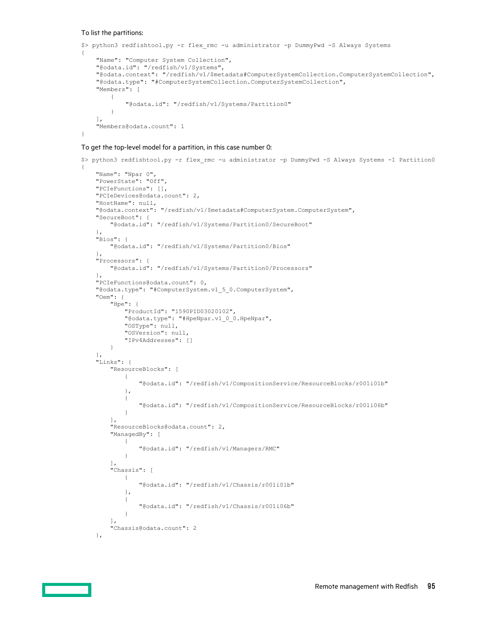#### To list the partitions:

```
$> python3 redfishtool.py -r flex_rmc -u administrator -p DummyPwd -S Always Systems
{
     "Name": "Computer System Collection",
     "@odata.id": "/redfish/v1/Systems",
     "@odata.context": "/redfish/v1/$metadata#ComputerSystemCollection.ComputerSystemCollection",
     "@odata.type": "#ComputerSystemCollection.ComputerSystemCollection",
     "Members": [
         {
             "@odata.id": "/redfish/v1/Systems/Partition0"
         }
    \cdot "Members@odata.count": 1
}
```
#### To get the top-level model for a partition, in this case number 0:

```
$> python3 redfishtool.py -r flex_rmc -u administrator -p DummyPwd -S Always Systems -I Partition0
{
    "Name": "Npar 0",
    "PowerState": "Off",
    "PCIeFunctions": [],
    "PCIeDevices@odata.count": 2,
    "HostName": null,
     "@odata.context": "/redfish/v1/$metadata#ComputerSystem.ComputerSystem",
     "SecureBoot": {
         "@odata.id": "/redfish/v1/Systems/Partition0/SecureBoot"
     },
     "Bios": {
        "@odata.id": "/redfish/v1/Systems/Partition0/Bios"
     },
     "Processors": {
         "@odata.id": "/redfish/v1/Systems/Partition0/Processors"
\vert \vert,
     "PCIeFunctions@odata.count": 0,
     "@odata.type": "#ComputerSystem.v1_5_0.ComputerSystem",
     "Oem": {
        "Hpe": {
            "ProductId": "1590PID03020102",
            "@odata.type": "#HpeNpar.v1_0_0.HpeNpar",
             "OSType": null,
             "OSVersion": null,
            "IPv4Addresses": []
        }
     },
     "Links": {
        "ResourceBlocks": [
\{ "@odata.id": "/redfish/v1/CompositionService/ResourceBlocks/r001i01b"
            },
\{ "@odata.id": "/redfish/v1/CompositionService/ResourceBlocks/r001i06b"
 }
         ],
         "ResourceBlocks@odata.count": 2,
        "ManagedBy": [
\{ "@odata.id": "/redfish/v1/Managers/RMC"
 }
        ],
         "Chassis": [
            {
                "@odata.id": "/redfish/v1/Chassis/r001i01b"
            },
\{ "@odata.id": "/redfish/v1/Chassis/r001i06b"
 }
         ],
         "Chassis@odata.count": 2
     },
```
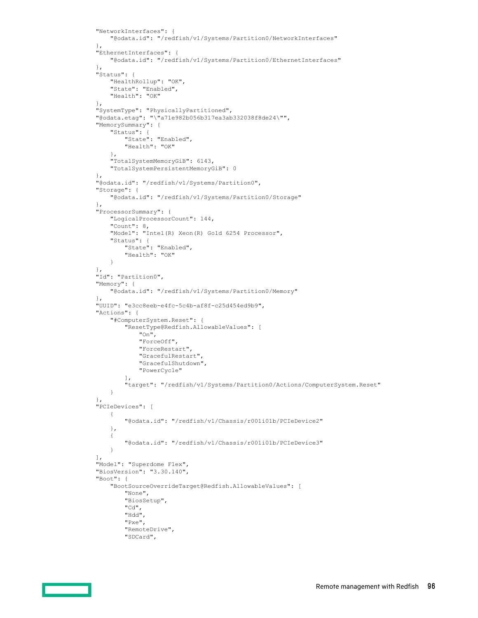```
 "NetworkInterfaces": {
         "@odata.id": "/redfish/v1/Systems/Partition0/NetworkInterfaces"
     },
     "EthernetInterfaces": {
         "@odata.id": "/redfish/v1/Systems/Partition0/EthernetInterfaces"
     },
     "Status": {
        "HealthRollup": "OK",
         "State": "Enabled",
         "Health": "OK"
    },
     "SystemType": "PhysicallyPartitioned",
     "@odata.etag": "\"a71e982b056b317ea3ab332038f8de24\"",
     "MemorySummary": {
         "Status": {
            "State": "Enabled",
            "Health": "OK"
         },
         "TotalSystemMemoryGiB": 6143,
         "TotalSystemPersistentMemoryGiB": 0
    },
     "@odata.id": "/redfish/v1/Systems/Partition0",
     "Storage": {
         "@odata.id": "/redfish/v1/Systems/Partition0/Storage"
    },
     "ProcessorSummary": {
         "LogicalProcessorCount": 144,
         "Count": 8,
         "Model": "Intel(R) Xeon(R) Gold 6254 Processor",
         "Status": {
 "State": "Enabled",
 "Health": "OK"
        }
    },
     "Id": "Partition0",
     "Memory": {
         "@odata.id": "/redfish/v1/Systems/Partition0/Memory"
     },
     "UUID": "e3cc8eeb-e4fc-5c4b-af8f-c25d454ed9b9",
     "Actions": {
         "#ComputerSystem.Reset": {
             "ResetType@Redfish.AllowableValues": [
                 "On",
                 "ForceOff",
                 "ForceRestart",
                 "GracefulRestart",
                 "GracefulShutdown",
                 "PowerCycle"
             ],
             "target": "/redfish/v1/Systems/Partition0/Actions/ComputerSystem.Reset"
         }
     },
     "PCIeDevices": [
        {
             "@odata.id": "/redfish/v1/Chassis/r001i01b/PCIeDevice2"
         },
         {
             "@odata.id": "/redfish/v1/Chassis/r001i01b/PCIeDevice3"
         }
    \cdot "Model": "Superdome Flex",
     "BiosVersion": "3.30.140",
     "Boot": {
        "BootSourceOverrideTarget@Redfish.AllowableValues": [
             "None",
             "BiosSetup",
             "Cd",
             "Hdd",
             "Pxe",
             "RemoteDrive",
             "SDCard",
```
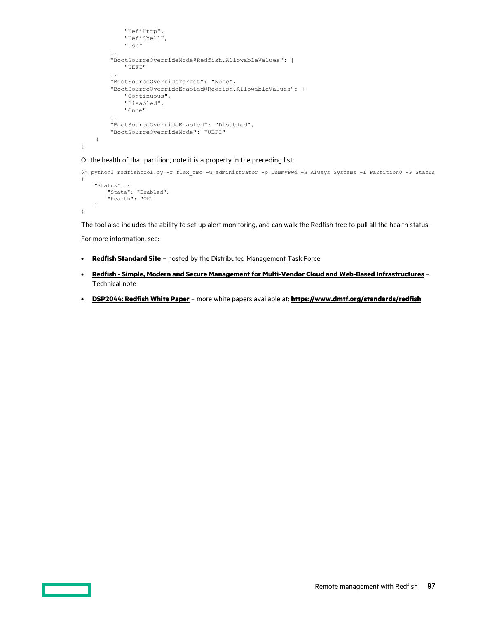```
 "UefiHttp",
          "UefiShell",
          "Usb"
     ],
     "BootSourceOverrideMode@Redfish.AllowableValues": [
          "UEFI"
    \frac{1}{2},
     "BootSourceOverrideTarget": "None",
     "BootSourceOverrideEnabled@Redfish.AllowableValues": [
          "Continuous",
         "Disabled",
          "Once"
     ],
     "BootSourceOverrideEnabled": "Disabled",
     "BootSourceOverrideMode": "UEFI"
 }
```
Or the health of that partition, note it is a property in the preceding list:

```
$> python3 redfishtool.py -r flex_rmc -u administrator -p DummyPwd -S Always Systems -I Partition0 -P Status
{
     "Status": {
         "State": "Enabled",
         "Health": "OK"
    \lambda}
```
The tool also includes the ability to set up alert monitoring, and can walk the Redfish tree to pull all the health status.

For more information, see:

}

- **[Redfish Standard Site](https://redfish.dmtf.org/)** hosted by the Distributed Management Task Force
- **[Redfish Simple, Modern and Secure Management for Multi-Vendor Cloud and Web-Based Infrastructures](https://www.dmtf.org/sites/default/files/standards/documents/Redfish%20Tech%20Note.pdf)** Technical note
- **[DSP2044: Redfish White Paper](https://www.dmtf.org/sites/default/files/standards/documents/DSP2044_1.0.2.pdf)** more white papers available at: **<https://www.dmtf.org/standards/redfish>**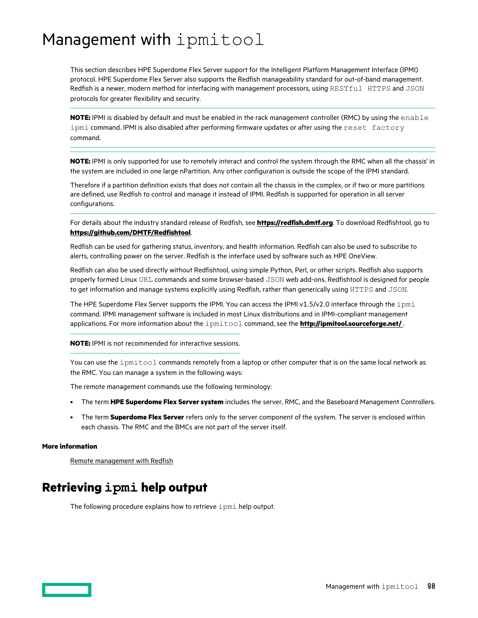# Management with ipmitool

This section describes HPE Superdome Flex Server support for the Intelligent Platform Management Interface (IPMI) protocol. HPE Superdome Flex Server also supports the Redfish manageability standard for out-of-band management. Redfish is a newer, modern method for interfacing with management processors, using RESTful HTTPS and JSON protocols for greater flexibility and security.

**NOTE:** IPMI is disabled by default and must be enabled in the rack management controller (RMC) by using the enable ipmi command. IPMI is also disabled after performing firmware updates or after using the reset factory command.

**NOTE:** IPMI is only supported for use to remotely interact and control the system through the RMC when all the chassis' in the system are included in one large nPartition. Any other configuration is outside the scope of the IPMI standard.

Therefore if a partition definition exists that does not contain all the chassis in the complex, or if two or more partitions are defined, use Redfish to control and manage it instead of IPMI. Redfish is supported for operation in all server configurations.

For details about the industry standard release of Redfish, see **<https://redfish.dmtf.org>**. To download Redfishtool, go to **<https://github.com/DMTF/Redfishtool>**.

Redfish can be used for gathering status, inventory, and health information. Redfish can also be used to subscribe to alerts, controlling power on the server. Redfish is the interface used by software such as HPE OneView.

Redfish can also be used directly without Redfishtool, using simple Python, Perl, or other scripts. Redfish also supports properly formed Linux URL commands and some browser-based JSON web add-ons. Redfishtool is designed for people to get information and manage systems explicitly using Redfish, rather than generically using HTTPS and JSON.

The HPE Superdome Flex Server supports the IPMI. You can access the IPMI v1.5/v2.0 interface through the ipmi command. IPMI management software is included in most Linux distributions and in IPMI-compliant management applications. For more information about the ipmitool command, see the **[http://ipmitool.sourceforge.net/](http://ipmitool.sourceforge.net)** .

**NOTE:** IPMI is not recommended for interactive sessions.

You can use the ipmitool commands remotely from a laptop or other computer that is on the same local network as the RMC. You can manage a system in the following ways:

The remote management commands use the following terminology:

- The term **HPE Superdome Flex Server system** includes the server, RMC, and the Baseboard Management Controllers.
- The term **Superdome Flex Server** refers only to the server component of the system. The server is enclosed within each chassis. The RMC and the BMCs are not part of the server itself.

#### **More information**

[Remote management with Redfish](#page-92-0)

# **Retrieving ipmi help output**

The following procedure explains how to retrieve ipmi help output.

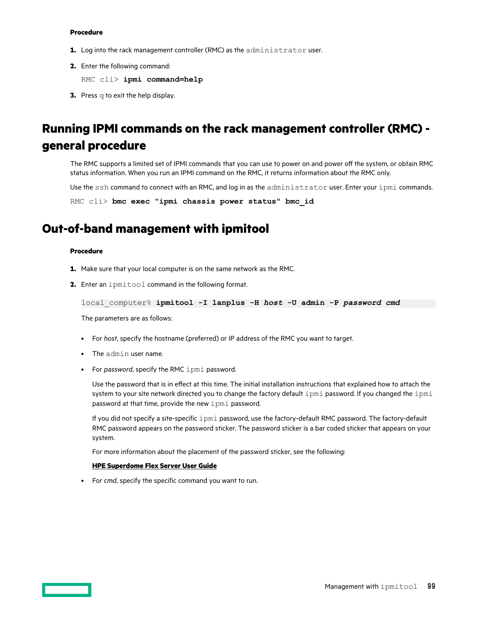#### **Procedure**

- **1.** Log into the rack management controller (RMC) as the administrator user.
- **2.** Enter the following command:

RMC cli> **ipmi command=help**

**3.** Press q to exit the help display.

# **Running IPMI commands on the rack management controller (RMC) general procedure**

The RMC supports a limited set of IPMI commands that you can use to power on and power off the system, or obtain RMC status information. When you run an IPMI command on the RMC, it returns information about the RMC only.

Use the ssh command to connect with an RMC, and log in as the administrator user. Enter your ipmi commands.

RMC cli> **bmc exec "ipmi chassis power status" bmc\_id**

# **Out-of-band management with ipmitool**

#### **Procedure**

- **1.** Make sure that your local computer is on the same network as the RMC.
- **2.** Enter an ipmitool command in the following format.

```
local_computer% ipmitool -I lanplus -H host -U admin -P password cmd
```
The parameters are as follows:

- For *host*, specify the hostname (preferred) or IP address of the RMC you want to target.
- The admin user name.
- For *password*, specify the RMC ipmi password.

Use the password that is in effect at this time. The initial installation instructions that explained how to attach the system to your site network directed you to change the factory default ipmi password. If you changed the ipmi password at that time, provide the new ipmi password.

If you did not specify a site-specific ipmi password, use the factory-default RMC password. The factory-default RMC password appears on the password sticker. The password sticker is a bar coded sticker that appears on your system.

For more information about the placement of the password sticker, see the following:

#### **HPE [Superdome Flex Server](https://www.hpe.com/support/superdome-flex-user) User Guide**

• For *cmd*, specify the specific command you want to run.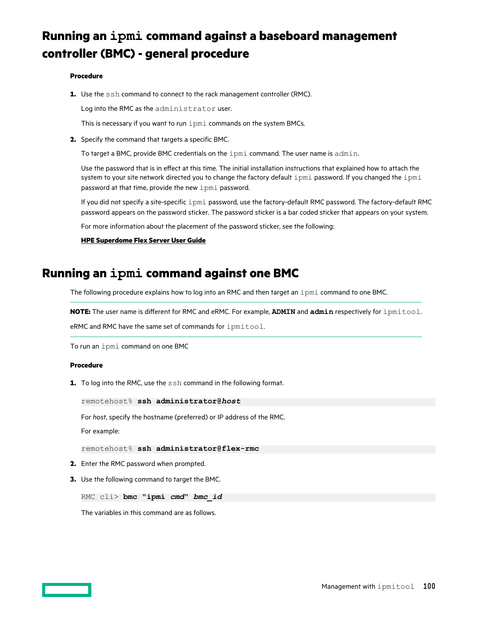# **Running an ipmi command against a baseboard management controller (BMC) - general procedure**

#### **Procedure**

**1.** Use the ssh command to connect to the rack management controller (RMC).

Log into the RMC as the administrator user.

This is necessary if you want to run ipmi commands on the system BMCs.

**2.** Specify the command that targets a specific BMC.

To target a BMC, provide BMC credentials on the ipmi command. The user name is admin.

Use the password that is in effect at this time. The initial installation instructions that explained how to attach the system to your site network directed you to change the factory default ipmi password. If you changed the ipmi password at that time, provide the new ipmi password.

If you did not specify a site-specific ipmi password, use the factory-default RMC password. The factory-default RMC password appears on the password sticker. The password sticker is a bar coded sticker that appears on your system.

For more information about the placement of the password sticker, see the following:

#### **HPE [Superdome Flex Server](https://www.hpe.com/support/superdome-flex-user) User Guide**

# **Running an ipmi command against one BMC**

The following procedure explains how to log into an RMC and then target an ipmi command to one BMC.

**NOTE:** The user name is different for RMC and eRMC. For example, **ADMIN** and **admin** respectively for ipmitool.

eRMC and RMC have the same set of commands for ipmitool.

To run an ipmi command on one BMC

#### **Procedure**

**1.** To log into the RMC, use the  $\sinh$  command in the following format.

remotehost% **ssh administrator@***host*

For *host*, specify the hostname (preferred) or IP address of the RMC.

For example:

remotehost% **ssh administrator@flex-rmc**

- **2.** Enter the RMC password when prompted.
- **3.** Use the following command to target the BMC.

RMC cli> **bmc "ipmi** *cmd***"** *bmc\_id*

The variables in this command are as follows.

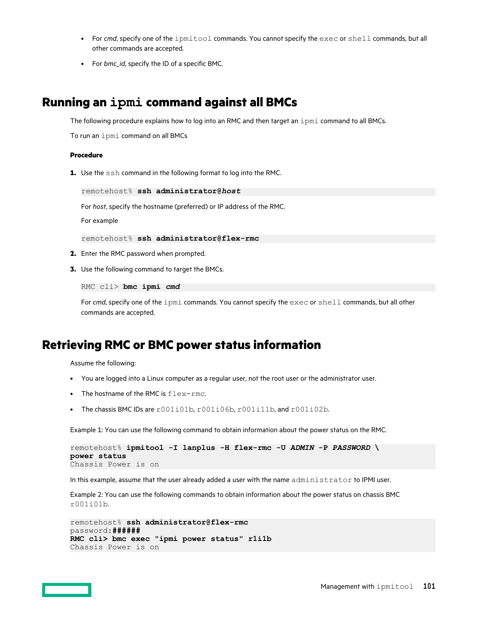- For *cmd*, specify one of the ipmitool commands. You cannot specify the exec or shell commands, but all other commands are accepted.
- For *bmc\_id*, specify the ID of a specific BMC.

# **Running an ipmi command against all BMCs**

The following procedure explains how to log into an RMC and then target an ipmi command to all BMCs.

To run an ipmi command on all BMCs

#### **Procedure**

**1.** Use the ssh command in the following format to log into the RMC.

remotehost% **ssh administrator@***host*

For *host*, specify the hostname (preferred) or IP address of the RMC.

For example

remotehost% **ssh administrator@flex-rmc**

- **2.** Enter the RMC password when prompted.
- **3.** Use the following command to target the BMCs.

RMC cli> **bmc ipmi** *cmd*

For *cmd*, specify one of the ipmi commands. You cannot specify the exec or shell commands, but all other commands are accepted.

### **Retrieving RMC or BMC power status information**

Assume the following:

- You are logged into a Linux computer as a regular user, not the root user or the administrator user.
- The hostname of the RMC is  $f$ lex-rmc.
- The chassis BMC IDs are  $r001i01b$ ,  $r001i06b$ ,  $r001i11b$ , and  $r001i02b$ .

Example 1: You can use the following command to obtain information about the power status on the RMC.

```
remotehost% ipmitool -I lanplus -H flex-rmc -U ADMIN -P PASSWORD \ 
power status
Chassis Power is on
```
In this example, assume that the user already added a user with the name administrator to IPMI user.

Example 2: You can use the following commands to obtain information about the power status on chassis BMC r001i01b.

```
remotehost% ssh administrator@flex-rmc
password:######
RMC cli> bmc exec "ipmi power status" r1i1b
Chassis Power is on
```
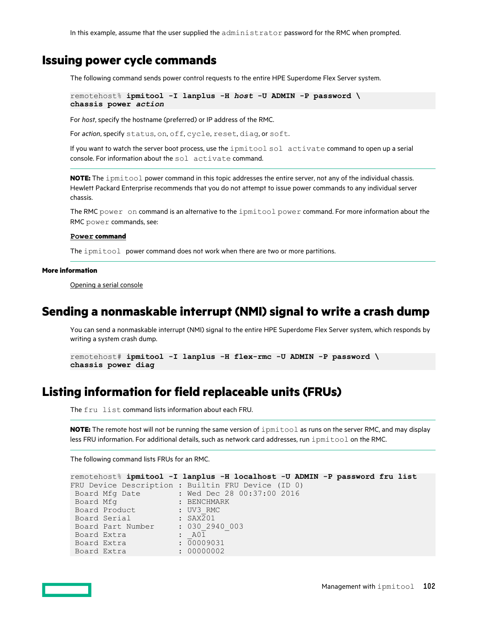In this example, assume that the user supplied the administrator password for the RMC when prompted.

## **Issuing power cycle commands**

The following command sends power control requests to the entire HPE Superdome Flex Server system.

```
remotehost% ipmitool -I lanplus -H host -U ADMIN -P password \
chassis power action
```
For *host*, specify the hostname (preferred) or IP address of the RMC.

For *action*, specify status, on, off, cycle, reset, diag, or soft.

If you want to watch the server boot process, use the ipmitool sol activate command to open up a serial console. For information about the sol activate command.

**NOTE:** The ipmitool power command in this topic addresses the entire server, not any of the individual chassis. Hewlett Packard Enterprise recommends that you do not attempt to issue power commands to any individual server chassis.

The RMC power on command is an alternative to the ipmitool power command. For more information about the RMC power commands, see:

#### **Power [command](#page-65-0)**

The ipmitool power command does not work when there are two or more partitions.

#### **More information**

[Opening a serial console](#page-105-0)

## **Sending a nonmaskable interrupt (NMI) signal to write a crash dump**

You can send a nonmaskable interrupt (NMI) signal to the entire HPE Superdome Flex Server system, which responds by writing a system crash dump.

```
remotehost# ipmitool -I lanplus -H flex-rmc -U ADMIN -P password \
chassis power diag
```
# **Listing information for field replaceable units (FRUs)**

The fru list command lists information about each FRU.

**NOTE:** The remote host will not be running the same version of ipmitool as runs on the server RMC, and may display less FRU information. For additional details, such as network card addresses, run ipmitool on the RMC.

The following command lists FRUs for an RMC.

```
remotehost% ipmitool -I lanplus -H localhost -U ADMIN -P password fru list
FRU Device Description : Builtin FRU Device (ID 0)
Board Mfg Date : Wed Dec 28 00:37:00 2016
Board Mfg : BENCHMARK
Board Product : UV3 RMC
Board Serial : SAX201
 Board Part Number : 030_2940_003
Board Extra \qquad \qquad : \quad A01Board Extra : 00009031
Board Extra : 00000002
```
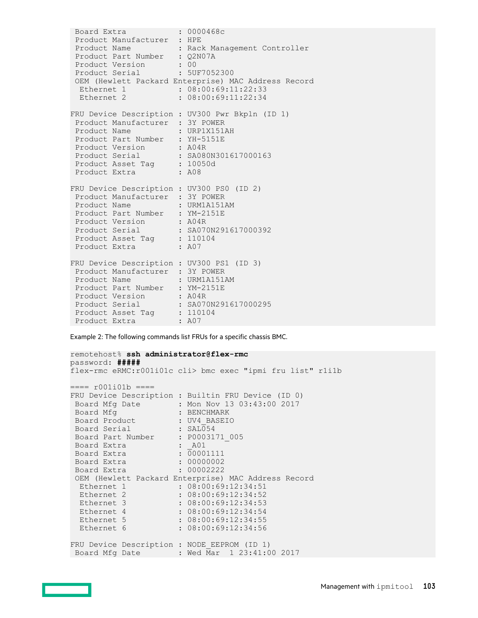Board Extra : 0000468c Product Manufacturer : HPE Product Name : Rack Management Controller Product Part Number : Q2N07A Product Version : 00 Product Serial : 5UF7052300 OEM (Hewlett Packard Enterprise) MAC Address Record Ethernet 1 : 08:00:69:11:22:33 Ethernet 2 : 08:00:69:11:22:34 FRU Device Description : UV300 Pwr Bkpln (ID 1) Product Manufacturer : 3Y POWER<br>Product Name : URP1X151AH Product Name : URP1X151AH Product Part Number : YH-5151E Product Version : A04R Product Serial : SA080N301617000163 Product Asset Tag : 10050d Product Extra : A08 FRU Device Description : UV300 PS0 (ID 2) Product Manufacturer : 3Y POWER Product Name : URM1A151AM Product Part Number : YM-2151E Product Version : A04R Product Serial : SA070N291617000392 Product Asset Tag : 110104 Product Extra : A07 FRU Device Description : UV300 PS1 (ID 3) Product Manufacturer : 3Y POWER Product Name : URM1A151AM Product Part Number : YM-2151E Product Version : A04R Product Serial : SA070N291617000295 Product Asset Tag : 110104 Product Extra : A07

Example 2: The following commands list FRUs for a specific chassis BMC.

```
remotehost% ssh administrator@flex-rmc
password: #####
flex-rmc eRMC:r001i01c cli> bmc exec "ipmi fru list" r1i1b
==== r001i01b ===FRU Device Description : Builtin FRU Device (ID 0)
 Board Mfg Date : Mon Nov 13 03:43:00 2017
Board Mfg : BENCHMARK
Board Product : UV4 BASEIO
Board Serial : SAL054
 Board Part Number : P0003171_005
Board Extra : A01
Board Extra : 00001111
Board Extra : 00000002
Board Extra : 00002222
  OEM (Hewlett Packard Enterprise) MAC Address Record
 Ethernet 1 : 08:00:69:12:34:51<br>Ethernet 2 : 08:00:69:12:34:52
Ethernet 2 : 08:00:69:12:34:52
Ethernet 3 : 08:00:69:12:34:53
Ethernet 4 : 08:00:69:12:34:54
Ethernet 5 : 08:00:69:12:34:55
 Ethernet 2 : 08:00:69:12:34:52<br>
Ethernet 3 : 08:00:69:12:34:53<br>
Ethernet 4 : 08:00:69:12:34:54<br>
Ethernet 5 : 08:00:69:12:34:55<br>
Ethernet 6 : 08:00:69:12:34:56
FRU Device Description : NODE EEPROM (ID 1)
Board Mfg Date : Wed Mar 1 23:41:00 2017
```
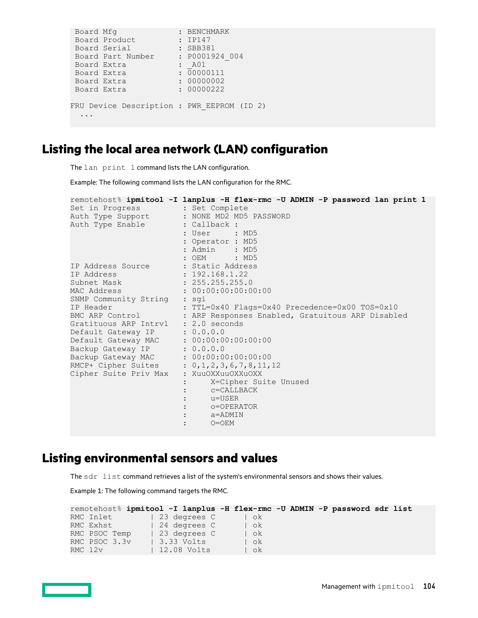```
Board Mfg : BENCHMARK
Board Product : IP147
Board Serial : SBB381
Board Part Number : P0001924 004
Board Extra : A01
Board Extra : 00000111
Board Extra : 00000002
Board Extra : 00000222
FRU Device Description : PWR EEPROM (ID 2)
  ...
```
# **Listing the local area network (LAN) configuration**

The lan print 1 command lists the LAN configuration.

Example: The following command lists the LAN configuration for the RMC.

```
remotehost% ipmitool -I lanplus -H flex-rmc -U ADMIN -P password lan print 1
Set in Progress (3) : Set Complete
Auth Type Support : NONE MD2 MD5 PASSWORD
Auth Type Enable : Callback :
 : User : MD5 
                 : Operator : MD5<br>: Admin : MD5<br>: OEM : MD5
 : Admin : MD5 
 : OEM : MD5 
IP Address Source : Static Address
IP Address : 192.168.1.22
Subnet Mask : 255.255.255.0
MAC Address : 00:00:00:00:00:00
SNMP Community String : sgi
IP Header : TTL=0x40 Flags=0x40 Precedence=0x00 TOS=0x10
BMC ARP Control : ARP Responses Enabled, Gratuitous ARP Disabled
Gratituous ARP Intrvl : 2.0 seconds
Default Gateway IP : 0.0.0.0
Default Gateway MAC : 00:00:00:00:00:00
Backup Gateway IP : 0.0.0.0Backup Gateway MAC : 00:00:00:00:00RMCP+ Cipher Suites : 0,1,2,3,6,7,8,11,12
Cipher Suite Priv Max : XuuOXXuuOXXuOXX
 : X=Cipher Suite Unused
 : c=CALLBACK
 : u=USER
 : o=OPERATOR
 : a=ADMIN
 : O=OEM
```
# **Listing environmental sensors and values**

The sdr list command retrieves a list of the system's environmental sensors and shows their values.

Example 1: The following command targets the RMC.

| remotehost% ipmitool -I lanplus -H flex-rmc -U ADMIN -P password sdr list |  |                     |  |        |  |  |  |  |
|---------------------------------------------------------------------------|--|---------------------|--|--------|--|--|--|--|
| RMC Inlet                                                                 |  | 23 degrees C        |  | $1$ ok |  |  |  |  |
| RMC Exhst                                                                 |  | 24 degrees C        |  | l ok   |  |  |  |  |
| RMC PSOC Temp                                                             |  | 23 degrees C        |  | $\log$ |  |  |  |  |
| RMC PSOC 3.3v                                                             |  | 3.33 Volts          |  | l ok   |  |  |  |  |
| RMC 12v                                                                   |  | $\vert$ 12.08 Volts |  | ok     |  |  |  |  |

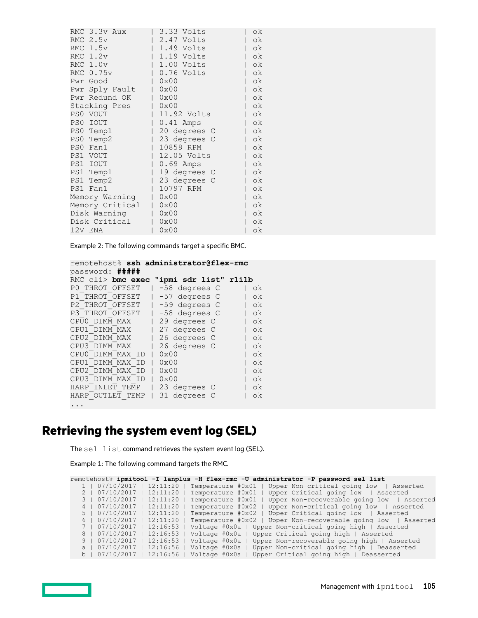| RMC 3.3v Aux    | 3.33 Volts     | οk |
|-----------------|----------------|----|
| RMC 2.5v        | 2.47 Volts     | οk |
| RMC 1.5v        | $ 1.49$ Volts  | οk |
| RMC $1.2v$      | 1.19 Volts     | οk |
| RMC 1.0v        | 1.00 Volts     | οk |
| RMC 0.75v       | $  0.76$ Volts | οk |
| Pwr Good        | 0x00           | οk |
| Pwr Sply Fault  | 0x00           | ok |
| Pwr Redund OK   | 0x00           | 0k |
| Stacking Pres   | 0x00           | οk |
| PS0 VOUT        | 11.92 Volts    | ok |
| PS0 IOUT        | $0.41$ Amps    | ok |
| PS0 Temp1       | 20 degrees C   | οk |
| PS0 Temp2       | 23 degrees C   | οk |
| PSO Fan1        | 10858 RPM      | οk |
| PS1 VOUT        | 12.05 Volts    | οk |
| PS1 IOUT        | $0.69$ Amps    | οk |
| PS1 Temp1       | 19 degrees C   | οk |
| PS1 Temp2       | 23 degrees C   | οk |
| PS1 Fan1        | 10797 RPM      | οk |
| Memory Warning  | 0x00           | οk |
| Memory Critical | 0x00           | οk |
| Disk Warning    | 0x00           | οk |
| Disk Critical   | 0x00           | οk |
| 12V ENA         | 0x00           | οk |
|                 |                |    |

Example 2: The following commands target a specific BMC.

```
remotehost% ssh administrator@flex-rmc
password: #####
RMC cli> bmc exec "ipmi sdr list" r1i1b
P0 THROT OFFSET | -58 degrees C | ok
P1 THROT OFFSET | -57 degrees C | ok
P2_THROT_OFFSET | -59 degrees C | ok
P3_THROT_OFFSET | -58 degrees C | ok
CPU0 DIMM MAX | 29 degrees C | ok
CPU1_DIMM_MAX | 27 degrees C | ok
CPU2_DIMM_MAX | 26 degrees C | ok
CPU3_DIMM_MAX | 26 degrees C | ok
CPU0_DIMM_MAX_ID | 0x00 | ok
CPU1_DIMM_MAX_ID | 0x00 | ok<br>CPU2_DIMM_MAX_ID | 0x00 | ok
CPU2_DIMM_MAX_ID | 0x00 | ok
CPU3_DIMM_MAX_ID | 0x00 | ok
HARP_INLET_TEMP | 23 degrees C | ok
HARP_OUTLET_TEMP | 31 degrees C | ok
...
```
# **Retrieving the system event log (SEL)**

The sel list command retrieves the system event log (SEL).

Example 1: The following command targets the RMC.

| remotehost% ipmitool -I lanplus -H flex-rmc -U administrator -P password sel list                  |
|----------------------------------------------------------------------------------------------------|
| Upper Non-critical going low   Asserted<br>1   07/10/2017<br>$12:11:20$ 1<br>Temperature #0x01     |
| 12:11:20<br>2   07/10/2017<br>Temperature #0x01<br>Upper Critical going low   Asserted             |
| 3   07/10/2017  <br>$12:11:20$   Temperature #0x01  <br>Upper Non-recoverable going low   Asserted |
| 4   07/10/2017<br>$12:11:20$  <br>Upper Non-critical going low   Asserted<br>Temperature #0x02     |
| 5   07/10/2017<br>$12:11:20$  <br>Temperature $\#0x02$   Upper Critical going low   Asserted       |
| 6   07/10/2017<br>$12:11:20$ 1<br>Temperature #0x02   Upper Non-recoverable going low   Asserted   |
| 7   07/10/2017<br>$12:16:53$ 1<br>Voltage #0x0a   Upper Non-critical going high   Asserted         |
| 8   07/10/2017<br>$12:16:53$  <br>Voltage #0x0a   Upper Critical going high   Asserted             |
| 9   07/10/2017<br>$12:16:53$   Voltage #0x0a<br>Upper Non-recoverable going high   Asserted        |
| a   07/10/2017<br>Upper Non-critical going high   Deasserted<br>$12:16:56$   Voltage #0x0a         |
| $b \mid 07/10/2017 \mid$<br>$12:16:56$   Voltage #0x0a<br>Upper Critical going high   Deasserted   |

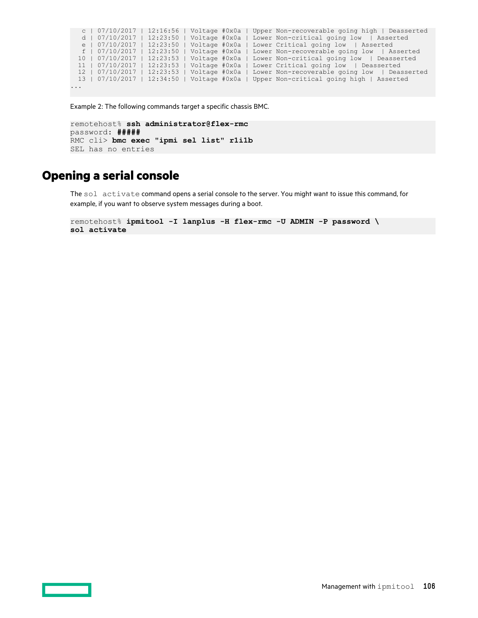```
 c | 07/10/2017 | 12:16:56 | Voltage #0x0a | Upper Non-recoverable going high | Deasserted
  d | 07/10/2017 | 12:23:50 | Voltage #0x0a | Lower Non-critical going low | Asserted
   e | 07/10/2017 | 12:23:50 | Voltage #0x0a | Lower Critical going low | Asserted
   f | 07/10/2017 | 12:23:50 | Voltage #0x0a | Lower Non-recoverable going low | Asserted
  10 | 07/10/2017 | 12:23:53 | Voltage #0x0a | Lower Non-critical going low | Deasserted
  11 | 07/10/2017 | 12:23:53 | Voltage #0x0a | Lower Critical going low | Deasserted
 12 | 07/10/2017 | 12:23:53 | Voltage #0x0a | Lower Non-recoverable going low | Deasserted
 13 | 07/10/2017 | 12:34:50 | Voltage #0x0a | Upper Non-critical going high | Asserted
...
```

```
Example 2: The following commands target a specific chassis BMC.
```

```
remotehost% ssh administrator@flex-rmc
password: #####
RMC cli> bmc exec "ipmi sel list" r1i1b
SEL has no entries
```
# **Opening a serial console**

The sol activate command opens a serial console to the server. You might want to issue this command, for example, if you want to observe system messages during a boot.

remotehost% **ipmitool -I lanplus -H flex-rmc -U ADMIN -P password \ sol activate**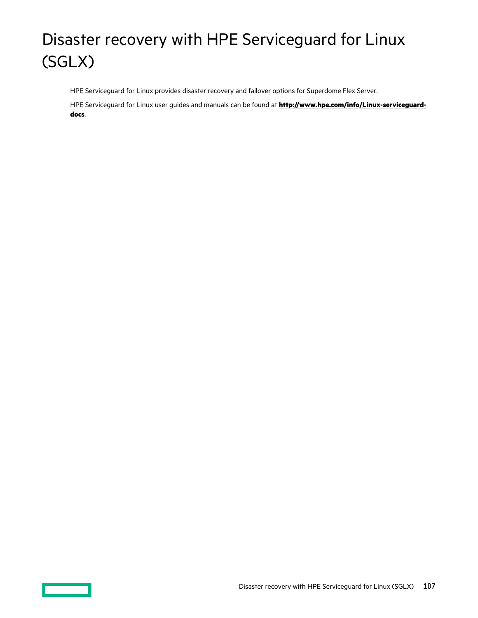# Disaster recovery with HPE Serviceguard for Linux (SGLX)

HPE Serviceguard for Linux provides disaster recovery and failover options for Superdome Flex Server.

HPE Serviceguard for Linux user guides and manuals can be found at **[http://www.hpe.com/info/Linux-serviceguard](http://www.hpe.com/info/Linux-serviceguard-docs)[docs](http://www.hpe.com/info/Linux-serviceguard-docs)**.

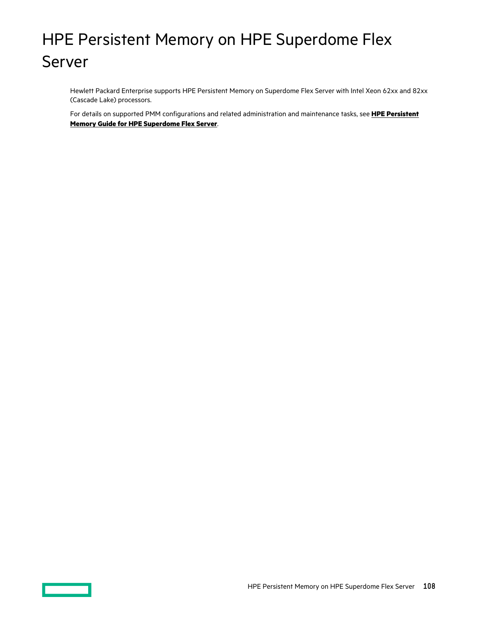# HPE Persistent Memory on HPE Superdome Flex Server

Hewlett Packard Enterprise supports HPE Persistent Memory on Superdome Flex Server with Intel Xeon 62xx and 82xx (Cascade Lake) processors.

For details on supported PMM configurations and related administration and maintenance tasks, see **HPE [Persistent](https://www.hpe.com/support/superdome-flex-pmem) Memory Guide for HPE [Superdome Flex Server](https://www.hpe.com/support/superdome-flex-pmem)**.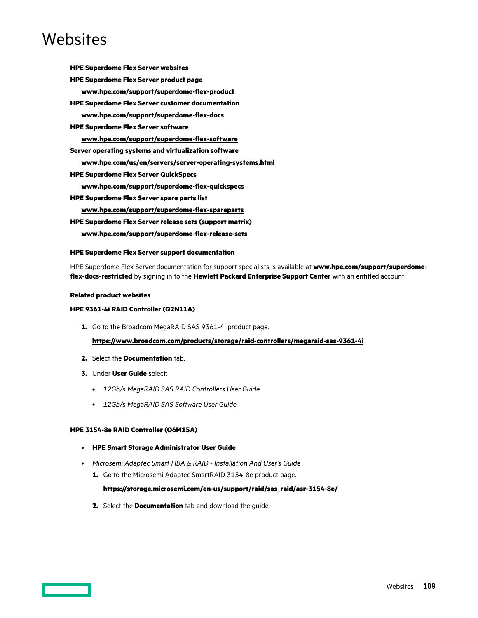# Websites

**HPE Superdome Flex Server websites HPE Superdome Flex Server product page [www.hpe.com/support/superdome-flex-product](https://www.hpe.com/support/superdome-flex-product) HPE Superdome Flex Server customer documentation [www.hpe.com/support/superdome-flex-docs](https://www.hpe.com/support/superdome-flex-docs) HPE Superdome Flex Server software [www.hpe.com/support/superdome-flex-software](https://www.hpe.com/support/superdome-flex-software) Server operating systems and virtualization software [www.hpe.com/us/en/servers/server-operating-systems.html](https://www.hpe.com/us/en/servers/server-operating-systems.html) HPE Superdome Flex Server QuickSpecs [www.hpe.com/support/superdome-flex-quickspecs](https://www.hpe.com/support/superdome-flex-quickspecs) HPE Superdome Flex Server spare parts list [www.hpe.com/support/superdome-flex-spareparts](https://www.hpe.com/support/superdome-flex-spareparts) HPE Superdome Flex Server release sets (support matrix)**

**[www.hpe.com/support/superdome-flex-release-sets](https://www.hpe.com/support/superdome-flex-release-sets)**

#### **HPE Superdome Flex Server support documentation**

HPE Superdome Flex Server documentation for support specialists is available at **[www.hpe.com/support/superdome](https://www.hpe.com/support/superdome-flex-docs-restricted)[flex-docs-restricted](https://www.hpe.com/support/superdome-flex-docs-restricted)** by signing in to the **[Hewlett Packard Enterprise](https://support.hpe.com/hpesc/public/home/signin) Support Center** with an entitled account.

#### **Related product websites**

#### **HPE 9361-4i RAID Controller (Q2N11A)**

**1.** Go to the Broadcom MegaRAID SAS 9361-4i product page.

**<https://www.broadcom.com/products/storage/raid-controllers/megaraid-sas-9361-4i>**

- **2.** Select the **Documentation** tab.
- **3.** Under **User Guide** select:
	- *12Gb/s MegaRAID SAS RAID Controllers User Guide*
	- *12Gb/s MegaRAID SAS Software User Guide*

### **HPE 3154-8e RAID Controller (Q6M15A)**

- **[HPE Smart Storage Administrator User Guide](https://www.hpe.com/support/SSA_UG_en)**
- *Microsemi Adaptec Smart HBA & RAID Installation And User's Guide*
	- **1.** Go to the Microsemi Adaptec SmartRAID 3154-8e product page.

#### **[https://storage.microsemi.com/en-us/support/raid/sas\\_raid/asr-3154-8e/](https://storage.microsemi.com/en-us/support/raid/sas_raid/asr-3154-8e/)**

**2.** Select the **Documentation** tab and download the guide.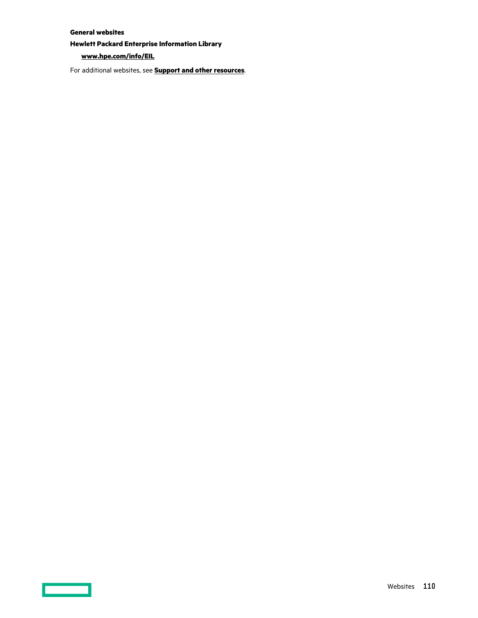### **General websites**

**Hewlett Packard Enterprise Information Library**

### **[www.hpe.com/info/EIL](http://www.hpe.com/info/EIL)**

For additional websites, see **[Support and other resources](#page-110-0)**.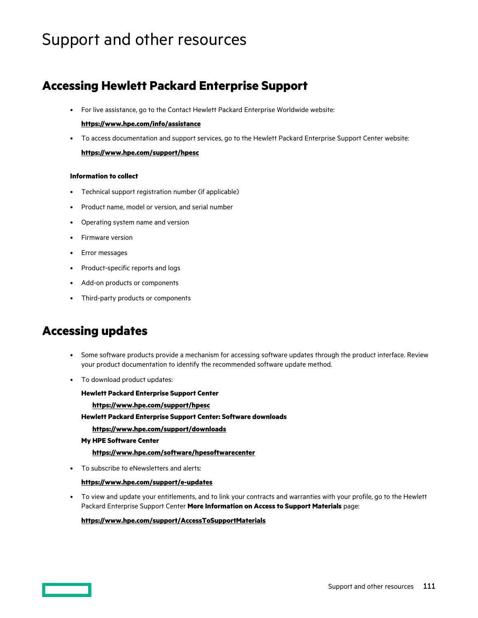# <span id="page-110-0"></span>Support and other resources

### **Accessing Hewlett Packard Enterprise Support**

• For live assistance, go to the Contact Hewlett Packard Enterprise Worldwide website:

### **<https://www.hpe.com/info/assistance>**

• To access documentation and support services, go to the Hewlett Packard Enterprise Support Center website: **<https://www.hpe.com/support/hpesc>**

### **Information to collect**

- Technical support registration number (if applicable)
- Product name, model or version, and serial number
- Operating system name and version
- Firmware version
- Error messages
- Product-specific reports and logs
- Add-on products or components
- Third-party products or components

### **Accessing updates**

- Some software products provide a mechanism for accessing software updates through the product interface. Review your product documentation to identify the recommended software update method.
- To download product updates:

**Hewlett Packard Enterprise Support Center <https://www.hpe.com/support/hpesc> Hewlett Packard Enterprise Support Center: Software downloads <https://www.hpe.com/support/downloads> My HPE Software Center**

• To subscribe to eNewsletters and alerts:

### **<https://www.hpe.com/support/e-updates>**

• To view and update your entitlements, and to link your contracts and warranties with your profile, go to the Hewlett Packard Enterprise Support Center **More Information on Access to Support Materials** page:

### **<https://www.hpe.com/support/AccessToSupportMaterials>**

**<https://www.hpe.com/software/hpesoftwarecenter>**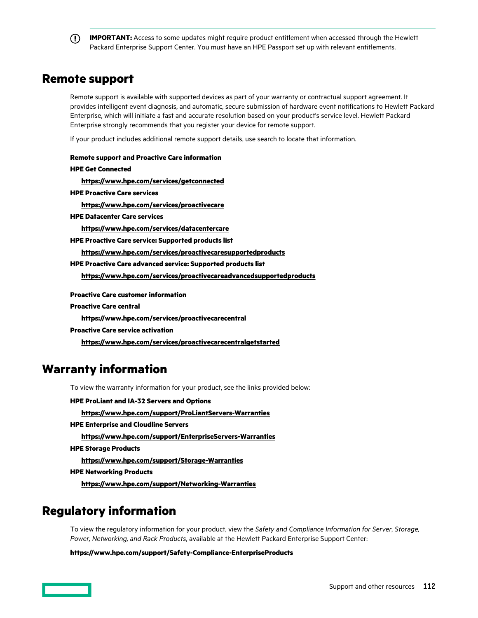**IMPORTANT:** Access to some updates might require product entitlement when accessed through the Hewlett Packard Enterprise Support Center. You must have an HPE Passport set up with relevant entitlements.

### **Remote support**

Remote support is available with supported devices as part of your warranty or contractual support agreement. It provides intelligent event diagnosis, and automatic, secure submission of hardware event notifications to Hewlett Packard Enterprise, which will initiate a fast and accurate resolution based on your product's service level. Hewlett Packard Enterprise strongly recommends that you register your device for remote support.

If your product includes additional remote support details, use search to locate that information.

**Remote support and Proactive Care information HPE Get Connected <https://www.hpe.com/services/getconnected> HPE Proactive Care services <https://www.hpe.com/services/proactivecare> HPE Datacenter Care services <https://www.hpe.com/services/datacentercare> HPE Proactive Care service: Supported products list <https://www.hpe.com/services/proactivecaresupportedproducts> HPE Proactive Care advanced service: Supported products list <https://www.hpe.com/services/proactivecareadvancedsupportedproducts> Proactive Care customer information Proactive Care central <https://www.hpe.com/services/proactivecarecentral> Proactive Care service activation <https://www.hpe.com/services/proactivecarecentralgetstarted> Warranty information** To view the warranty information for your product, see the links provided below:

**HPE ProLiant and IA-32 Servers and Options <https://www.hpe.com/support/ProLiantServers-Warranties> HPE Enterprise and Cloudline Servers <https://www.hpe.com/support/EnterpriseServers-Warranties> HPE Storage Products <https://www.hpe.com/support/Storage-Warranties> HPE Networking Products**

**<https://www.hpe.com/support/Networking-Warranties>**

## **Regulatory information**

To view the regulatory information for your product, view the *Safety and Compliance Information for Server, Storage, Power, Networking, and Rack Products*, available at the Hewlett Packard Enterprise Support Center:

**<https://www.hpe.com/support/Safety-Compliance-EnterpriseProducts>**